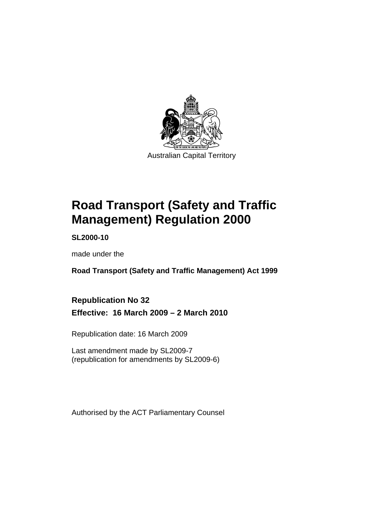

# **[Road Transport \(Safety and Traffic](#page-10-0)  [Management\) Regulation 2000](#page-10-0)**

**SL2000-10** 

made under the

**[Road Transport \(Safety and Traffic Management\) Act 1999](#page-10-0)** 

**Republication No 32 Effective: 16 March 2009 – 2 March 2010** 

Republication date: 16 March 2009

Last amendment made by SL2009-7 (republication for amendments by SL2009-6)

Authorised by the ACT Parliamentary Counsel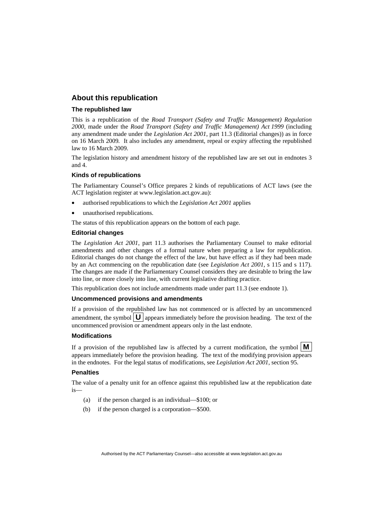#### **About this republication**

#### **The republished law**

This is a republication of the *Road Transport (Safety and Traffic Management) Regulation 2000*, made under the *[Road Transport \(Safety and Traffic Management\) Act 1999](#page-10-0)* (including any amendment made under the *Legislation Act 2001*, part 11.3 (Editorial changes)) as in force on 16 March 2009*.* It also includes any amendment, repeal or expiry affecting the republished law to 16 March 2009.

The legislation history and amendment history of the republished law are set out in endnotes 3 and 4.

#### **Kinds of republications**

The Parliamentary Counsel's Office prepares 2 kinds of republications of ACT laws (see the ACT legislation register at www.legislation.act.gov.au):

- authorised republications to which the *Legislation Act 2001* applies
- unauthorised republications.

The status of this republication appears on the bottom of each page.

#### **Editorial changes**

The *Legislation Act 2001*, part 11.3 authorises the Parliamentary Counsel to make editorial amendments and other changes of a formal nature when preparing a law for republication. Editorial changes do not change the effect of the law, but have effect as if they had been made by an Act commencing on the republication date (see *Legislation Act 2001*, s 115 and s 117). The changes are made if the Parliamentary Counsel considers they are desirable to bring the law into line, or more closely into line, with current legislative drafting practice.

This republication does not include amendments made under part 11.3 (see endnote 1).

#### **Uncommenced provisions and amendments**

If a provision of the republished law has not commenced or is affected by an uncommenced amendment, the symbol  $\mathbf{U}$  appears immediately before the provision heading. The text of the uncommenced provision or amendment appears only in the last endnote.

#### **Modifications**

If a provision of the republished law is affected by a current modification, the symbol  $\vert \mathbf{M} \vert$ appears immediately before the provision heading. The text of the modifying provision appears in the endnotes. For the legal status of modifications, see *Legislation Act 2001*, section 95.

#### **Penalties**

The value of a penalty unit for an offence against this republished law at the republication date  $i<sub>s</sub>$ 

- (a) if the person charged is an individual—\$100; or
- (b) if the person charged is a corporation—\$500.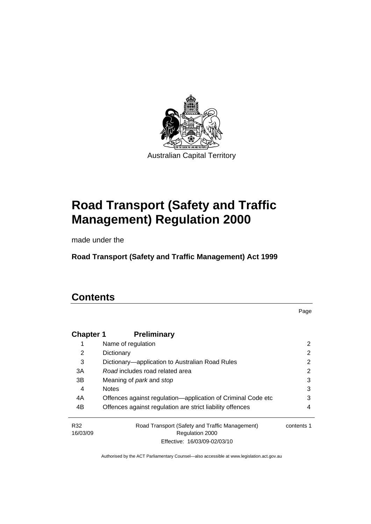

# **[Road Transport \(Safety and Traffic](#page-10-0)  [Management\) Regulation 2000](#page-10-0)**

made under the

**[Road Transport \(Safety and Traffic Management\) Act 1999](#page-10-0)** 

# **Contents**

Page

| <b>Chapter 1</b> | <b>Preliminary</b>                                                |            |
|------------------|-------------------------------------------------------------------|------------|
| 1                | Name of regulation                                                | 2          |
| 2                | Dictionary                                                        | 2          |
| 3                | Dictionary—application to Australian Road Rules                   | 2          |
| 3A               | Road includes road related area                                   | 2          |
| 3B               | Meaning of <i>park</i> and <i>stop</i>                            | 3          |
| 4                | <b>Notes</b>                                                      | 3          |
| 4A               | Offences against regulation—application of Criminal Code etc      | 3          |
| 4B               | Offences against regulation are strict liability offences         | 4          |
| R32<br>16/03/09  | Road Transport (Safety and Traffic Management)<br>Regulation 2000 | contents 1 |
|                  | Effective: 16/03/09-02/03/10                                      |            |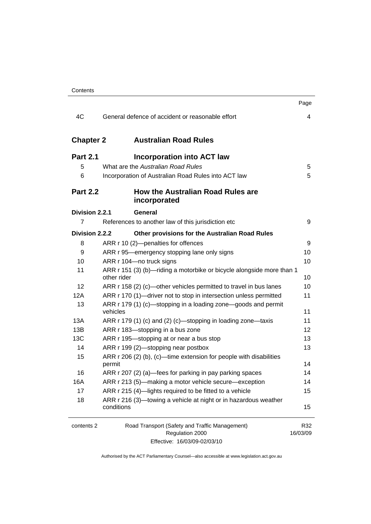|                  |                                                                                      | Page            |
|------------------|--------------------------------------------------------------------------------------|-----------------|
| 4C               | General defence of accident or reasonable effort                                     | 4               |
| <b>Chapter 2</b> | <b>Australian Road Rules</b>                                                         |                 |
| <b>Part 2.1</b>  | Incorporation into ACT law                                                           |                 |
| 5                | What are the Australian Road Rules                                                   | 5               |
| 6                | Incorporation of Australian Road Rules into ACT law                                  | 5               |
| <b>Part 2.2</b>  | How the Australian Road Rules are<br>incorporated                                    |                 |
| Division 2.2.1   | General                                                                              |                 |
| $\overline{7}$   | References to another law of this jurisdiction etc                                   | 9               |
| Division 2.2.2   | Other provisions for the Australian Road Rules                                       |                 |
| 8                | ARR r 10 (2)-penalties for offences                                                  | 9               |
| 9                | ARR r 95—emergency stopping lane only signs                                          | 10              |
| 10               | ARR r 104-no truck signs                                                             | 10              |
| 11               | ARR r 151 (3) (b)—riding a motorbike or bicycle alongside more than 1<br>other rider | 10              |
| 12               | ARR r 158 (2) (c)—other vehicles permitted to travel in bus lanes                    | 10              |
| 12A              | ARR r 170 (1)-driver not to stop in intersection unless permitted                    | 11              |
| 13               | ARR r 179 (1) (c)—stopping in a loading zone—goods and permit<br>vehicles            | 11              |
| 13A              | ARR r 179 (1) (c) and (2) (c)-stopping in loading zone-taxis                         | 11              |
| 13B              | ARR r 183-stopping in a bus zone                                                     | 12              |
| 13C              | ARR r 195-stopping at or near a bus stop                                             | 13              |
| 14               | ARR r 199 (2)-stopping near postbox                                                  | 13              |
| 15               | ARR $r$ 206 (2) (b), (c)—time extension for people with disabilities<br>permit       | 14              |
| 16               | ARR r 207 (2) (a)—fees for parking in pay parking spaces                             | 14              |
| 16A              | ARR r 213 (5)—making a motor vehicle secure—exception                                | 14              |
| 17               | ARR r 215 (4)-lights required to be fitted to a vehicle                              | 15              |
| 18               | ARR r 216 (3)—towing a vehicle at night or in hazardous weather<br>conditions        | 15              |
| contents 2       | Road Transport (Safety and Traffic Management)<br>Regulation 2000                    | R32<br>16/03/09 |

Effective: 16/03/09-02/03/10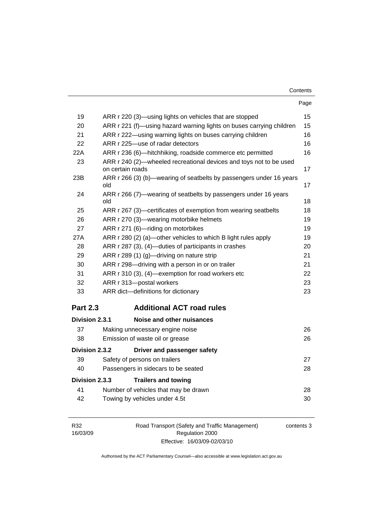| Contents |
|----------|
|----------|

|                 |                                                                                        | Page |
|-----------------|----------------------------------------------------------------------------------------|------|
| 19              | ARR r 220 (3)—using lights on vehicles that are stopped                                | 15   |
| 20              | ARR r 221 (f)—using hazard warning lights on buses carrying children                   | 15   |
| 21              | ARR r 222—using warning lights on buses carrying children                              | 16   |
| 22              | ARR r 225-use of radar detectors                                                       | 16   |
| 22A             | ARR r 236 (6)—hitchhiking, roadside commerce etc permitted                             | 16   |
| 23              | ARR r 240 (2)—wheeled recreational devices and toys not to be used<br>on certain roads | 17   |
| 23B             | ARR r 266 (3) (b)—wearing of seatbelts by passengers under 16 years<br>old             | 17   |
| 24              | ARR r 266 (7)—wearing of seatbelts by passengers under 16 years<br>old                 | 18   |
| 25              | ARR r 267 (3)—certificates of exemption from wearing seatbelts                         | 18   |
| 26              | ARR r 270 (3)—wearing motorbike helmets                                                | 19   |
| 27              | ARR r 271 (6)-riding on motorbikes                                                     | 19   |
| 27A             | ARR r 280 (2) (a)—other vehicles to which B light rules apply                          | 19   |
| 28              | ARR r 287 (3), (4)-duties of participants in crashes                                   | 20   |
| 29              | ARR r 289 (1) (g)—driving on nature strip                                              | 21   |
| 30              | ARR r 298-driving with a person in or on trailer                                       | 21   |
| 31              | ARR r 310 (3), (4)-exemption for road workers etc                                      | 22   |
| 32              | ARR r 313-postal workers                                                               | 23   |
| 33              | ARR dict-definitions for dictionary                                                    | 23   |
| <b>Part 2.3</b> | <b>Additional ACT road rules</b>                                                       |      |
| Division 2.3.1  | Noise and other nuisances                                                              |      |
| 37              | Making unnecessary engine noise                                                        | 26   |
| 38              | Emission of waste oil or grease                                                        | 26   |
| Division 2.3.2  | Driver and passenger safety                                                            |      |
| 39              | Safety of persons on trailers                                                          | 27   |
| 40              | Passengers in sidecars to be seated                                                    | 28   |
| Division 2.3.3  | <b>Trailers and towing</b>                                                             |      |
| 41              | Number of vehicles that may be drawn                                                   | 28   |
| 42              | Towing by vehicles under 4.5t                                                          | 30   |

| R32      |  |
|----------|--|
| 16/03/09 |  |

Road Transport (Safety and Traffic Management) Regulation 2000 Effective: 16/03/09-02/03/10

contents 3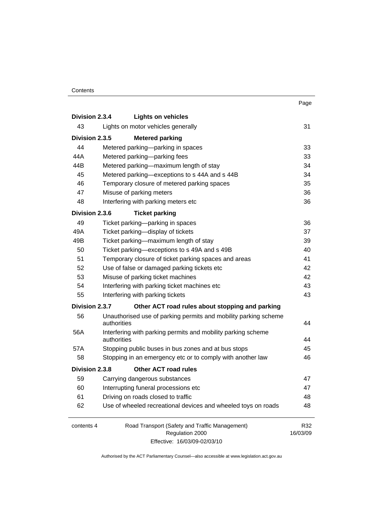#### **Contents**

|                |                                                                    | Page     |
|----------------|--------------------------------------------------------------------|----------|
| Division 2.3.4 | <b>Lights on vehicles</b>                                          |          |
| 43             | Lights on motor vehicles generally                                 | 31       |
| Division 2.3.5 | <b>Metered parking</b>                                             |          |
| 44             | Metered parking—parking in spaces                                  | 33       |
| 44A            | Metered parking-parking fees                                       | 33       |
| 44B            | Metered parking-maximum length of stay                             | 34       |
| 45             | Metered parking-exceptions to s 44A and s 44B                      | 34       |
| 46             | Temporary closure of metered parking spaces                        | 35       |
| 47             | Misuse of parking meters                                           | 36       |
| 48             | Interfering with parking meters etc                                | 36       |
| Division 2.3.6 | <b>Ticket parking</b>                                              |          |
| 49             | Ticket parking-parking in spaces                                   | 36       |
| 49A            | Ticket parking-display of tickets                                  | 37       |
| 49B            | Ticket parking-maximum length of stay                              | 39       |
| 50             | Ticket parking-exceptions to s 49A and s 49B                       | 40       |
| 51             | Temporary closure of ticket parking spaces and areas               | 41       |
| 52             | Use of false or damaged parking tickets etc                        | 42       |
| 53             | Misuse of parking ticket machines                                  | 42       |
| 54             | Interfering with parking ticket machines etc                       | 43       |
| 55             | Interfering with parking tickets                                   | 43       |
| Division 2.3.7 | Other ACT road rules about stopping and parking                    |          |
| 56             | Unauthorised use of parking permits and mobility parking scheme    |          |
|                | authorities                                                        | 44       |
| 56A            | Interfering with parking permits and mobility parking scheme       |          |
| 57A            | authorities<br>Stopping public buses in bus zones and at bus stops | 44<br>45 |
| 58             | Stopping in an emergency etc or to comply with another law         | 46       |
|                |                                                                    |          |
| Division 2.3.8 | <b>Other ACT road rules</b>                                        |          |
| 59             | Carrying dangerous substances                                      | 47       |
| 60             | Interrupting funeral processions etc                               | 47       |
| 61             | Driving on roads closed to traffic                                 | 48       |
| 62             | Use of wheeled recreational devices and wheeled toys on roads      | 48       |
| contents 4     | Road Transport (Safety and Traffic Management)                     | R32      |
|                | Regulation 2000                                                    | 16/03/09 |
|                | Effective: 16/03/09-02/03/10                                       |          |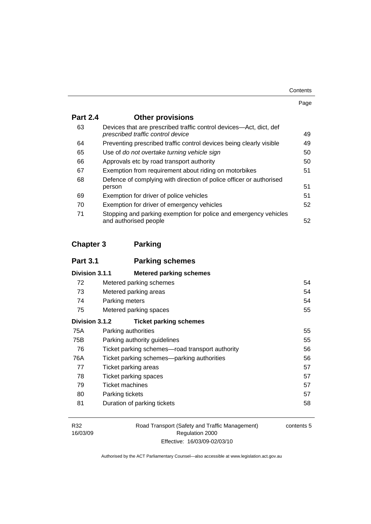| Contents |
|----------|
|----------|

| . . | ٧ |
|-----|---|

| <b>Part 2.4</b> | <b>Other provisions</b>                                                                                 |    |
|-----------------|---------------------------------------------------------------------------------------------------------|----|
| 63              | Devices that are prescribed traffic control devices—Act, dict, def<br>prescribed traffic control device | 49 |
| 64              | Preventing prescribed traffic control devices being clearly visible                                     | 49 |
| 65              | Use of do not overtake turning vehicle sign                                                             | 50 |
| 66              | Approvals etc by road transport authority                                                               | 50 |
| 67              | Exemption from requirement about riding on motorbikes                                                   | 51 |
| 68              | Defence of complying with direction of police officer or authorised<br>person                           | 51 |
| 69              | Exemption for driver of police vehicles                                                                 | 51 |
| 70              | Exemption for driver of emergency vehicles                                                              | 52 |
| 71              | Stopping and parking exemption for police and emergency vehicles<br>and authorised people               | 52 |

## **Chapter 3 Parking**

| <b>Part 3.1</b> | <b>Parking schemes</b>                          |    |
|-----------------|-------------------------------------------------|----|
| Division 3.1.1  | <b>Metered parking schemes</b>                  |    |
| 72              | Metered parking schemes                         | 54 |
| 73              | Metered parking areas                           | 54 |
| 74              | Parking meters                                  | 54 |
| 75              | Metered parking spaces                          | 55 |
| Division 3.1.2  | <b>Ticket parking schemes</b>                   |    |
| 75A             | Parking authorities                             | 55 |
| 75B             | Parking authority guidelines                    | 55 |
| 76              | Ticket parking schemes-road transport authority | 56 |
| 76A             | Ticket parking schemes—parking authorities      | 56 |
| 77              | Ticket parking areas                            | 57 |
| 78              | Ticket parking spaces                           | 57 |
| 79              | Ticket machines                                 | 57 |
| 80              | Parking tickets                                 | 57 |
| 81              | Duration of parking tickets                     | 58 |

| R32      |
|----------|
| 16/03/09 |

Road Transport (Safety and Traffic Management) Regulation 2000 Effective: 16/03/09-02/03/10

contents 5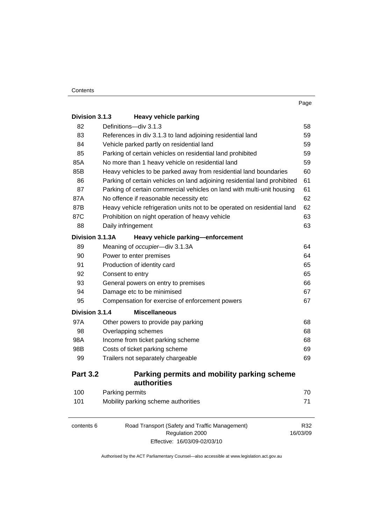| Division 3.1.3                                  | <b>Heavy vehicle parking</b>                                              |                 |
|-------------------------------------------------|---------------------------------------------------------------------------|-----------------|
| 82                                              | Definitions-div 3.1.3                                                     | 58              |
| 83                                              | References in div 3.1.3 to land adjoining residential land                | 59              |
| 84<br>Vehicle parked partly on residential land |                                                                           | 59              |
| 85                                              | Parking of certain vehicles on residential land prohibited                | 59<br>59        |
| 85A                                             | No more than 1 heavy vehicle on residential land                          |                 |
| 85B                                             | Heavy vehicles to be parked away from residential land boundaries         | 60              |
| 86                                              | Parking of certain vehicles on land adjoining residential land prohibited | 61              |
| 87                                              | Parking of certain commercial vehicles on land with multi-unit housing    | 61              |
| 87A                                             | No offence if reasonable necessity etc                                    | 62              |
| 87B                                             | Heavy vehicle refrigeration units not to be operated on residential land  | 62              |
| 87C                                             | Prohibition on night operation of heavy vehicle                           | 63              |
| 88                                              | Daily infringement                                                        | 63              |
| Division 3.1.3A                                 | Heavy vehicle parking-enforcement                                         |                 |
| 89                                              | Meaning of occupier-div 3.1.3A                                            | 64              |
| 90                                              | Power to enter premises                                                   | 64              |
| 91                                              | Production of identity card                                               | 65              |
| 92<br>Consent to entry                          |                                                                           | 65              |
| 93                                              | General powers on entry to premises                                       | 66              |
| 94                                              | Damage etc to be minimised                                                | 67              |
| 95                                              | Compensation for exercise of enforcement powers                           | 67              |
| Division 3.1.4                                  | <b>Miscellaneous</b>                                                      |                 |
| 97A                                             | Other powers to provide pay parking                                       | 68              |
| 98                                              | Overlapping schemes                                                       | 68              |
| 98A                                             | Income from ticket parking scheme                                         | 68              |
| 98B                                             | Costs of ticket parking scheme                                            | 69              |
| 99                                              | Trailers not separately chargeable                                        | 69              |
| <b>Part 3.2</b>                                 | Parking permits and mobility parking scheme<br><b>authorities</b>         |                 |
| 100                                             | Parking permits                                                           | 70              |
| 101                                             | Mobility parking scheme authorities                                       | 71              |
| contents 6                                      | Road Transport (Safety and Traffic Management)<br>Regulation 2000         | R32<br>16/03/09 |

Effective: 16/03/09-02/03/10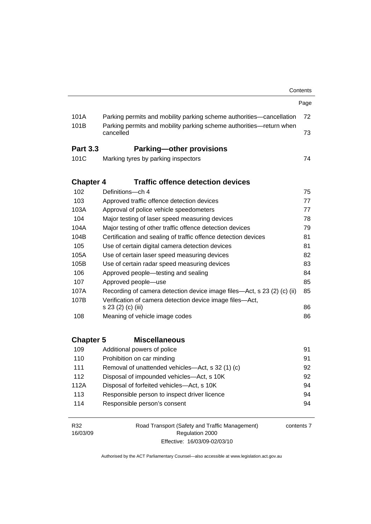|                  |                                                                                  | Contents |  |
|------------------|----------------------------------------------------------------------------------|----------|--|
|                  |                                                                                  | Page     |  |
| 101A             | Parking permits and mobility parking scheme authorities—cancellation             | 72       |  |
| 101B             | Parking permits and mobility parking scheme authorities—return when<br>cancelled | 73       |  |
| <b>Part 3.3</b>  | <b>Parking-other provisions</b>                                                  |          |  |
| 101C             | Marking tyres by parking inspectors                                              | 74       |  |
| <b>Chapter 4</b> | <b>Traffic offence detection devices</b>                                         |          |  |
| 102              | Definitions-ch 4                                                                 | 75       |  |
| 103              | Approved traffic offence detection devices                                       | 77       |  |
| 103A             | Approval of police vehicle speedometers                                          | 77       |  |
| 104              | Major testing of laser speed measuring devices                                   | 78       |  |
| 104A             | Major testing of other traffic offence detection devices                         | 79       |  |
| 104B             | Certification and sealing of traffic offence detection devices<br>81             |          |  |
| 105              | Use of certain digital camera detection devices<br>81                            |          |  |
| 105A             | Use of certain laser speed measuring devices<br>82                               |          |  |
| 105B             | Use of certain radar speed measuring devices<br>83                               |          |  |
| 106              | Approved people—testing and sealing<br>84                                        |          |  |
| 107              | Approved people-use<br>85                                                        |          |  |
| 107A             | Recording of camera detection device image files—Act, s 23 (2) (c) (ii)<br>85    |          |  |
| 107B             | Verification of camera detection device image files-Act,                         |          |  |
| 108              | s 23 (2) (c) (iii)                                                               | 86<br>86 |  |
|                  | Meaning of vehicle image codes                                                   |          |  |
| <b>Chapter 5</b> | <b>Miscellaneous</b>                                                             |          |  |
| 109              | Additional powers of police                                                      | 91       |  |
| 110              | Prohibition on car minding                                                       | 91       |  |
| 111              | Removal of unattended vehicles-Act, s 32 (1) (c)                                 | 92       |  |
| 112              | Disposal of impounded vehicles-Act, s 10K                                        | 92       |  |
| 112A             | Disposal of forfeited vehicles-Act, s 10K<br>94                                  |          |  |
| 113              | Responsible person to inspect driver licence                                     | 94       |  |
| 114              | Responsible person's consent                                                     | 94       |  |
|                  |                                                                                  |          |  |

R32 16/03/09 Road Transport (Safety and Traffic Management) Regulation 2000 Effective: 16/03/09-02/03/10

contents 7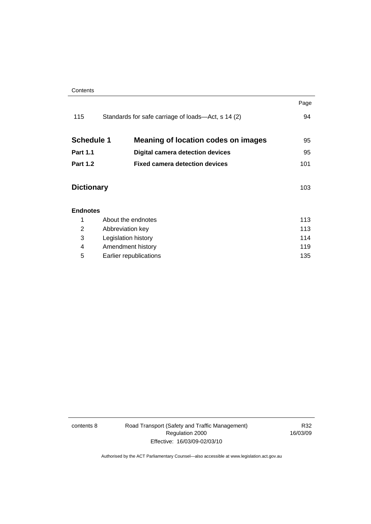|                   |                                                    | Page |
|-------------------|----------------------------------------------------|------|
| 115               | Standards for safe carriage of loads—Act, s 14 (2) | 94   |
| <b>Schedule 1</b> | <b>Meaning of location codes on images</b>         | 95   |
| <b>Part 1.1</b>   | <b>Digital camera detection devices</b>            | 95   |
| <b>Part 1.2</b>   | <b>Fixed camera detection devices</b>              | 101  |
| <b>Dictionary</b> |                                                    | 103  |
| <b>Endnotes</b>   |                                                    |      |
| 1                 | About the endnotes                                 |      |
| 2                 | 113<br>Abbreviation key                            |      |
| 3                 | 114<br>Legislation history                         |      |
| 4                 | 119<br>Amendment history                           |      |
| 5                 | Earlier republications                             | 135  |

contents 8 Road Transport (Safety and Traffic Management) Regulation 2000 Effective: 16/03/09-02/03/10

R32 16/03/09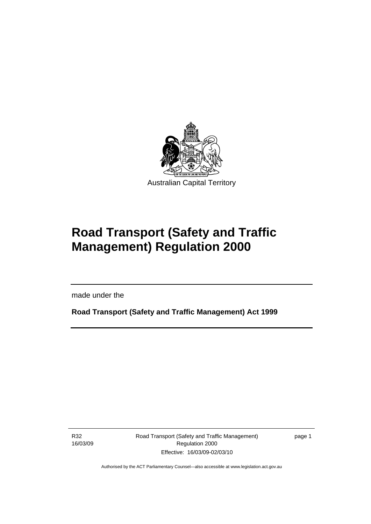<span id="page-10-0"></span>

# **Road Transport (Safety and Traffic Management) Regulation 2000**

made under the

**Road Transport (Safety and Traffic Management) Act 1999** 

R32 16/03/09

l

Road Transport (Safety and Traffic Management) Regulation 2000 Effective: 16/03/09-02/03/10

page 1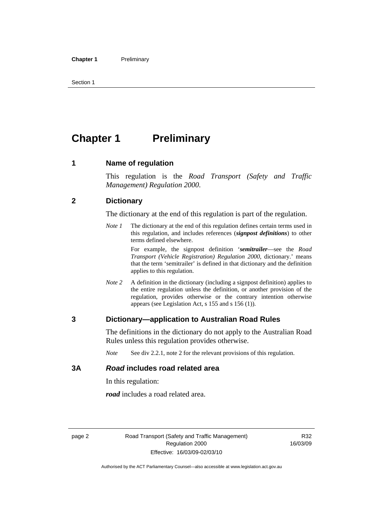<span id="page-11-0"></span>Section 1

# **Chapter 1** Preliminary

#### **1 Name of regulation**

This regulation is the *Road Transport (Safety and Traffic Management) Regulation 2000*.

#### **2 Dictionary**

The dictionary at the end of this regulation is part of the regulation.

*Note 1* The dictionary at the end of this regulation defines certain terms used in this regulation, and includes references (*signpost definitions*) to other terms defined elsewhere.

> For example, the signpost definition '*semitrailer*—see the *Road Transport (Vehicle Registration) Regulation 2000*, dictionary.' means that the term 'semitrailer' is defined in that dictionary and the definition applies to this regulation.

*Note 2* A definition in the dictionary (including a signpost definition) applies to the entire regulation unless the definition, or another provision of the regulation, provides otherwise or the contrary intention otherwise appears (see Legislation Act, s 155 and s 156 (1)).

#### **3 Dictionary—application to Australian Road Rules**

The definitions in the dictionary do not apply to the Australian Road Rules unless this regulation provides otherwise.

*Note* See div 2.2.1, note 2 for the relevant provisions of this regulation.

#### **3A** *Road* **includes road related area**

In this regulation:

*road* includes a road related area.

R32 16/03/09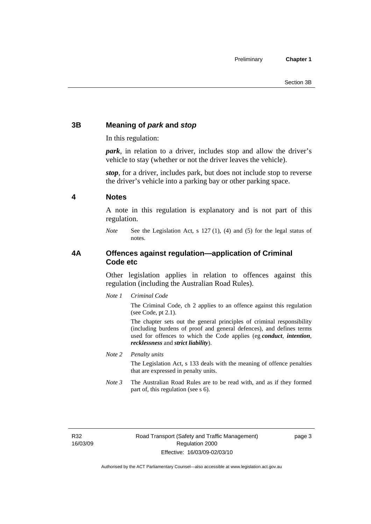#### <span id="page-12-0"></span>**3B Meaning of** *park* **and** *stop*

In this regulation:

*park*, in relation to a driver, includes stop and allow the driver's vehicle to stay (whether or not the driver leaves the vehicle).

*stop*, for a driver, includes park, but does not include stop to reverse the driver's vehicle into a parking bay or other parking space.

#### **4 Notes**

A note in this regulation is explanatory and is not part of this regulation.

*Note* See the Legislation Act, s 127 (1), (4) and (5) for the legal status of notes.

#### **4A Offences against regulation—application of Criminal Code etc**

Other legislation applies in relation to offences against this regulation (including the Australian Road Rules).

*Note 1 Criminal Code*

The Criminal Code, ch 2 applies to an offence against this regulation (see Code, pt 2.1).

The chapter sets out the general principles of criminal responsibility (including burdens of proof and general defences), and defines terms used for offences to which the Code applies (eg *conduct*, *intention*, *recklessness* and *strict liability*).

*Note 2 Penalty units* 

The Legislation Act, s 133 deals with the meaning of offence penalties that are expressed in penalty units.

*Note 3* The Australian Road Rules are to be read with, and as if they formed part of, this regulation (see s 6).

R32 16/03/09 page 3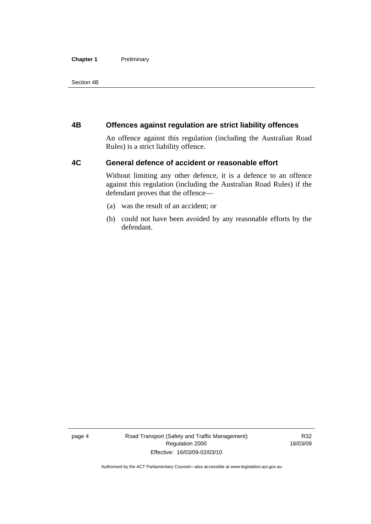#### <span id="page-13-0"></span>**Chapter 1** Preliminary

Section 4B

#### **4B Offences against regulation are strict liability offences**

An offence against this regulation (including the Australian Road Rules) is a strict liability offence.

#### **4C General defence of accident or reasonable effort**

Without limiting any other defence, it is a defence to an offence against this regulation (including the Australian Road Rules) if the defendant proves that the offence—

- (a) was the result of an accident; or
- (b) could not have been avoided by any reasonable efforts by the defendant.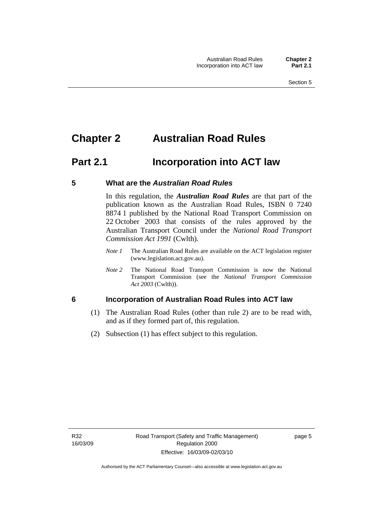# <span id="page-14-0"></span>**Chapter 2 Australian Road Rules**

## **Part 2.1 Incorporation into ACT law**

#### **5 What are the** *Australian Road Rules*

In this regulation, the *Australian Road Rules* are that part of the publication known as the Australian Road Rules, ISBN 0 7240 8874 1 published by the National Road Transport Commission on 22 October 2003 that consists of the rules approved by the Australian Transport Council under the *National Road Transport Commission Act 1991* (Cwlth).

- *Note 1* The Australian Road Rules are available on the ACT legislation register (www.legislation.act.gov.au).
- *Note 2* The National Road Transport Commission is now the National Transport Commission (see the *National Transport Commission Act 2003* (Cwlth)).

#### **6 Incorporation of Australian Road Rules into ACT law**

- (1) The Australian Road Rules (other than rule 2) are to be read with, and as if they formed part of, this regulation.
- (2) Subsection (1) has effect subject to this regulation.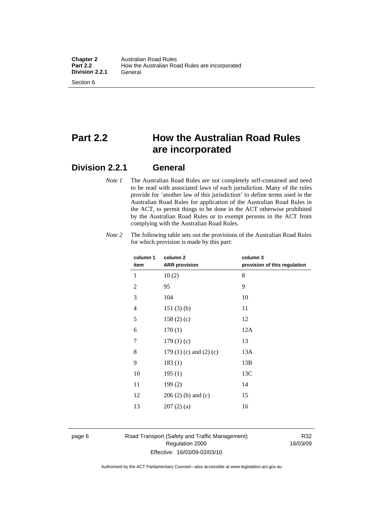# **Part 2.2 How the Australian Road Rules are incorporated**

### **Division 2.2.1 General**

*Note 1* The Australian Road Rules are not completely self-contained and need to be read with associated laws of each jurisdiction. Many of the rules provide for 'another law of this jurisdiction' to define terms used in the Australian Road Rules for application of the Australian Road Rules in the ACT, to permit things to be done in the ACT otherwise prohibited by the Australian Road Rules or to exempt persons in the ACT from complying with the Australian Road Rules.

| column <sub>2</sub>             | column 3<br>provision of this regulation |
|---------------------------------|------------------------------------------|
| 10(2)                           | 8                                        |
| 95                              | 9                                        |
| 104                             | 10                                       |
| 151(3)(b)                       | 11                                       |
| 158(2)(c)                       | 12                                       |
| 170(1)                          | 12A                                      |
| 179(1)(c)                       | 13                                       |
| 179 $(1)$ $(c)$ and $(2)$ $(c)$ | 13A                                      |
| 183(1)                          | 13B                                      |
| 195(1)                          | 13C                                      |
| 199(2)                          | 14                                       |
| $206(2)$ (b) and (c)            | 15                                       |
| 207(2)(a)                       | 16                                       |
|                                 | <b>ARR</b> provision                     |

*Note 2* The following table sets out the provisions of the Australian Road Rules for which provision is made by this part:

#### page 6 Road Transport (Safety and Traffic Management) Regulation 2000 Effective: 16/03/09-02/03/10

R32 16/03/09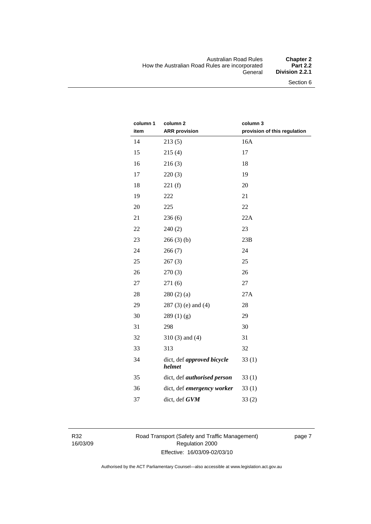#### Australian Road Rules **Chapter 2**  How the Australian Road Rules are incorporated<br>General **Division 2.2.1**

| column 1 | column 2                             | column 3                     |
|----------|--------------------------------------|------------------------------|
| item     | <b>ARR</b> provision                 | provision of this regulation |
| 14       | 213(5)                               | 16A                          |
| 15       | 215(4)                               | 17                           |
| 16       | 216(3)                               | 18                           |
| 17       | 220(3)                               | 19                           |
| 18       | 221(f)                               | 20                           |
| 19       | 222                                  | 21                           |
| 20       | 225                                  | 22                           |
| 21       | 236(6)                               | 22A                          |
| 22       | 240(2)                               | 23                           |
| 23       | 266(3)(b)                            | 23B                          |
| 24       | 266(7)                               | 24                           |
| 25       | 267(3)                               | 25                           |
| 26       | 270(3)                               | 26                           |
| 27       | 271(6)                               | 27                           |
| 28       | 280(2)(a)                            | 27A                          |
| 29       | $287(3)$ (e) and (4)                 | 28                           |
| 30       | 289(1)(g)                            | 29                           |
| 31       | 298                                  | 30                           |
| 32       | $310(3)$ and $(4)$                   | 31                           |
| 33       | 313                                  | 32                           |
| 34       | dict, def approved bicycle<br>helmet | 33(1)                        |
| 35       | dict, def <i>authorised</i> person   | 33(1)                        |
| 36       | dict, def emergency worker           | 33(1)                        |
| 37       | dict, def GVM                        | 33(2)                        |

R32 16/03/09 Road Transport (Safety and Traffic Management) Regulation 2000 Effective: 16/03/09-02/03/10

page 7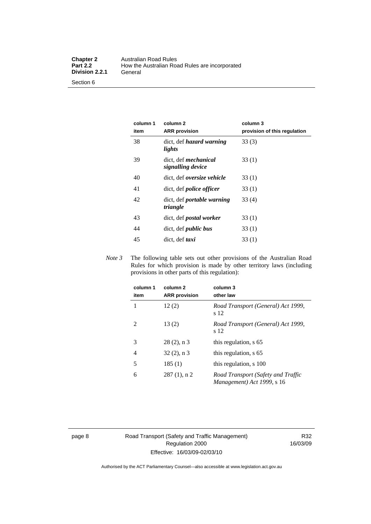Section 6

| column 1<br>item | column 2<br><b>ARR</b> provision                 | column 3<br>provision of this regulation |
|------------------|--------------------------------------------------|------------------------------------------|
| 38               | dict, def <i>hazard</i> warning<br>lights        | 33(3)                                    |
| 39               | dict, def <i>mechanical</i><br>signalling device | 33(1)                                    |
| 40               | dict, def <i>oversize</i> vehicle                | 33 (1)                                   |
| 41               | dict, def <i>police</i> officer                  | 33(1)                                    |
| 42               | dict, def <i>portable</i> warning<br>triangle    | 33(4)                                    |
| 43               | dict, def <i>postal</i> worker                   | 33(1)                                    |
| 44               | dict, def <i>public</i> bus                      | 33(1)                                    |
| 45               | dict, def taxi                                   | 33(1)                                    |

*Note 3* The following table sets out other provisions of the Australian Road Rules for which provision is made by other territory laws (including provisions in other parts of this regulation):

| column 1<br>item | column <sub>2</sub><br><b>ARR</b> provision | column 3<br>other law                                            |
|------------------|---------------------------------------------|------------------------------------------------------------------|
| 1                | 12(2)                                       | Road Transport (General) Act 1999,<br>s 12                       |
| 2                | 13(2)                                       | Road Transport (General) Act 1999,<br>s 12                       |
| 3                | $28(2)$ , n 3                               | this regulation, s 65                                            |
| 4                | $32(2)$ , n 3                               | this regulation, s 65                                            |
| 5                | 185(1)                                      | this regulation, s 100                                           |
| 6                | $287(1)$ , n 2                              | Road Transport (Safety and Traffic<br>Management) Act 1999, s 16 |

page 8 Road Transport (Safety and Traffic Management) Regulation 2000 Effective: 16/03/09-02/03/10

R32 16/03/09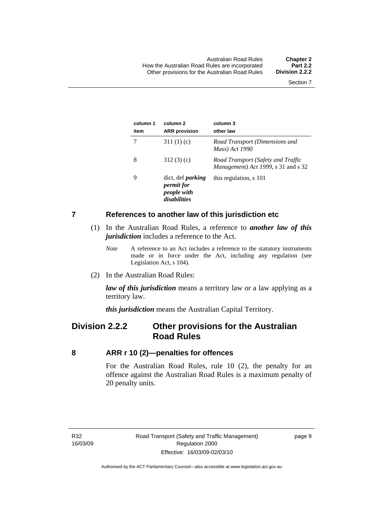<span id="page-18-0"></span>

| column 1<br>item | column 2<br><b>ARR</b> provision                                             | column 3<br>other law                                                     |
|------------------|------------------------------------------------------------------------------|---------------------------------------------------------------------------|
|                  | 311 $(1)(c)$                                                                 | Road Transport (Dimensions and<br>Mass) Act 1990                          |
| 8                | 312(3)(c)                                                                    | Road Transport (Safety and Traffic<br>Management) Act 1999, s 31 and s 32 |
| 9                | dict, def <i>parking</i><br><i>permit for</i><br>people with<br>disabilities | this regulation, s 101                                                    |

#### **7 References to another law of this jurisdiction etc**

- (1) In the Australian Road Rules, a reference to *another law of this jurisdiction* includes a reference to the Act.
	- *Note* A reference to an Act includes a reference to the statutory instruments made or in force under the Act, including any regulation (see Legislation Act, s 104).
- (2) In the Australian Road Rules:

*law of this jurisdiction* means a territory law or a law applying as a territory law.

*this jurisdiction* means the Australian Capital Territory.

## **Division 2.2.2 Other provisions for the Australian Road Rules**

#### **8 ARR r 10 (2)—penalties for offences**

For the Australian Road Rules, rule 10 (2), the penalty for an offence against the Australian Road Rules is a maximum penalty of 20 penalty units.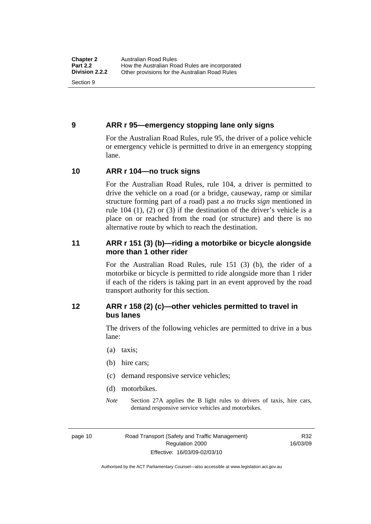#### <span id="page-19-0"></span>**9 ARR r 95—emergency stopping lane only signs**

For the Australian Road Rules, rule 95, the driver of a police vehicle or emergency vehicle is permitted to drive in an emergency stopping lane.

#### **10 ARR r 104—no truck signs**

For the Australian Road Rules, rule 104, a driver is permitted to drive the vehicle on a road (or a bridge, causeway, ramp or similar structure forming part of a road) past a *no trucks sign* mentioned in rule 104 (1), (2) or (3) if the destination of the driver's vehicle is a place on or reached from the road (or structure) and there is no alternative route by which to reach the destination.

#### **11 ARR r 151 (3) (b)—riding a motorbike or bicycle alongside more than 1 other rider**

For the Australian Road Rules, rule 151 (3) (b), the rider of a motorbike or bicycle is permitted to ride alongside more than 1 rider if each of the riders is taking part in an event approved by the road transport authority for this section.

#### **12 ARR r 158 (2) (c)—other vehicles permitted to travel in bus lanes**

The drivers of the following vehicles are permitted to drive in a bus lane:

- (a) taxis;
- (b) hire cars;
- (c) demand responsive service vehicles;
- (d) motorbikes.
- *Note* Section 27A applies the B light rules to drivers of taxis, hire cars, demand responsive service vehicles and motorbikes.

page 10 Road Transport (Safety and Traffic Management) Regulation 2000 Effective: 16/03/09-02/03/10

R32 16/03/09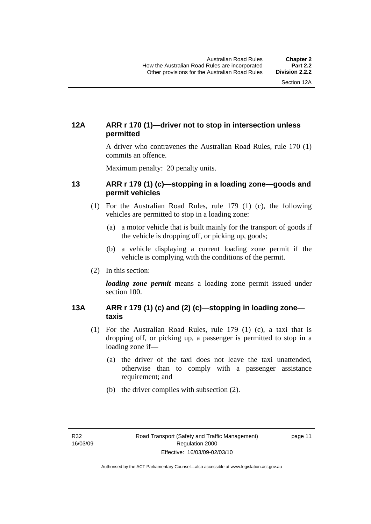#### <span id="page-20-0"></span>**12A ARR r 170 (1)—driver not to stop in intersection unless permitted**

A driver who contravenes the Australian Road Rules, rule 170 (1) commits an offence.

Maximum penalty: 20 penalty units.

#### **13 ARR r 179 (1) (c)—stopping in a loading zone—goods and permit vehicles**

- (1) For the Australian Road Rules, rule 179 (1) (c), the following vehicles are permitted to stop in a loading zone:
	- (a) a motor vehicle that is built mainly for the transport of goods if the vehicle is dropping off, or picking up, goods;
	- (b) a vehicle displaying a current loading zone permit if the vehicle is complying with the conditions of the permit.
- (2) In this section:

*loading zone permit* means a loading zone permit issued under section 100.

#### **13A ARR r 179 (1) (c) and (2) (c)—stopping in loading zone taxis**

- (1) For the Australian Road Rules, rule 179 (1) (c), a taxi that is dropping off, or picking up, a passenger is permitted to stop in a loading zone if—
	- (a) the driver of the taxi does not leave the taxi unattended, otherwise than to comply with a passenger assistance requirement; and
	- (b) the driver complies with subsection (2).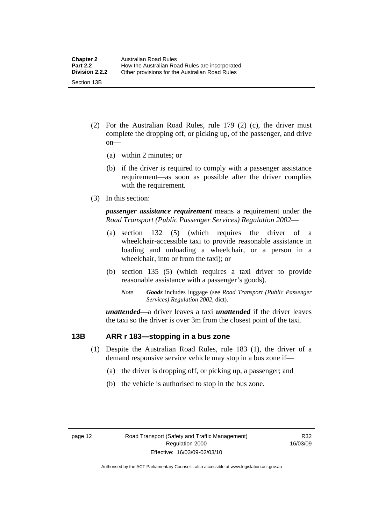- <span id="page-21-0"></span> (2) For the Australian Road Rules, rule 179 (2) (c), the driver must complete the dropping off, or picking up, of the passenger, and drive on—
	- (a) within 2 minutes; or
	- (b) if the driver is required to comply with a passenger assistance requirement—as soon as possible after the driver complies with the requirement.
- (3) In this section:

*passenger assistance requirement* means a requirement under the *Road Transport (Public Passenger Services) Regulation 2002*—

- (a) section 132 (5) (which requires the driver of a wheelchair-accessible taxi to provide reasonable assistance in loading and unloading a wheelchair, or a person in a wheelchair, into or from the taxi); or
- (b) section 135 (5) (which requires a taxi driver to provide reasonable assistance with a passenger's goods).
	- *Note Goods* includes luggage (see *Road Transport (Public Passenger Services) Regulation 2002*, dict).

*unattended*—a driver leaves a taxi *unattended* if the driver leaves the taxi so the driver is over 3m from the closest point of the taxi.

#### **13B ARR r 183—stopping in a bus zone**

- (1) Despite the Australian Road Rules, rule 183 (1), the driver of a demand responsive service vehicle may stop in a bus zone if—
	- (a) the driver is dropping off, or picking up, a passenger; and
	- (b) the vehicle is authorised to stop in the bus zone.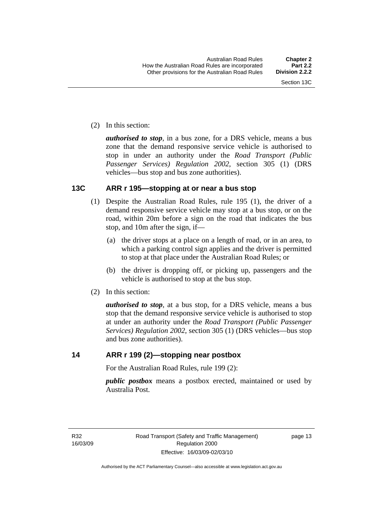<span id="page-22-0"></span>(2) In this section:

*authorised to stop*, in a bus zone, for a DRS vehicle, means a bus zone that the demand responsive service vehicle is authorised to stop in under an authority under the *Road Transport (Public Passenger Services) Regulation 2002*, section 305 (1) (DRS vehicles—bus stop and bus zone authorities).

#### **13C ARR r 195—stopping at or near a bus stop**

- (1) Despite the Australian Road Rules, rule 195 (1), the driver of a demand responsive service vehicle may stop at a bus stop, or on the road, within 20m before a sign on the road that indicates the bus stop, and 10m after the sign, if—
	- (a) the driver stops at a place on a length of road, or in an area, to which a parking control sign applies and the driver is permitted to stop at that place under the Australian Road Rules; or
	- (b) the driver is dropping off, or picking up, passengers and the vehicle is authorised to stop at the bus stop.
- (2) In this section:

*authorised to stop*, at a bus stop, for a DRS vehicle, means a bus stop that the demand responsive service vehicle is authorised to stop at under an authority under the *Road Transport (Public Passenger Services) Regulation 2002*, section 305 (1) (DRS vehicles—bus stop and bus zone authorities).

#### **14 ARR r 199 (2)—stopping near postbox**

For the Australian Road Rules, rule 199 (2):

*public postbox* means a postbox erected, maintained or used by Australia Post.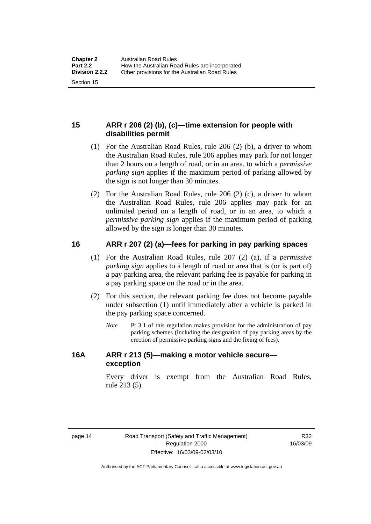#### <span id="page-23-0"></span>**15 ARR r 206 (2) (b), (c)—time extension for people with disabilities permit**

- (1) For the Australian Road Rules, rule 206 (2) (b), a driver to whom the Australian Road Rules, rule 206 applies may park for not longer than 2 hours on a length of road, or in an area, to which a *permissive parking sign* applies if the maximum period of parking allowed by the sign is not longer than 30 minutes.
- (2) For the Australian Road Rules, rule 206 (2) (c), a driver to whom the Australian Road Rules, rule 206 applies may park for an unlimited period on a length of road, or in an area, to which a *permissive parking sign* applies if the maximum period of parking allowed by the sign is longer than 30 minutes.

#### **16 ARR r 207 (2) (a)—fees for parking in pay parking spaces**

- (1) For the Australian Road Rules, rule 207 (2) (a), if a *permissive parking sign* applies to a length of road or area that is (or is part of) a pay parking area, the relevant parking fee is payable for parking in a pay parking space on the road or in the area.
- (2) For this section, the relevant parking fee does not become payable under subsection (1) until immediately after a vehicle is parked in the pay parking space concerned.
	- *Note* Pt 3.1 of this regulation makes provision for the administration of pay parking schemes (including the designation of pay parking areas by the erection of permissive parking signs and the fixing of fees).

#### **16A ARR r 213 (5)—making a motor vehicle secure exception**

Every driver is exempt from the Australian Road Rules, rule 213 (5).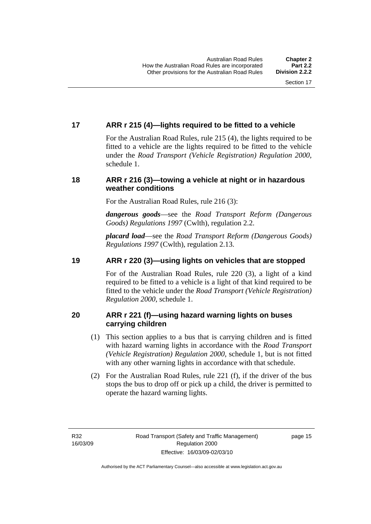#### <span id="page-24-0"></span>**17 ARR r 215 (4)—lights required to be fitted to a vehicle**

For the Australian Road Rules, rule 215 (4), the lights required to be fitted to a vehicle are the lights required to be fitted to the vehicle under the *Road Transport (Vehicle Registration) Regulation 2000,*  schedule 1.

#### **18 ARR r 216 (3)—towing a vehicle at night or in hazardous weather conditions**

For the Australian Road Rules, rule 216 (3):

*dangerous goods*—see the *Road Transport Reform (Dangerous Goods) Regulations 1997* (Cwlth), regulation 2.2.

*placard load*—see the *Road Transport Reform (Dangerous Goods) Regulations 1997* (Cwlth), regulation 2.13.

#### **19 ARR r 220 (3)—using lights on vehicles that are stopped**

For of the Australian Road Rules, rule 220 (3), a light of a kind required to be fitted to a vehicle is a light of that kind required to be fitted to the vehicle under the *Road Transport (Vehicle Registration) Regulation 2000*, schedule 1.

#### **20 ARR r 221 (f)—using hazard warning lights on buses carrying children**

- (1) This section applies to a bus that is carrying children and is fitted with hazard warning lights in accordance with the *Road Transport (Vehicle Registration) Regulation 2000*, schedule 1, but is not fitted with any other warning lights in accordance with that schedule.
- (2) For the Australian Road Rules, rule 221 (f), if the driver of the bus stops the bus to drop off or pick up a child, the driver is permitted to operate the hazard warning lights.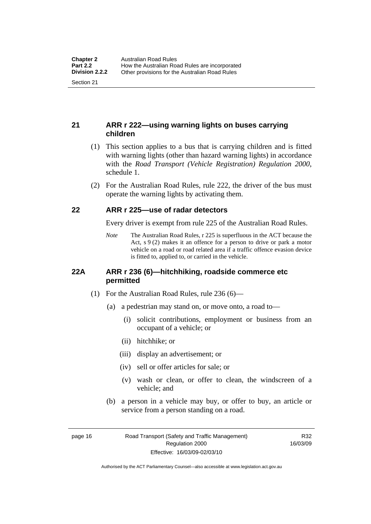#### <span id="page-25-0"></span>**21 ARR r 222—using warning lights on buses carrying children**

- (1) This section applies to a bus that is carrying children and is fitted with warning lights (other than hazard warning lights) in accordance with the *Road Transport (Vehicle Registration) Regulation 2000*, schedule 1.
- (2) For the Australian Road Rules, rule 222, the driver of the bus must operate the warning lights by activating them.

#### **22 ARR r 225—use of radar detectors**

Every driver is exempt from rule 225 of the Australian Road Rules.

*Note* The Australian Road Rules, r 225 is superfluous in the ACT because the Act, s 9 (2) makes it an offence for a person to drive or park a motor vehicle on a road or road related area if a traffic offence evasion device is fitted to, applied to, or carried in the vehicle.

#### **22A ARR r 236 (6)—hitchhiking, roadside commerce etc permitted**

- (1) For the Australian Road Rules, rule 236 (6)—
	- (a) a pedestrian may stand on, or move onto, a road to—
		- (i) solicit contributions, employment or business from an occupant of a vehicle; or
		- (ii) hitchhike; or
		- (iii) display an advertisement; or
		- (iv) sell or offer articles for sale; or
		- (v) wash or clean, or offer to clean, the windscreen of a vehicle; and
	- (b) a person in a vehicle may buy, or offer to buy, an article or service from a person standing on a road.

page 16 Road Transport (Safety and Traffic Management) Regulation 2000 Effective: 16/03/09-02/03/10

R32 16/03/09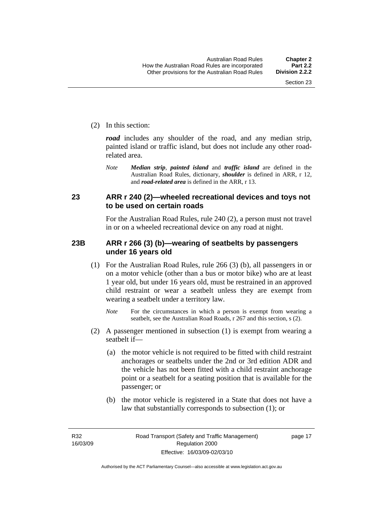<span id="page-26-0"></span>(2) In this section:

*road* includes any shoulder of the road, and any median strip, painted island or traffic island, but does not include any other roadrelated area.

*Note Median strip*, *painted island* and *traffic island* are defined in the Australian Road Rules, dictionary, *shoulder* is defined in ARR, r 12, and *road-related area* is defined in the ARR, r 13.

#### **23 ARR r 240 (2)—wheeled recreational devices and toys not to be used on certain roads**

For the Australian Road Rules, rule 240 (2), a person must not travel in or on a wheeled recreational device on any road at night.

#### **23B ARR r 266 (3) (b)—wearing of seatbelts by passengers under 16 years old**

- (1) For the Australian Road Rules, rule 266 (3) (b), all passengers in or on a motor vehicle (other than a bus or motor bike) who are at least 1 year old, but under 16 years old, must be restrained in an approved child restraint or wear a seatbelt unless they are exempt from wearing a seatbelt under a territory law.
	- *Note* For the circumstances in which a person is exempt from wearing a seatbelt, see the Australian Road Roads, r 267 and this section, s (2).
- (2) A passenger mentioned in subsection (1) is exempt from wearing a seatbelt if—
	- (a) the motor vehicle is not required to be fitted with child restraint anchorages or seatbelts under the 2nd or 3rd edition ADR and the vehicle has not been fitted with a child restraint anchorage point or a seatbelt for a seating position that is available for the passenger; or
	- (b) the motor vehicle is registered in a State that does not have a law that substantially corresponds to subsection (1); or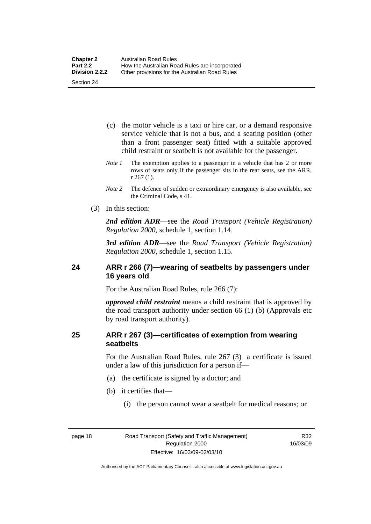- <span id="page-27-0"></span> (c) the motor vehicle is a taxi or hire car, or a demand responsive service vehicle that is not a bus, and a seating position (other than a front passenger seat) fitted with a suitable approved child restraint or seatbelt is not available for the passenger.
- *Note 1* The exemption applies to a passenger in a vehicle that has 2 or more rows of seats only if the passenger sits in the rear seats, see the ARR, r 267 (1).
- *Note 2* The defence of sudden or extraordinary emergency is also available, see the Criminal Code, s 41.
- (3) In this section:

*2nd edition ADR*—see the *Road Transport (Vehicle Registration) Regulation 2000*, schedule 1, section 1.14.

*3rd edition ADR*—see the *Road Transport (Vehicle Registration) Regulation 2000*, schedule 1, section 1.15.

#### **24 ARR r 266 (7)—wearing of seatbelts by passengers under 16 years old**

For the Australian Road Rules, rule 266 (7):

*approved child restraint* means a child restraint that is approved by the road transport authority under section 66 (1) (b) (Approvals etc by road transport authority).

#### **25 ARR r 267 (3)—certificates of exemption from wearing seatbelts**

For the Australian Road Rules, rule 267 (3) a certificate is issued under a law of this jurisdiction for a person if—

- (a) the certificate is signed by a doctor; and
- (b) it certifies that—
	- (i) the person cannot wear a seatbelt for medical reasons; or

R32 16/03/09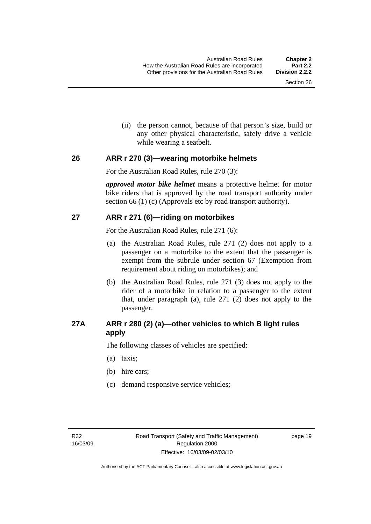(ii) the person cannot, because of that person's size, build or any other physical characteristic, safely drive a vehicle while wearing a seatbelt.

#### <span id="page-28-0"></span>**26 ARR r 270 (3)—wearing motorbike helmets**

For the Australian Road Rules, rule 270 (3):

*approved motor bike helmet* means a protective helmet for motor bike riders that is approved by the road transport authority under section 66 (1) (c) (Approvals etc by road transport authority).

#### **27 ARR r 271 (6)—riding on motorbikes**

For the Australian Road Rules, rule 271 (6):

- (a) the Australian Road Rules, rule 271 (2) does not apply to a passenger on a motorbike to the extent that the passenger is exempt from the subrule under section 67 (Exemption from requirement about riding on motorbikes); and
- (b) the Australian Road Rules, rule 271 (3) does not apply to the rider of a motorbike in relation to a passenger to the extent that, under paragraph (a), rule 271 (2) does not apply to the passenger.

#### **27A ARR r 280 (2) (a)—other vehicles to which B light rules apply**

The following classes of vehicles are specified:

- (a) taxis;
- (b) hire cars;
- (c) demand responsive service vehicles;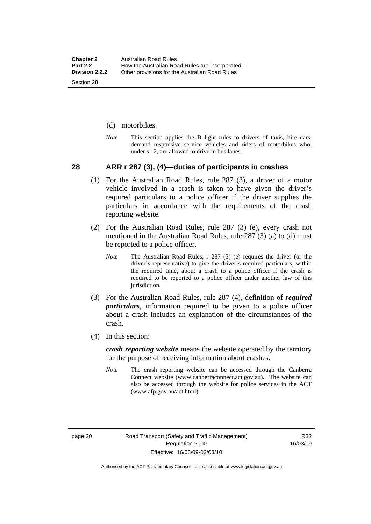- <span id="page-29-0"></span>(d) motorbikes.
- *Note* This section applies the B light rules to drivers of taxis, hire cars, demand responsive service vehicles and riders of motorbikes who, under s 12, are allowed to drive in bus lanes.

#### **28 ARR r 287 (3), (4)—duties of participants in crashes**

- (1) For the Australian Road Rules, rule 287 (3), a driver of a motor vehicle involved in a crash is taken to have given the driver's required particulars to a police officer if the driver supplies the particulars in accordance with the requirements of the crash reporting website.
- (2) For the Australian Road Rules, rule 287 (3) (e), every crash not mentioned in the Australian Road Rules, rule 287 (3) (a) to (d) must be reported to a police officer.
	- *Note* The Australian Road Rules, r 287 (3) (e) requires the driver (or the driver's representative) to give the driver's required particulars, within the required time, about a crash to a police officer if the crash is required to be reported to a police officer under another law of this jurisdiction.
- (3) For the Australian Road Rules, rule 287 (4), definition of *required particulars*, information required to be given to a police officer about a crash includes an explanation of the circumstances of the crash.
- (4) In this section:

*crash reporting website* means the website operated by the territory for the purpose of receiving information about crashes.

*Note* The crash reporting website can be accessed through the Canberra Connect website (www.canberraconnect.act.gov.au). The website can also be accessed through the website for police services in the ACT (www.afp.gov.au/act.html).

Authorised by the ACT Parliamentary Counsel—also accessible at www.legislation.act.gov.au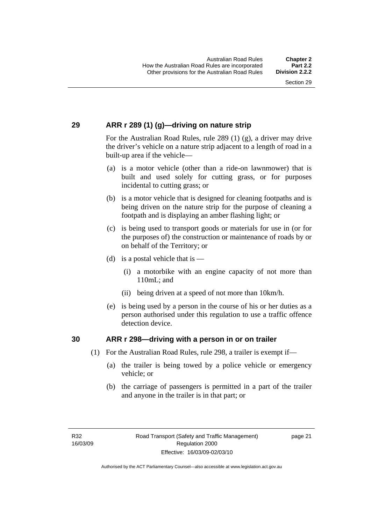#### <span id="page-30-0"></span>**29 ARR r 289 (1) (g)—driving on nature strip**

For the Australian Road Rules, rule 289 (1) (g), a driver may drive the driver's vehicle on a nature strip adjacent to a length of road in a built-up area if the vehicle—

- (a) is a motor vehicle (other than a ride-on lawnmower) that is built and used solely for cutting grass, or for purposes incidental to cutting grass; or
- (b) is a motor vehicle that is designed for cleaning footpaths and is being driven on the nature strip for the purpose of cleaning a footpath and is displaying an amber flashing light; or
- (c) is being used to transport goods or materials for use in (or for the purposes of) the construction or maintenance of roads by or on behalf of the Territory; or
- (d) is a postal vehicle that is  $-$ 
	- (i) a motorbike with an engine capacity of not more than 110mL; and
	- (ii) being driven at a speed of not more than 10km/h.
- (e) is being used by a person in the course of his or her duties as a person authorised under this regulation to use a traffic offence detection device.

#### **30 ARR r 298—driving with a person in or on trailer**

- (1) For the Australian Road Rules, rule 298, a trailer is exempt if—
	- (a) the trailer is being towed by a police vehicle or emergency vehicle; or
	- (b) the carriage of passengers is permitted in a part of the trailer and anyone in the trailer is in that part; or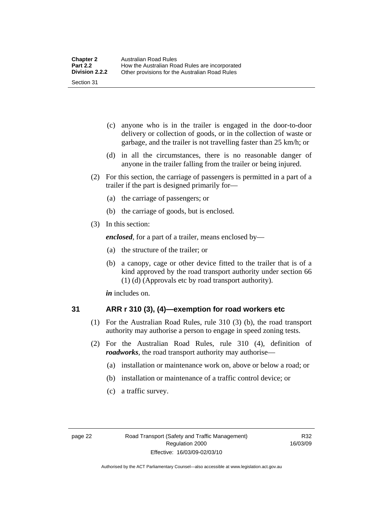- <span id="page-31-0"></span> (c) anyone who is in the trailer is engaged in the door-to-door delivery or collection of goods, or in the collection of waste or garbage, and the trailer is not travelling faster than 25 km/h; or
- (d) in all the circumstances, there is no reasonable danger of anyone in the trailer falling from the trailer or being injured.
- (2) For this section, the carriage of passengers is permitted in a part of a trailer if the part is designed primarily for—
	- (a) the carriage of passengers; or
	- (b) the carriage of goods, but is enclosed.
- (3) In this section:

*enclosed*, for a part of a trailer, means enclosed by—

- (a) the structure of the trailer; or
- (b) a canopy, cage or other device fitted to the trailer that is of a kind approved by the road transport authority under section 66 (1) (d) (Approvals etc by road transport authority).

*in* includes on.

#### **31 ARR r 310 (3), (4)—exemption for road workers etc**

- (1) For the Australian Road Rules, rule 310 (3) (b), the road transport authority may authorise a person to engage in speed zoning tests.
- (2) For the Australian Road Rules, rule 310 (4), definition of *roadworks*, the road transport authority may authorise—
	- (a) installation or maintenance work on, above or below a road; or
	- (b) installation or maintenance of a traffic control device; or
	- (c) a traffic survey.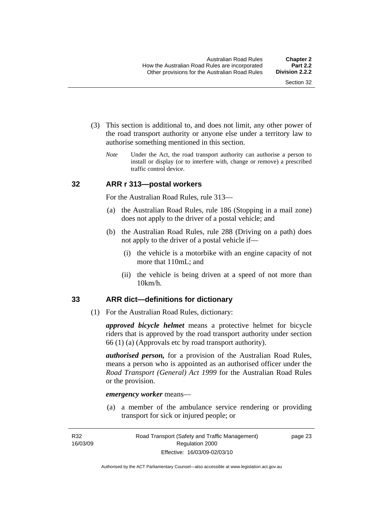- <span id="page-32-0"></span> (3) This section is additional to, and does not limit, any other power of the road transport authority or anyone else under a territory law to authorise something mentioned in this section.
	- *Note* Under the Act, the road transport authority can authorise a person to install or display (or to interfere with, change or remove) a prescribed traffic control device.

#### **32 ARR r 313—postal workers**

For the Australian Road Rules, rule 313—

- (a) the Australian Road Rules, rule 186 (Stopping in a mail zone) does not apply to the driver of a postal vehicle; and
- (b) the Australian Road Rules, rule 288 (Driving on a path) does not apply to the driver of a postal vehicle if—
	- (i) the vehicle is a motorbike with an engine capacity of not more that 110mL; and
	- (ii) the vehicle is being driven at a speed of not more than 10km/h.

#### **33 ARR dict—definitions for dictionary**

(1) For the Australian Road Rules, dictionary:

*approved bicycle helmet* means a protective helmet for bicycle riders that is approved by the road transport authority under section 66 (1) (a) (Approvals etc by road transport authority).

*authorised person,* for a provision of the Australian Road Rules, means a person who is appointed as an authorised officer under the *Road Transport (General) Act 1999* for the Australian Road Rules or the provision.

#### *emergency worker* means—

 (a) a member of the ambulance service rendering or providing transport for sick or injured people; or

R32 16/03/09 page 23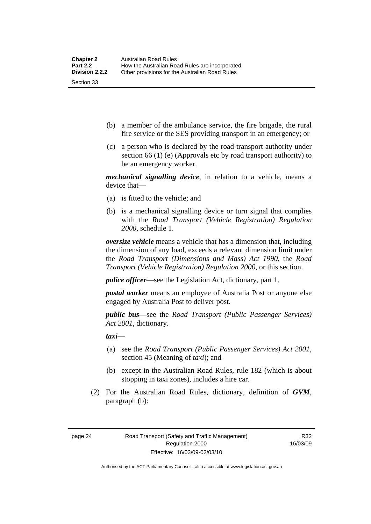- (b) a member of the ambulance service, the fire brigade, the rural fire service or the SES providing transport in an emergency; or
- (c) a person who is declared by the road transport authority under section 66 (1) (e) (Approvals etc by road transport authority) to be an emergency worker.

*mechanical signalling device*, in relation to a vehicle, means a device that—

- (a) is fitted to the vehicle; and
- (b) is a mechanical signalling device or turn signal that complies with the *Road Transport (Vehicle Registration) Regulation 2000*, schedule 1.

*oversize vehicle* means a vehicle that has a dimension that, including the dimension of any load, exceeds a relevant dimension limit under the *Road Transport (Dimensions and Mass) Act 1990*, the *Road Transport (Vehicle Registration) Regulation 2000*, or this section.

*police officer*—see the Legislation Act, dictionary, part 1.

*postal worker* means an employee of Australia Post or anyone else engaged by Australia Post to deliver post.

*public bus*—see the *Road Transport (Public Passenger Services) Act 2001*, dictionary.

*taxi*—

- (a) see the *Road Transport (Public Passenger Services) Act 2001*, section 45 (Meaning of *taxi*); and
- (b) except in the Australian Road Rules, rule 182 (which is about stopping in taxi zones), includes a hire car.
- (2) For the Australian Road Rules, dictionary, definition of *GVM*, paragraph (b):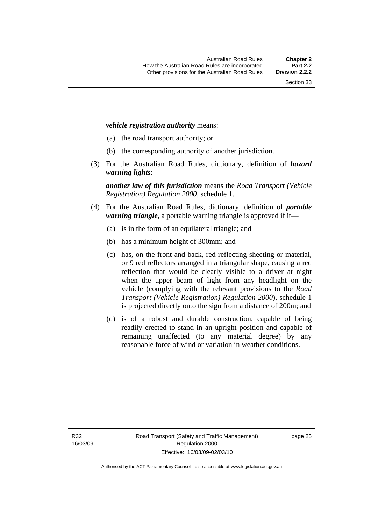#### *vehicle registration authority* means:

- (a) the road transport authority; or
- (b) the corresponding authority of another jurisdiction.
- (3) For the Australian Road Rules, dictionary, definition of *hazard warning lights*:

*another law of this jurisdiction* means the *Road Transport (Vehicle Registration) Regulation 2000*, schedule 1.

- (4) For the Australian Road Rules, dictionary, definition of *portable warning triangle*, a portable warning triangle is approved if it—
	- (a) is in the form of an equilateral triangle; and
	- (b) has a minimum height of 300mm; and
	- (c) has, on the front and back, red reflecting sheeting or material, or 9 red reflectors arranged in a triangular shape, causing a red reflection that would be clearly visible to a driver at night when the upper beam of light from any headlight on the vehicle (complying with the relevant provisions to the *Road Transport (Vehicle Registration) Regulation 2000*), schedule 1 is projected directly onto the sign from a distance of 200m; and
	- (d) is of a robust and durable construction, capable of being readily erected to stand in an upright position and capable of remaining unaffected (to any material degree) by any reasonable force of wind or variation in weather conditions.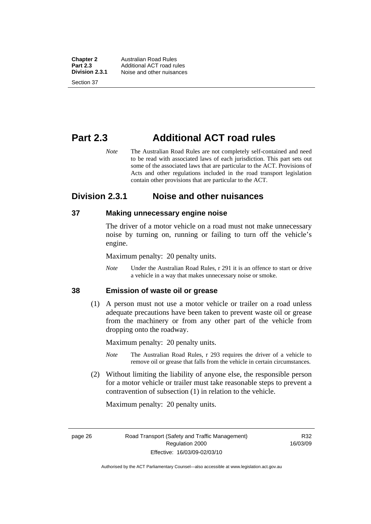<span id="page-35-0"></span>**Chapter 2** Australian Road Rules<br>**Part 2.3** Additional ACT road ru **Part 2.3** Additional ACT road rules<br>**Division 2.3.1** Noise and other nuisances **Division 2.3.1** Noise and other nuisances Section 37

# **Part 2.3 Additional ACT road rules**

*Note* The Australian Road Rules are not completely self-contained and need to be read with associated laws of each jurisdiction. This part sets out some of the associated laws that are particular to the ACT. Provisions of Acts and other regulations included in the road transport legislation contain other provisions that are particular to the ACT.

### **Division 2.3.1 Noise and other nuisances**

#### **37 Making unnecessary engine noise**

The driver of a motor vehicle on a road must not make unnecessary noise by turning on, running or failing to turn off the vehicle's engine.

Maximum penalty: 20 penalty units.

*Note* Under the Australian Road Rules, r 291 it is an offence to start or drive a vehicle in a way that makes unnecessary noise or smoke.

#### **38 Emission of waste oil or grease**

 (1) A person must not use a motor vehicle or trailer on a road unless adequate precautions have been taken to prevent waste oil or grease from the machinery or from any other part of the vehicle from dropping onto the roadway.

Maximum penalty: 20 penalty units.

- *Note* The Australian Road Rules, r 293 requires the driver of a vehicle to remove oil or grease that falls from the vehicle in certain circumstances.
- (2) Without limiting the liability of anyone else, the responsible person for a motor vehicle or trailer must take reasonable steps to prevent a contravention of subsection (1) in relation to the vehicle.

Maximum penalty: 20 penalty units.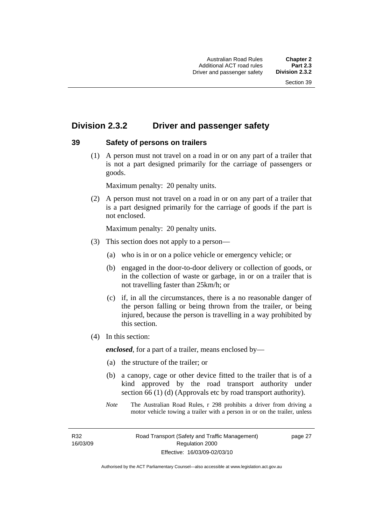# **Division 2.3.2 Driver and passenger safety**

# **39 Safety of persons on trailers**

 (1) A person must not travel on a road in or on any part of a trailer that is not a part designed primarily for the carriage of passengers or goods.

Maximum penalty: 20 penalty units.

 (2) A person must not travel on a road in or on any part of a trailer that is a part designed primarily for the carriage of goods if the part is not enclosed.

Maximum penalty: 20 penalty units.

- (3) This section does not apply to a person—
	- (a) who is in or on a police vehicle or emergency vehicle; or
	- (b) engaged in the door-to-door delivery or collection of goods, or in the collection of waste or garbage, in or on a trailer that is not travelling faster than 25km/h; or
	- (c) if, in all the circumstances, there is a no reasonable danger of the person falling or being thrown from the trailer, or being injured, because the person is travelling in a way prohibited by this section.
- (4) In this section:

*enclosed*, for a part of a trailer, means enclosed by—

- (a) the structure of the trailer; or
- (b) a canopy, cage or other device fitted to the trailer that is of a kind approved by the road transport authority under section 66 (1) (d) (Approvals etc by road transport authority).
- *Note* The Australian Road Rules, r 298 prohibits a driver from driving a motor vehicle towing a trailer with a person in or on the trailer, unless

R32 16/03/09 page 27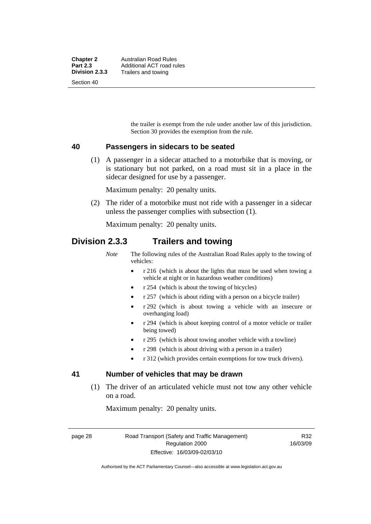the trailer is exempt from the rule under another law of this jurisdiction. Section 30 provides the exemption from the rule.

### **40 Passengers in sidecars to be seated**

 (1) A passenger in a sidecar attached to a motorbike that is moving, or is stationary but not parked, on a road must sit in a place in the sidecar designed for use by a passenger.

Maximum penalty: 20 penalty units.

 (2) The rider of a motorbike must not ride with a passenger in a sidecar unless the passenger complies with subsection (1).

Maximum penalty: 20 penalty units.

# **Division 2.3.3 Trailers and towing**

*Note* The following rules of the Australian Road Rules apply to the towing of vehicles:

- r 216 (which is about the lights that must be used when towing a vehicle at night or in hazardous weather conditions)
- r 254 (which is about the towing of bicycles)
- r 257 (which is about riding with a person on a bicycle trailer)
- r 292 (which is about towing a vehicle with an insecure or overhanging load)
- r 294 (which is about keeping control of a motor vehicle or trailer being towed)
- r 295 (which is about towing another vehicle with a towline)
- r 298 (which is about driving with a person in a trailer)
- r 312 (which provides certain exemptions for tow truck drivers).

# **41 Number of vehicles that may be drawn**

 (1) The driver of an articulated vehicle must not tow any other vehicle on a road.

Maximum penalty: 20 penalty units.

page 28 Road Transport (Safety and Traffic Management) Regulation 2000 Effective: 16/03/09-02/03/10

R32 16/03/09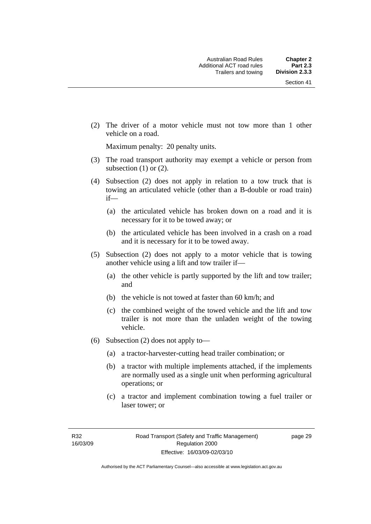(2) The driver of a motor vehicle must not tow more than 1 other vehicle on a road.

Maximum penalty: 20 penalty units.

- (3) The road transport authority may exempt a vehicle or person from subsection  $(1)$  or  $(2)$ .
- (4) Subsection (2) does not apply in relation to a tow truck that is towing an articulated vehicle (other than a B-double or road train) if—
	- (a) the articulated vehicle has broken down on a road and it is necessary for it to be towed away; or
	- (b) the articulated vehicle has been involved in a crash on a road and it is necessary for it to be towed away.
- (5) Subsection (2) does not apply to a motor vehicle that is towing another vehicle using a lift and tow trailer if—
	- (a) the other vehicle is partly supported by the lift and tow trailer; and
	- (b) the vehicle is not towed at faster than 60 km/h; and
	- (c) the combined weight of the towed vehicle and the lift and tow trailer is not more than the unladen weight of the towing vehicle.
- (6) Subsection (2) does not apply to—
	- (a) a tractor-harvester-cutting head trailer combination; or
	- (b) a tractor with multiple implements attached, if the implements are normally used as a single unit when performing agricultural operations; or
	- (c) a tractor and implement combination towing a fuel trailer or laser tower; or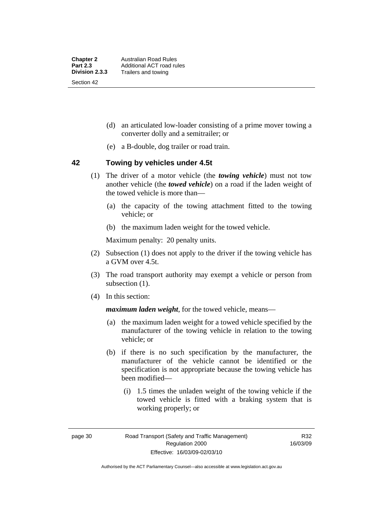- (d) an articulated low-loader consisting of a prime mover towing a converter dolly and a semitrailer; or
- (e) a B-double, dog trailer or road train.

# **42 Towing by vehicles under 4.5t**

- (1) The driver of a motor vehicle (the *towing vehicle*) must not tow another vehicle (the *towed vehicle*) on a road if the laden weight of the towed vehicle is more than—
	- (a) the capacity of the towing attachment fitted to the towing vehicle; or
	- (b) the maximum laden weight for the towed vehicle.

Maximum penalty: 20 penalty units.

- (2) Subsection (1) does not apply to the driver if the towing vehicle has a GVM over 4.5t.
- (3) The road transport authority may exempt a vehicle or person from subsection  $(1)$ .
- (4) In this section:

*maximum laden weight*, for the towed vehicle, means—

- (a) the maximum laden weight for a towed vehicle specified by the manufacturer of the towing vehicle in relation to the towing vehicle; or
- (b) if there is no such specification by the manufacturer, the manufacturer of the vehicle cannot be identified or the specification is not appropriate because the towing vehicle has been modified—
	- (i) 1.5 times the unladen weight of the towing vehicle if the towed vehicle is fitted with a braking system that is working properly; or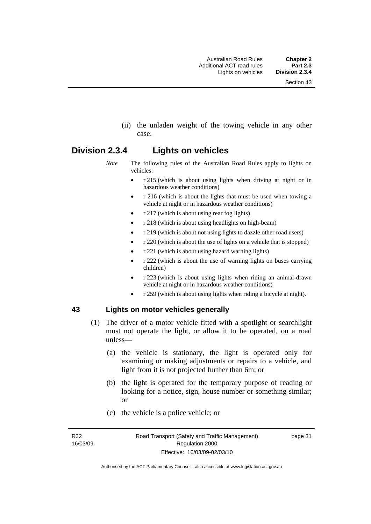(ii) the unladen weight of the towing vehicle in any other case.

# **Division 2.3.4 Lights on vehicles**

- *Note* The following rules of the Australian Road Rules apply to lights on vehicles:
	- r 215 (which is about using lights when driving at night or in hazardous weather conditions)
	- r 216 (which is about the lights that must be used when towing a vehicle at night or in hazardous weather conditions)
	- r 217 (which is about using rear fog lights)
	- r 218 (which is about using headlights on high-beam)
	- r 219 (which is about not using lights to dazzle other road users)
	- r 220 (which is about the use of lights on a vehicle that is stopped)
	- r 221 (which is about using hazard warning lights)
	- r 222 (which is about the use of warning lights on buses carrying children)
	- r 223 (which is about using lights when riding an animal-drawn vehicle at night or in hazardous weather conditions)
	- r 259 (which is about using lights when riding a bicycle at night).

# **43 Lights on motor vehicles generally**

- (1) The driver of a motor vehicle fitted with a spotlight or searchlight must not operate the light, or allow it to be operated, on a road unless—
	- (a) the vehicle is stationary, the light is operated only for examining or making adjustments or repairs to a vehicle, and light from it is not projected further than 6m; or
	- (b) the light is operated for the temporary purpose of reading or looking for a notice, sign, house number or something similar; or
	- (c) the vehicle is a police vehicle; or

R32 16/03/09 page 31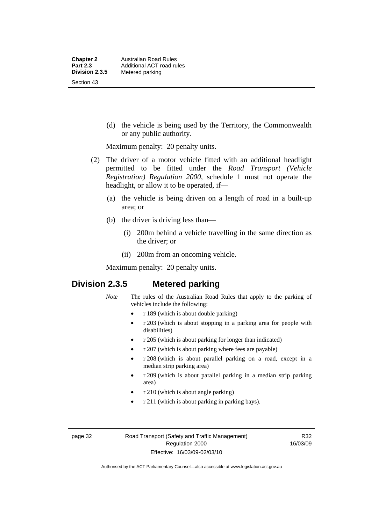(d) the vehicle is being used by the Territory, the Commonwealth or any public authority.

Maximum penalty: 20 penalty units.

- (2) The driver of a motor vehicle fitted with an additional headlight permitted to be fitted under the *Road Transport (Vehicle Registration) Regulation 2000*, schedule 1 must not operate the headlight, or allow it to be operated, if—
	- (a) the vehicle is being driven on a length of road in a built-up area; or
	- (b) the driver is driving less than—
		- (i) 200m behind a vehicle travelling in the same direction as the driver; or
		- (ii) 200m from an oncoming vehicle.

Maximum penalty: 20 penalty units.

# **Division 2.3.5 Metered parking**

- *Note* The rules of the Australian Road Rules that apply to the parking of vehicles include the following:
	- r 189 (which is about double parking)
	- r 203 (which is about stopping in a parking area for people with disabilities)
	- r 205 (which is about parking for longer than indicated)
	- r 207 (which is about parking where fees are payable)
	- r 208 (which is about parallel parking on a road, except in a median strip parking area)
	- r 209 (which is about parallel parking in a median strip parking area)
	- r 210 (which is about angle parking)
	- r 211 (which is about parking in parking bays).

page 32 Road Transport (Safety and Traffic Management) Regulation 2000 Effective: 16/03/09-02/03/10

R32 16/03/09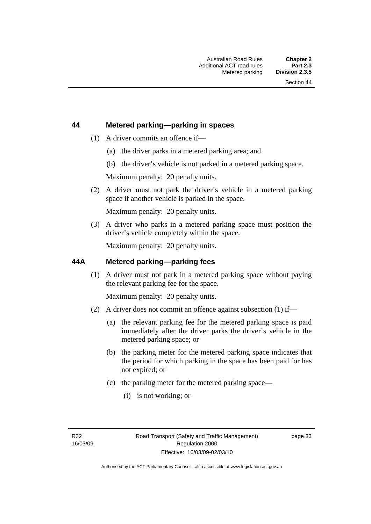# **44 Metered parking—parking in spaces**

- (1) A driver commits an offence if—
	- (a) the driver parks in a metered parking area; and
	- (b) the driver's vehicle is not parked in a metered parking space.

Maximum penalty: 20 penalty units.

 (2) A driver must not park the driver's vehicle in a metered parking space if another vehicle is parked in the space.

Maximum penalty: 20 penalty units.

 (3) A driver who parks in a metered parking space must position the driver's vehicle completely within the space.

Maximum penalty: 20 penalty units.

### **44A Metered parking—parking fees**

 (1) A driver must not park in a metered parking space without paying the relevant parking fee for the space.

Maximum penalty: 20 penalty units.

- (2) A driver does not commit an offence against subsection (1) if—
	- (a) the relevant parking fee for the metered parking space is paid immediately after the driver parks the driver's vehicle in the metered parking space; or
	- (b) the parking meter for the metered parking space indicates that the period for which parking in the space has been paid for has not expired; or
	- (c) the parking meter for the metered parking space—
		- (i) is not working; or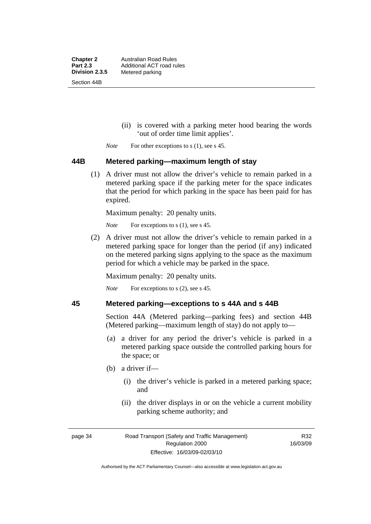**Chapter 2** Australian Road Rules<br>**Part 2.3** Additional ACT road ru **Part 2.3 Additional ACT road rules**<br>**Division 2.3.5** Metered parking **Metered parking** Section 44B

- (ii) is covered with a parking meter hood bearing the words 'out of order time limit applies'.
- *Note* For other exceptions to s (1), see s 45.

### **44B Metered parking—maximum length of stay**

 (1) A driver must not allow the driver's vehicle to remain parked in a metered parking space if the parking meter for the space indicates that the period for which parking in the space has been paid for has expired.

Maximum penalty: 20 penalty units.

*Note* For exceptions to s (1), see s 45.

 (2) A driver must not allow the driver's vehicle to remain parked in a metered parking space for longer than the period (if any) indicated on the metered parking signs applying to the space as the maximum period for which a vehicle may be parked in the space.

Maximum penalty: 20 penalty units.

*Note* For exceptions to s (2), see s 45.

# **45 Metered parking—exceptions to s 44A and s 44B**

Section 44A (Metered parking—parking fees) and section 44B (Metered parking—maximum length of stay) do not apply to—

- (a) a driver for any period the driver's vehicle is parked in a metered parking space outside the controlled parking hours for the space; or
- (b) a driver if—
	- (i) the driver's vehicle is parked in a metered parking space; and
	- (ii) the driver displays in or on the vehicle a current mobility parking scheme authority; and

R32 16/03/09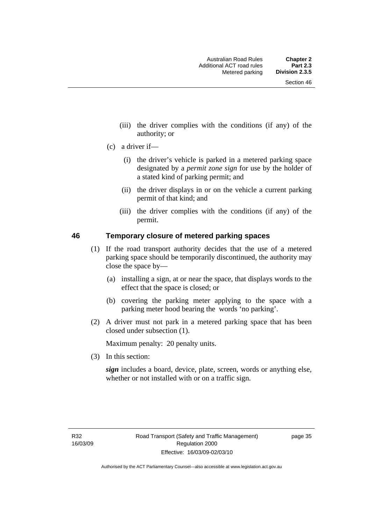- (iii) the driver complies with the conditions (if any) of the authority; or
- (c) a driver if—
	- (i) the driver's vehicle is parked in a metered parking space designated by a *permit zone sign* for use by the holder of a stated kind of parking permit; and
	- (ii) the driver displays in or on the vehicle a current parking permit of that kind; and
	- (iii) the driver complies with the conditions (if any) of the permit.

### **46 Temporary closure of metered parking spaces**

- (1) If the road transport authority decides that the use of a metered parking space should be temporarily discontinued, the authority may close the space by—
	- (a) installing a sign, at or near the space, that displays words to the effect that the space is closed; or
	- (b) covering the parking meter applying to the space with a parking meter hood bearing the words 'no parking'.
- (2) A driver must not park in a metered parking space that has been closed under subsection (1).

Maximum penalty: 20 penalty units.

(3) In this section:

*sign* includes a board, device, plate, screen, words or anything else, whether or not installed with or on a traffic sign.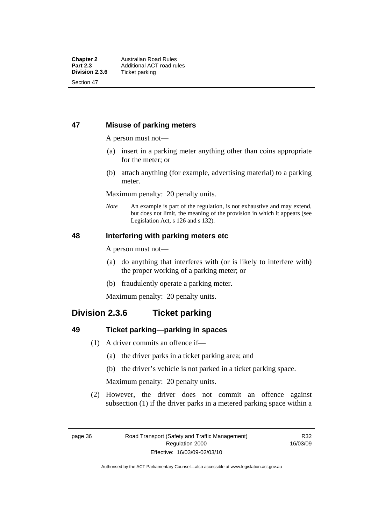# **47 Misuse of parking meters**

A person must not—

- (a) insert in a parking meter anything other than coins appropriate for the meter; or
- (b) attach anything (for example, advertising material) to a parking meter.

Maximum penalty: 20 penalty units.

*Note* An example is part of the regulation, is not exhaustive and may extend, but does not limit, the meaning of the provision in which it appears (see Legislation Act, s 126 and s 132).

# **48 Interfering with parking meters etc**

A person must not—

- (a) do anything that interferes with (or is likely to interfere with) the proper working of a parking meter; or
- (b) fraudulently operate a parking meter.

Maximum penalty: 20 penalty units.

# **Division 2.3.6 Ticket parking**

# **49 Ticket parking—parking in spaces**

- (1) A driver commits an offence if—
	- (a) the driver parks in a ticket parking area; and
	- (b) the driver's vehicle is not parked in a ticket parking space.

Maximum penalty: 20 penalty units.

 (2) However, the driver does not commit an offence against subsection (1) if the driver parks in a metered parking space within a

Authorised by the ACT Parliamentary Counsel—also accessible at www.legislation.act.gov.au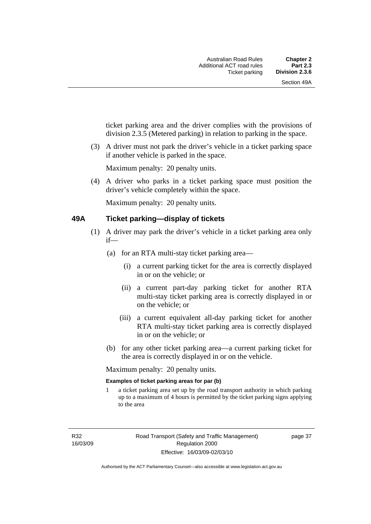ticket parking area and the driver complies with the provisions of division 2.3.5 (Metered parking) in relation to parking in the space.

 (3) A driver must not park the driver's vehicle in a ticket parking space if another vehicle is parked in the space.

Maximum penalty: 20 penalty units.

 (4) A driver who parks in a ticket parking space must position the driver's vehicle completely within the space.

Maximum penalty: 20 penalty units.

### **49A Ticket parking—display of tickets**

- (1) A driver may park the driver's vehicle in a ticket parking area only if—
	- (a) for an RTA multi-stay ticket parking area—
		- (i) a current parking ticket for the area is correctly displayed in or on the vehicle; or
		- (ii) a current part-day parking ticket for another RTA multi-stay ticket parking area is correctly displayed in or on the vehicle; or
		- (iii) a current equivalent all-day parking ticket for another RTA multi-stay ticket parking area is correctly displayed in or on the vehicle; or
	- (b) for any other ticket parking area—a current parking ticket for the area is correctly displayed in or on the vehicle.

Maximum penalty: 20 penalty units.

### **Examples of ticket parking areas for par (b)**

1 a ticket parking area set up by the road transport authority in which parking up to a maximum of 4 hours is permitted by the ticket parking signs applying to the area

R32 16/03/09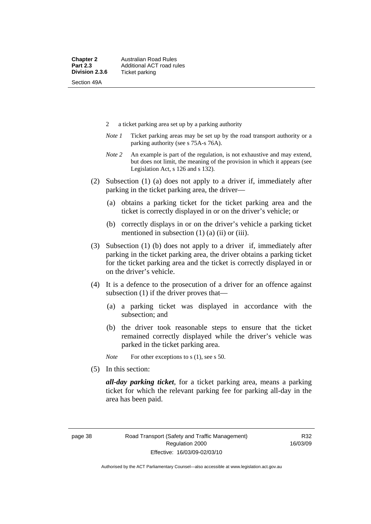- 2 a ticket parking area set up by a parking authority
- *Note 1* Ticket parking areas may be set up by the road transport authority or a parking authority (see s 75A-s 76A).
- *Note 2* An example is part of the regulation, is not exhaustive and may extend, but does not limit, the meaning of the provision in which it appears (see Legislation Act, s 126 and s 132).
- (2) Subsection (1) (a) does not apply to a driver if, immediately after parking in the ticket parking area, the driver—
	- (a) obtains a parking ticket for the ticket parking area and the ticket is correctly displayed in or on the driver's vehicle; or
	- (b) correctly displays in or on the driver's vehicle a parking ticket mentioned in subsection  $(1)$   $(a)$   $(ii)$  or  $(iii)$ .
- (3) Subsection (1) (b) does not apply to a driver if, immediately after parking in the ticket parking area, the driver obtains a parking ticket for the ticket parking area and the ticket is correctly displayed in or on the driver's vehicle.
- (4) It is a defence to the prosecution of a driver for an offence against subsection (1) if the driver proves that—
	- (a) a parking ticket was displayed in accordance with the subsection; and
	- (b) the driver took reasonable steps to ensure that the ticket remained correctly displayed while the driver's vehicle was parked in the ticket parking area.

*Note* For other exceptions to s (1), see s 50.

(5) In this section:

*all-day parking ticket*, for a ticket parking area, means a parking ticket for which the relevant parking fee for parking all-day in the area has been paid.

R32 16/03/09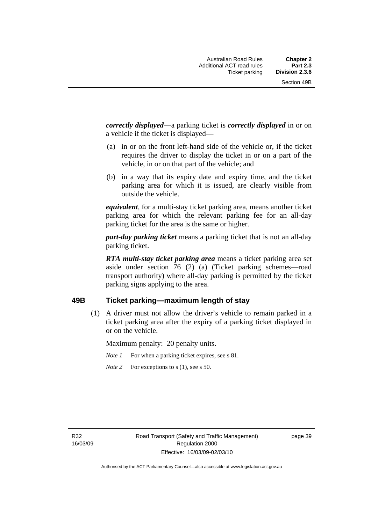*correctly displayed*—a parking ticket is *correctly displayed* in or on a vehicle if the ticket is displayed—

- (a) in or on the front left-hand side of the vehicle or, if the ticket requires the driver to display the ticket in or on a part of the vehicle, in or on that part of the vehicle; and
- (b) in a way that its expiry date and expiry time, and the ticket parking area for which it is issued, are clearly visible from outside the vehicle.

*equivalent*, for a multi-stay ticket parking area, means another ticket parking area for which the relevant parking fee for an all-day parking ticket for the area is the same or higher.

*part-day parking ticket* means a parking ticket that is not an all-day parking ticket.

*RTA multi-stay ticket parking area* means a ticket parking area set aside under section 76 (2) (a) (Ticket parking schemes—road transport authority) where all-day parking is permitted by the ticket parking signs applying to the area.

# **49B Ticket parking—maximum length of stay**

 (1) A driver must not allow the driver's vehicle to remain parked in a ticket parking area after the expiry of a parking ticket displayed in or on the vehicle.

Maximum penalty: 20 penalty units.

- *Note 1* For when a parking ticket expires, see s 81.
- *Note* 2 For exceptions to s (1), see s 50.

R32 16/03/09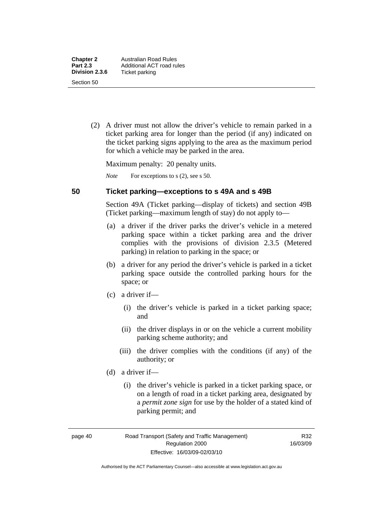(2) A driver must not allow the driver's vehicle to remain parked in a ticket parking area for longer than the period (if any) indicated on the ticket parking signs applying to the area as the maximum period for which a vehicle may be parked in the area.

Maximum penalty: 20 penalty units.

*Note* For exceptions to s (2), see s 50.

# **50 Ticket parking—exceptions to s 49A and s 49B**

Section 49A (Ticket parking—display of tickets) and section 49B (Ticket parking—maximum length of stay) do not apply to—

- (a) a driver if the driver parks the driver's vehicle in a metered parking space within a ticket parking area and the driver complies with the provisions of division 2.3.5 (Metered parking) in relation to parking in the space; or
- (b) a driver for any period the driver's vehicle is parked in a ticket parking space outside the controlled parking hours for the space; or
- (c) a driver if—
	- (i) the driver's vehicle is parked in a ticket parking space; and
	- (ii) the driver displays in or on the vehicle a current mobility parking scheme authority; and
	- (iii) the driver complies with the conditions (if any) of the authority; or
- (d) a driver if—
	- (i) the driver's vehicle is parked in a ticket parking space, or on a length of road in a ticket parking area, designated by a *permit zone sign* for use by the holder of a stated kind of parking permit; and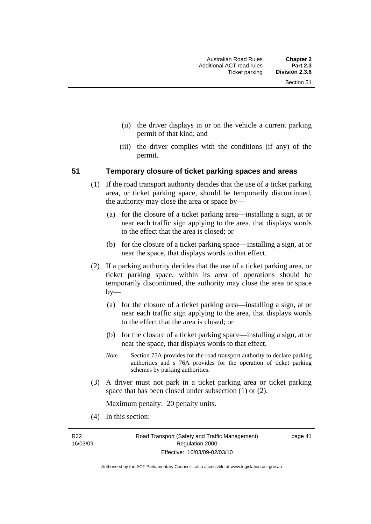- (ii) the driver displays in or on the vehicle a current parking permit of that kind; and
- (iii) the driver complies with the conditions (if any) of the permit.

### **51 Temporary closure of ticket parking spaces and areas**

- (1) If the road transport authority decides that the use of a ticket parking area, or ticket parking space, should be temporarily discontinued, the authority may close the area or space by—
	- (a) for the closure of a ticket parking area—installing a sign, at or near each traffic sign applying to the area, that displays words to the effect that the area is closed; or
	- (b) for the closure of a ticket parking space—installing a sign, at or near the space, that displays words to that effect.
- (2) If a parking authority decides that the use of a ticket parking area, or ticket parking space, within its area of operations should be temporarily discontinued, the authority may close the area or space by—
	- (a) for the closure of a ticket parking area—installing a sign, at or near each traffic sign applying to the area, that displays words to the effect that the area is closed; or
	- (b) for the closure of a ticket parking space—installing a sign, at or near the space, that displays words to that effect.
	- *Note* Section 75A provides for the road transport authority to declare parking authorities and s 76A provides for the operation of ticket parking schemes by parking authorities.
- (3) A driver must not park in a ticket parking area or ticket parking space that has been closed under subsection (1) or (2).

Maximum penalty: 20 penalty units.

(4) In this section:

R32 16/03/09 page 41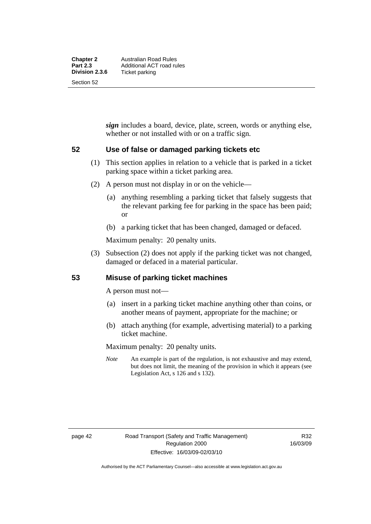*sign* includes a board, device, plate, screen, words or anything else, whether or not installed with or on a traffic sign.

# **52 Use of false or damaged parking tickets etc**

- (1) This section applies in relation to a vehicle that is parked in a ticket parking space within a ticket parking area.
- (2) A person must not display in or on the vehicle—
	- (a) anything resembling a parking ticket that falsely suggests that the relevant parking fee for parking in the space has been paid; or
	- (b) a parking ticket that has been changed, damaged or defaced.

Maximum penalty: 20 penalty units.

 (3) Subsection (2) does not apply if the parking ticket was not changed, damaged or defaced in a material particular.

# **53 Misuse of parking ticket machines**

A person must not—

- (a) insert in a parking ticket machine anything other than coins, or another means of payment, appropriate for the machine; or
- (b) attach anything (for example, advertising material) to a parking ticket machine.

Maximum penalty: 20 penalty units.

*Note* An example is part of the regulation, is not exhaustive and may extend, but does not limit, the meaning of the provision in which it appears (see Legislation Act, s 126 and s 132).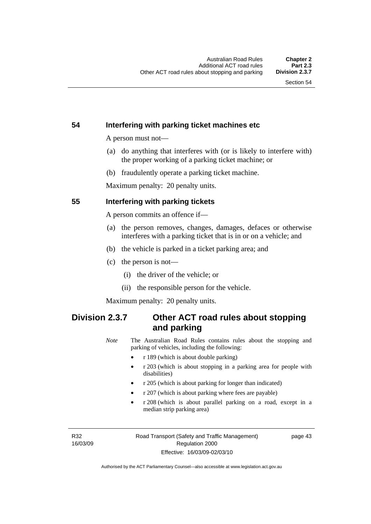# **54 Interfering with parking ticket machines etc**

A person must not—

- (a) do anything that interferes with (or is likely to interfere with) the proper working of a parking ticket machine; or
- (b) fraudulently operate a parking ticket machine.

Maximum penalty: 20 penalty units.

## **55 Interfering with parking tickets**

A person commits an offence if—

- (a) the person removes, changes, damages, defaces or otherwise interferes with a parking ticket that is in or on a vehicle; and
- (b) the vehicle is parked in a ticket parking area; and
- (c) the person is not—
	- (i) the driver of the vehicle; or
	- (ii) the responsible person for the vehicle.

Maximum penalty: 20 penalty units.

# **Division 2.3.7 Other ACT road rules about stopping and parking**

*Note* The Australian Road Rules contains rules about the stopping and parking of vehicles, including the following:

- r 189 (which is about double parking)
- r 203 (which is about stopping in a parking area for people with disabilities)
- r 205 (which is about parking for longer than indicated)
- r 207 (which is about parking where fees are payable)
- r 208 (which is about parallel parking on a road, except in a median strip parking area)

R32 16/03/09 page 43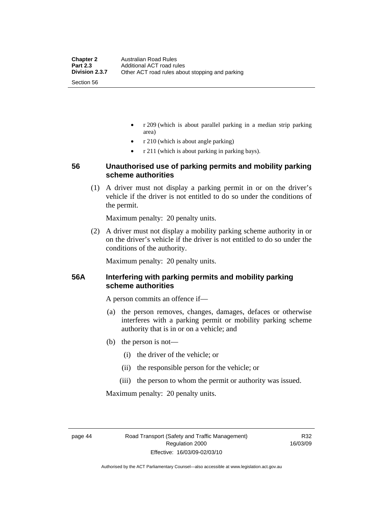- r 209 (which is about parallel parking in a median strip parking area)
- r 210 (which is about angle parking)
- r 211 (which is about parking in parking bays).

# **56 Unauthorised use of parking permits and mobility parking scheme authorities**

 (1) A driver must not display a parking permit in or on the driver's vehicle if the driver is not entitled to do so under the conditions of the permit.

Maximum penalty: 20 penalty units.

 (2) A driver must not display a mobility parking scheme authority in or on the driver's vehicle if the driver is not entitled to do so under the conditions of the authority.

Maximum penalty: 20 penalty units.

# **56A Interfering with parking permits and mobility parking scheme authorities**

A person commits an offence if—

- (a) the person removes, changes, damages, defaces or otherwise interferes with a parking permit or mobility parking scheme authority that is in or on a vehicle; and
- (b) the person is not—
	- (i) the driver of the vehicle; or
	- (ii) the responsible person for the vehicle; or
	- (iii) the person to whom the permit or authority was issued.

Maximum penalty: 20 penalty units.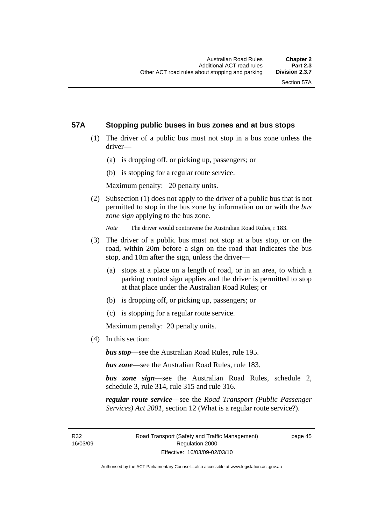# **57A Stopping public buses in bus zones and at bus stops**

- (1) The driver of a public bus must not stop in a bus zone unless the driver—
	- (a) is dropping off, or picking up, passengers; or
	- (b) is stopping for a regular route service.

Maximum penalty: 20 penalty units.

 (2) Subsection (1) does not apply to the driver of a public bus that is not permitted to stop in the bus zone by information on or with the *bus zone sign* applying to the bus zone.

*Note* The driver would contravene the Australian Road Rules, r 183.

- (3) The driver of a public bus must not stop at a bus stop, or on the road, within 20m before a sign on the road that indicates the bus stop, and 10m after the sign, unless the driver—
	- (a) stops at a place on a length of road, or in an area, to which a parking control sign applies and the driver is permitted to stop at that place under the Australian Road Rules; or
	- (b) is dropping off, or picking up, passengers; or
	- (c) is stopping for a regular route service.

Maximum penalty: 20 penalty units.

(4) In this section:

*bus stop*—see the Australian Road Rules, rule 195.

*bus zone*—see the Australian Road Rules, rule 183.

*bus zone sign*—see the Australian Road Rules, schedule 2, schedule 3, rule 314, rule 315 and rule 316.

*regular route service*—see the *Road Transport (Public Passenger Services) Act 2001*, section 12 (What is a regular route service?).

R32 16/03/09 page 45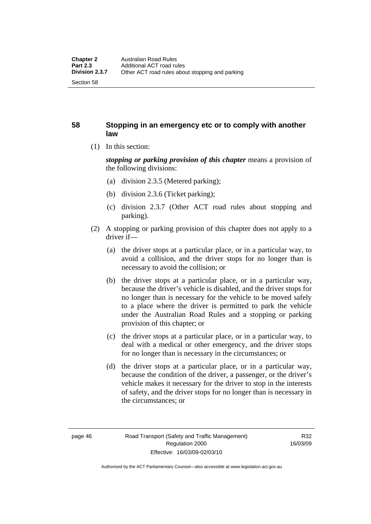# **58 Stopping in an emergency etc or to comply with another law**

(1) In this section:

*stopping or parking provision of this chapter* means a provision of the following divisions:

- (a) division 2.3.5 (Metered parking);
- (b) division 2.3.6 (Ticket parking);
- (c) division 2.3.7 (Other ACT road rules about stopping and parking).
- (2) A stopping or parking provision of this chapter does not apply to a driver if—
	- (a) the driver stops at a particular place, or in a particular way, to avoid a collision, and the driver stops for no longer than is necessary to avoid the collision; or
	- (b) the driver stops at a particular place, or in a particular way, because the driver's vehicle is disabled, and the driver stops for no longer than is necessary for the vehicle to be moved safely to a place where the driver is permitted to park the vehicle under the Australian Road Rules and a stopping or parking provision of this chapter; or
	- (c) the driver stops at a particular place, or in a particular way, to deal with a medical or other emergency, and the driver stops for no longer than is necessary in the circumstances; or
	- (d) the driver stops at a particular place, or in a particular way, because the condition of the driver, a passenger, or the driver's vehicle makes it necessary for the driver to stop in the interests of safety, and the driver stops for no longer than is necessary in the circumstances; or

Authorised by the ACT Parliamentary Counsel—also accessible at www.legislation.act.gov.au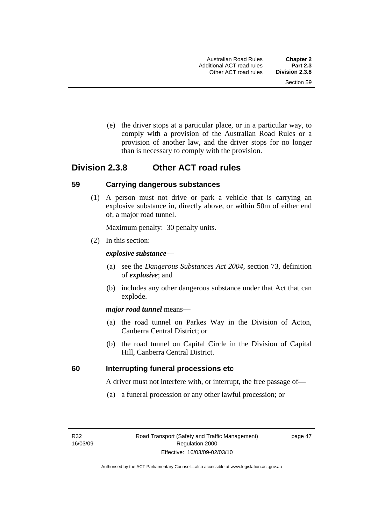(e) the driver stops at a particular place, or in a particular way, to comply with a provision of the Australian Road Rules or a provision of another law, and the driver stops for no longer than is necessary to comply with the provision.

# **Division 2.3.8 Other ACT road rules**

### **59 Carrying dangerous substances**

 (1) A person must not drive or park a vehicle that is carrying an explosive substance in, directly above, or within 50m of either end of, a major road tunnel.

Maximum penalty: 30 penalty units.

(2) In this section:

### *explosive substance*—

- (a) see the *Dangerous Substances Act 2004*, section 73, definition of *explosive*; and
- (b) includes any other dangerous substance under that Act that can explode.

### *major road tunnel* means—

- (a) the road tunnel on Parkes Way in the Division of Acton, Canberra Central District; or
- (b) the road tunnel on Capital Circle in the Division of Capital Hill, Canberra Central District.

# **60 Interrupting funeral processions etc**

A driver must not interfere with, or interrupt, the free passage of—

(a) a funeral procession or any other lawful procession; or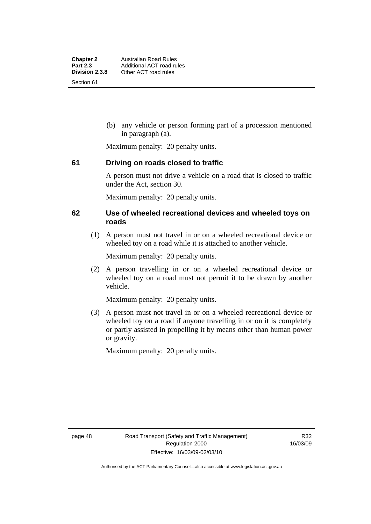(b) any vehicle or person forming part of a procession mentioned in paragraph (a).

Maximum penalty: 20 penalty units.

# **61 Driving on roads closed to traffic**

A person must not drive a vehicle on a road that is closed to traffic under the Act, section 30.

Maximum penalty: 20 penalty units.

# **62 Use of wheeled recreational devices and wheeled toys on roads**

 (1) A person must not travel in or on a wheeled recreational device or wheeled toy on a road while it is attached to another vehicle.

Maximum penalty: 20 penalty units.

 (2) A person travelling in or on a wheeled recreational device or wheeled toy on a road must not permit it to be drawn by another vehicle.

Maximum penalty: 20 penalty units.

 (3) A person must not travel in or on a wheeled recreational device or wheeled toy on a road if anyone travelling in or on it is completely or partly assisted in propelling it by means other than human power or gravity.

Maximum penalty: 20 penalty units.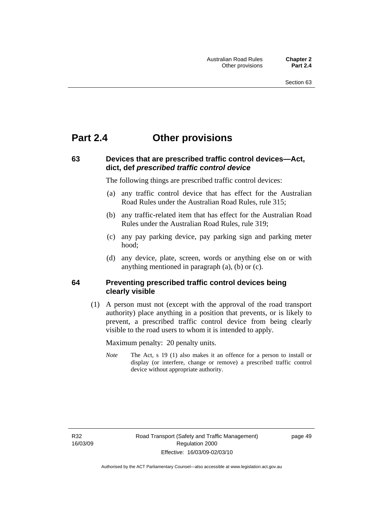# **Part 2.4 Other provisions**

# **63 Devices that are prescribed traffic control devices—Act, dict, def** *prescribed traffic control device*

The following things are prescribed traffic control devices:

- (a) any traffic control device that has effect for the Australian Road Rules under the Australian Road Rules, rule 315;
- (b) any traffic-related item that has effect for the Australian Road Rules under the Australian Road Rules, rule 319;
- (c) any pay parking device, pay parking sign and parking meter hood;
- (d) any device, plate, screen, words or anything else on or with anything mentioned in paragraph (a), (b) or (c).

# **64 Preventing prescribed traffic control devices being clearly visible**

 (1) A person must not (except with the approval of the road transport authority) place anything in a position that prevents, or is likely to prevent, a prescribed traffic control device from being clearly visible to the road users to whom it is intended to apply.

Maximum penalty: 20 penalty units.

*Note* The Act, s 19 (1) also makes it an offence for a person to install or display (or interfere, change or remove) a prescribed traffic control device without appropriate authority.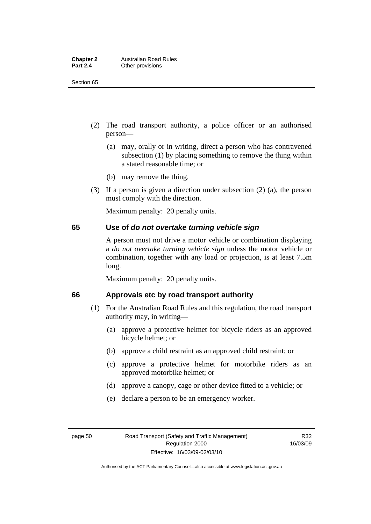| <b>Chapter 2</b> | <b>Australian Road Rules</b> |
|------------------|------------------------------|
| <b>Part 2.4</b>  | Other provisions             |

Section 65

- (2) The road transport authority, a police officer or an authorised person—
	- (a) may, orally or in writing, direct a person who has contravened subsection (1) by placing something to remove the thing within a stated reasonable time; or
	- (b) may remove the thing.
- (3) If a person is given a direction under subsection (2) (a), the person must comply with the direction.

Maximum penalty: 20 penalty units.

# **65 Use of** *do not overtake turning vehicle sign*

A person must not drive a motor vehicle or combination displaying a *do not overtake turning vehicle sign* unless the motor vehicle or combination, together with any load or projection, is at least 7.5m long.

Maximum penalty: 20 penalty units.

# **66 Approvals etc by road transport authority**

- (1) For the Australian Road Rules and this regulation, the road transport authority may, in writing—
	- (a) approve a protective helmet for bicycle riders as an approved bicycle helmet; or
	- (b) approve a child restraint as an approved child restraint; or
	- (c) approve a protective helmet for motorbike riders as an approved motorbike helmet; or
	- (d) approve a canopy, cage or other device fitted to a vehicle; or
	- (e) declare a person to be an emergency worker.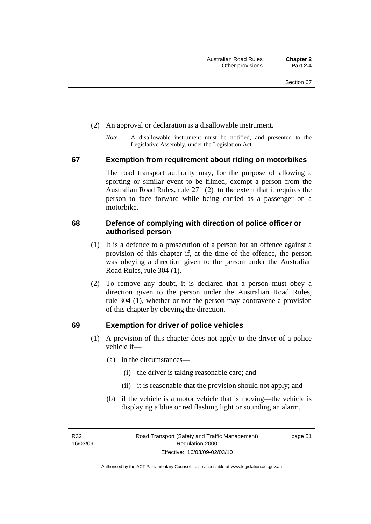- (2) An approval or declaration is a disallowable instrument.
	- *Note* A disallowable instrument must be notified, and presented to the Legislative Assembly, under the Legislation Act.

### **67 Exemption from requirement about riding on motorbikes**

The road transport authority may, for the purpose of allowing a sporting or similar event to be filmed, exempt a person from the Australian Road Rules, rule 271 (2) to the extent that it requires the person to face forward while being carried as a passenger on a motorbike.

# **68 Defence of complying with direction of police officer or authorised person**

- (1) It is a defence to a prosecution of a person for an offence against a provision of this chapter if, at the time of the offence, the person was obeying a direction given to the person under the Australian Road Rules, rule 304 (1).
- (2) To remove any doubt, it is declared that a person must obey a direction given to the person under the Australian Road Rules, rule 304 (1), whether or not the person may contravene a provision of this chapter by obeying the direction.

# **69 Exemption for driver of police vehicles**

- (1) A provision of this chapter does not apply to the driver of a police vehicle if—
	- (a) in the circumstances—
		- (i) the driver is taking reasonable care; and
		- (ii) it is reasonable that the provision should not apply; and
	- (b) if the vehicle is a motor vehicle that is moving—the vehicle is displaying a blue or red flashing light or sounding an alarm.

R32 16/03/09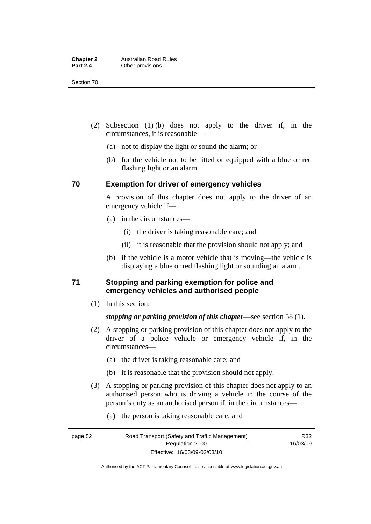Section 70

- (2) Subsection (1) (b) does not apply to the driver if, in the circumstances, it is reasonable—
	- (a) not to display the light or sound the alarm; or
	- (b) for the vehicle not to be fitted or equipped with a blue or red flashing light or an alarm.

# **70 Exemption for driver of emergency vehicles**

A provision of this chapter does not apply to the driver of an emergency vehicle if—

- (a) in the circumstances—
	- (i) the driver is taking reasonable care; and
	- (ii) it is reasonable that the provision should not apply; and
- (b) if the vehicle is a motor vehicle that is moving—the vehicle is displaying a blue or red flashing light or sounding an alarm.

# **71 Stopping and parking exemption for police and emergency vehicles and authorised people**

(1) In this section:

# *stopping or parking provision of this chapter*—see section 58 (1).

- (2) A stopping or parking provision of this chapter does not apply to the driver of a police vehicle or emergency vehicle if, in the circumstances—
	- (a) the driver is taking reasonable care; and
	- (b) it is reasonable that the provision should not apply.
- (3) A stopping or parking provision of this chapter does not apply to an authorised person who is driving a vehicle in the course of the person's duty as an authorised person if, in the circumstances—
	- (a) the person is taking reasonable care; and

R32 16/03/09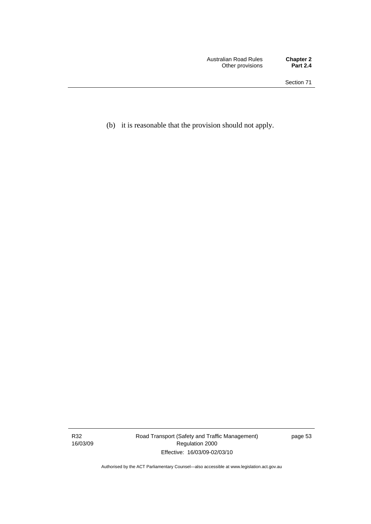(b) it is reasonable that the provision should not apply.

R32 16/03/09 Road Transport (Safety and Traffic Management) Regulation 2000 Effective: 16/03/09-02/03/10

page 53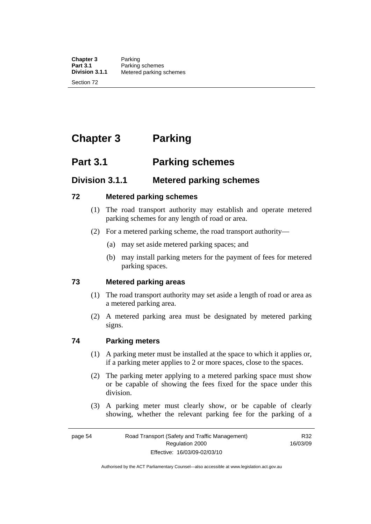**Chapter 3** Parking<br>**Part 3.1** Parking **Part 3.1 Parking schemes**<br>**Division 3.1.1** Metered parking s **Division 3.1.1** Metered parking schemes

Section 72

# **Chapter 3 Parking**

# **Part 3.1 Parking schemes**

# **Division 3.1.1 Metered parking schemes**

# **72 Metered parking schemes**

- (1) The road transport authority may establish and operate metered parking schemes for any length of road or area.
- (2) For a metered parking scheme, the road transport authority—
	- (a) may set aside metered parking spaces; and
	- (b) may install parking meters for the payment of fees for metered parking spaces.

# **73 Metered parking areas**

- (1) The road transport authority may set aside a length of road or area as a metered parking area.
- (2) A metered parking area must be designated by metered parking signs.

# **74 Parking meters**

- (1) A parking meter must be installed at the space to which it applies or, if a parking meter applies to 2 or more spaces, close to the spaces.
- (2) The parking meter applying to a metered parking space must show or be capable of showing the fees fixed for the space under this division.
- (3) A parking meter must clearly show, or be capable of clearly showing, whether the relevant parking fee for the parking of a

R32 16/03/09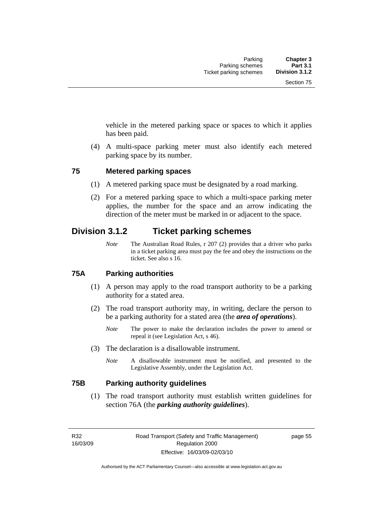vehicle in the metered parking space or spaces to which it applies has been paid.

 (4) A multi-space parking meter must also identify each metered parking space by its number.

# **75 Metered parking spaces**

- (1) A metered parking space must be designated by a road marking.
- (2) For a metered parking space to which a multi-space parking meter applies, the number for the space and an arrow indicating the direction of the meter must be marked in or adjacent to the space.

# **Division 3.1.2 Ticket parking schemes**

*Note* The Australian Road Rules, r 207 (2) provides that a driver who parks in a ticket parking area must pay the fee and obey the instructions on the ticket. See also s 16.

# **75A Parking authorities**

- (1) A person may apply to the road transport authority to be a parking authority for a stated area.
- (2) The road transport authority may, in writing, declare the person to be a parking authority for a stated area (the *area of operations*).
	- *Note* The power to make the declaration includes the power to amend or repeal it (see Legislation Act, s 46).
- (3) The declaration is a disallowable instrument.
	- *Note* A disallowable instrument must be notified, and presented to the Legislative Assembly, under the Legislation Act.

# **75B Parking authority guidelines**

 (1) The road transport authority must establish written guidelines for section 76A (the *parking authority guidelines*).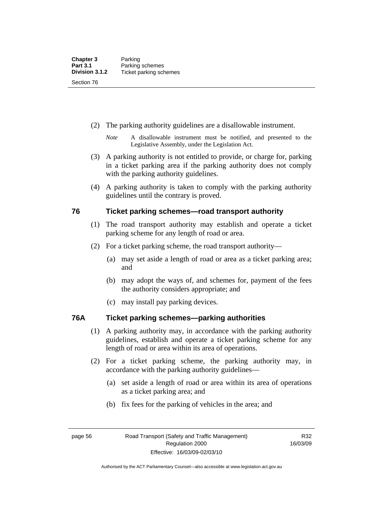- (2) The parking authority guidelines are a disallowable instrument.
	- *Note* A disallowable instrument must be notified, and presented to the Legislative Assembly, under the Legislation Act.
- (3) A parking authority is not entitled to provide, or charge for, parking in a ticket parking area if the parking authority does not comply with the parking authority guidelines.
- (4) A parking authority is taken to comply with the parking authority guidelines until the contrary is proved.

# **76 Ticket parking schemes—road transport authority**

- (1) The road transport authority may establish and operate a ticket parking scheme for any length of road or area.
- (2) For a ticket parking scheme, the road transport authority—
	- (a) may set aside a length of road or area as a ticket parking area; and
	- (b) may adopt the ways of, and schemes for, payment of the fees the authority considers appropriate; and
	- (c) may install pay parking devices.

# **76A Ticket parking schemes—parking authorities**

- (1) A parking authority may, in accordance with the parking authority guidelines, establish and operate a ticket parking scheme for any length of road or area within its area of operations.
- (2) For a ticket parking scheme, the parking authority may, in accordance with the parking authority guidelines—
	- (a) set aside a length of road or area within its area of operations as a ticket parking area; and
	- (b) fix fees for the parking of vehicles in the area; and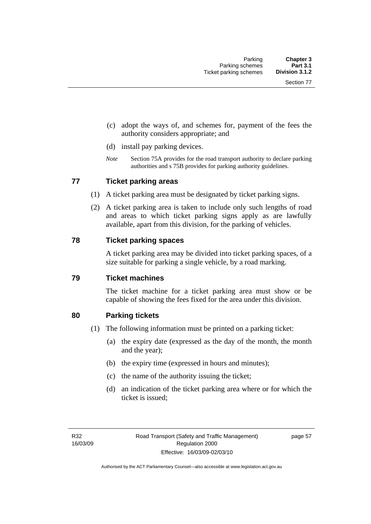- (c) adopt the ways of, and schemes for, payment of the fees the authority considers appropriate; and
- (d) install pay parking devices.
- *Note* Section 75A provides for the road transport authority to declare parking authorities and s 75B provides for parking authority guidelines.

# **77 Ticket parking areas**

- (1) A ticket parking area must be designated by ticket parking signs.
- (2) A ticket parking area is taken to include only such lengths of road and areas to which ticket parking signs apply as are lawfully available, apart from this division, for the parking of vehicles.

### **78 Ticket parking spaces**

A ticket parking area may be divided into ticket parking spaces, of a size suitable for parking a single vehicle, by a road marking.

# **79 Ticket machines**

The ticket machine for a ticket parking area must show or be capable of showing the fees fixed for the area under this division.

# **80 Parking tickets**

- (1) The following information must be printed on a parking ticket:
	- (a) the expiry date (expressed as the day of the month, the month and the year);
	- (b) the expiry time (expressed in hours and minutes);
	- (c) the name of the authority issuing the ticket;
	- (d) an indication of the ticket parking area where or for which the ticket is issued;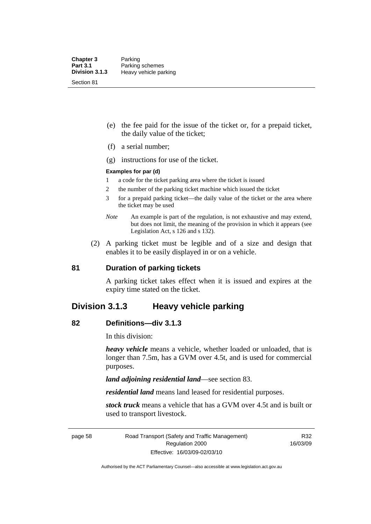- (e) the fee paid for the issue of the ticket or, for a prepaid ticket, the daily value of the ticket;
- (f) a serial number;
- (g) instructions for use of the ticket.

### **Examples for par (d)**

- 1 a code for the ticket parking area where the ticket is issued
- 2 the number of the parking ticket machine which issued the ticket
- 3 for a prepaid parking ticket—the daily value of the ticket or the area where the ticket may be used
- *Note* An example is part of the regulation, is not exhaustive and may extend, but does not limit, the meaning of the provision in which it appears (see Legislation Act, s 126 and s 132).
- (2) A parking ticket must be legible and of a size and design that enables it to be easily displayed in or on a vehicle.

### **81 Duration of parking tickets**

A parking ticket takes effect when it is issued and expires at the expiry time stated on the ticket.

# **Division 3.1.3 Heavy vehicle parking**

### **82 Definitions—div 3.1.3**

In this division:

*heavy vehicle* means a vehicle, whether loaded or unloaded, that is longer than 7.5m, has a GVM over 4.5t, and is used for commercial purposes.

*land adjoining residential land*—see section 83.

*residential land* means land leased for residential purposes.

*stock truck* means a vehicle that has a GVM over 4.5t and is built or used to transport livestock.

page 58 Road Transport (Safety and Traffic Management) Regulation 2000 Effective: 16/03/09-02/03/10

R32 16/03/09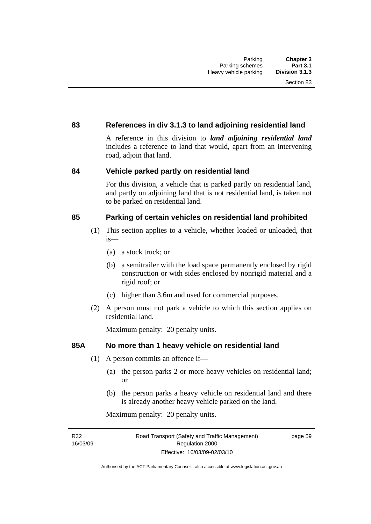# **83 References in div 3.1.3 to land adjoining residential land**

A reference in this division to *land adjoining residential land* includes a reference to land that would, apart from an intervening road, adjoin that land.

# **84 Vehicle parked partly on residential land**

For this division, a vehicle that is parked partly on residential land, and partly on adjoining land that is not residential land, is taken not to be parked on residential land.

# **85 Parking of certain vehicles on residential land prohibited**

- (1) This section applies to a vehicle, whether loaded or unloaded, that is—
	- (a) a stock truck; or
	- (b) a semitrailer with the load space permanently enclosed by rigid construction or with sides enclosed by nonrigid material and a rigid roof; or
	- (c) higher than 3.6m and used for commercial purposes.
- (2) A person must not park a vehicle to which this section applies on residential land.

Maximum penalty: 20 penalty units.

# **85A No more than 1 heavy vehicle on residential land**

- (1) A person commits an offence if—
	- (a) the person parks 2 or more heavy vehicles on residential land; or
	- (b) the person parks a heavy vehicle on residential land and there is already another heavy vehicle parked on the land.

Maximum penalty: 20 penalty units.

R32 16/03/09 page 59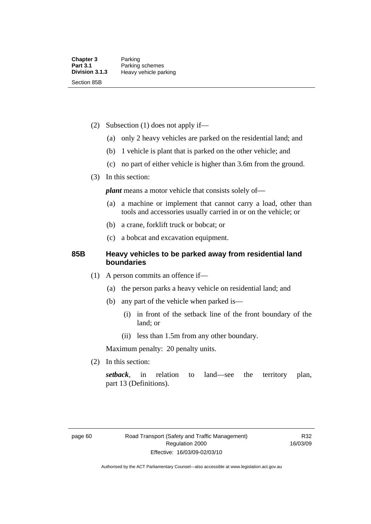- (2) Subsection (1) does not apply if—
	- (a) only 2 heavy vehicles are parked on the residential land; and
	- (b) 1 vehicle is plant that is parked on the other vehicle; and
	- (c) no part of either vehicle is higher than 3.6m from the ground.
- (3) In this section:

*plant* means a motor vehicle that consists solely of-

- (a) a machine or implement that cannot carry a load, other than tools and accessories usually carried in or on the vehicle; or
- (b) a crane, forklift truck or bobcat; or
- (c) a bobcat and excavation equipment.

# **85B Heavy vehicles to be parked away from residential land boundaries**

- (1) A person commits an offence if—
	- (a) the person parks a heavy vehicle on residential land; and
	- (b) any part of the vehicle when parked is—
		- (i) in front of the setback line of the front boundary of the land; or
		- (ii) less than 1.5m from any other boundary.

Maximum penalty: 20 penalty units.

(2) In this section:

*setback*, in relation to land—see the territory plan, part 13 (Definitions).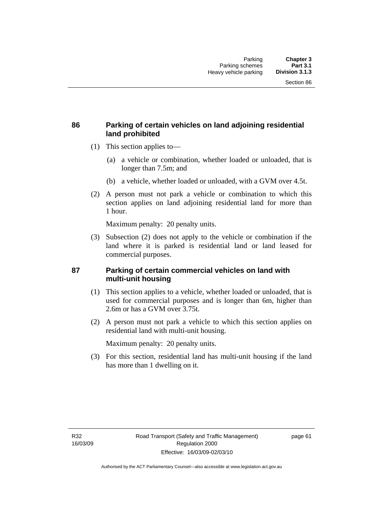# **86 Parking of certain vehicles on land adjoining residential land prohibited**

- (1) This section applies to—
	- (a) a vehicle or combination, whether loaded or unloaded, that is longer than 7.5m; and
	- (b) a vehicle, whether loaded or unloaded, with a GVM over 4.5t.
- (2) A person must not park a vehicle or combination to which this section applies on land adjoining residential land for more than 1 hour.

Maximum penalty: 20 penalty units.

 (3) Subsection (2) does not apply to the vehicle or combination if the land where it is parked is residential land or land leased for commercial purposes.

# **87 Parking of certain commercial vehicles on land with multi-unit housing**

- (1) This section applies to a vehicle, whether loaded or unloaded, that is used for commercial purposes and is longer than 6m, higher than 2.6m or has a GVM over 3.75t.
- (2) A person must not park a vehicle to which this section applies on residential land with multi-unit housing.

Maximum penalty: 20 penalty units.

 (3) For this section, residential land has multi-unit housing if the land has more than 1 dwelling on it.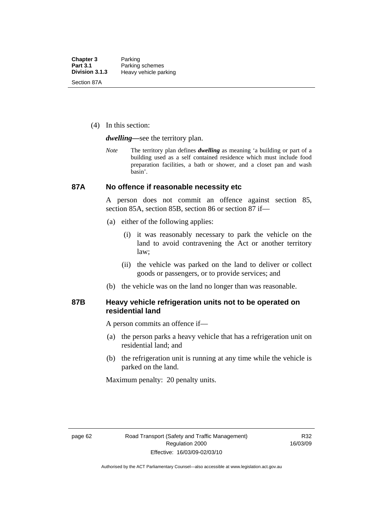(4) In this section:

*dwelling—*see the territory plan.

*Note* The territory plan defines *dwelling* as meaning 'a building or part of a building used as a self contained residence which must include food preparation facilities, a bath or shower, and a closet pan and wash basin'.

### **87A No offence if reasonable necessity etc**

A person does not commit an offence against section 85, section 85A, section 85B, section 86 or section 87 if—

- (a) either of the following applies:
	- (i) it was reasonably necessary to park the vehicle on the land to avoid contravening the Act or another territory law;
	- (ii) the vehicle was parked on the land to deliver or collect goods or passengers, or to provide services; and
- (b) the vehicle was on the land no longer than was reasonable.

### **87B Heavy vehicle refrigeration units not to be operated on residential land**

A person commits an offence if—

- (a) the person parks a heavy vehicle that has a refrigeration unit on residential land; and
- (b) the refrigeration unit is running at any time while the vehicle is parked on the land.

Maximum penalty: 20 penalty units.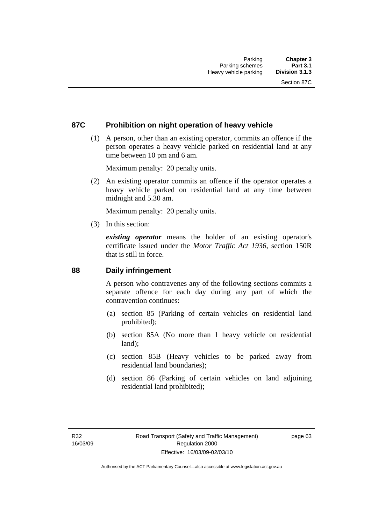## **87C Prohibition on night operation of heavy vehicle**

 (1) A person, other than an existing operator, commits an offence if the person operates a heavy vehicle parked on residential land at any time between 10 pm and 6 am.

Maximum penalty: 20 penalty units.

 (2) An existing operator commits an offence if the operator operates a heavy vehicle parked on residential land at any time between midnight and 5.30 am.

Maximum penalty: 20 penalty units.

(3) In this section:

*existing operator* means the holder of an existing operator's certificate issued under the *Motor Traffic Act 1936*, section 150R that is still in force.

## **88 Daily infringement**

A person who contravenes any of the following sections commits a separate offence for each day during any part of which the contravention continues:

- (a) section 85 (Parking of certain vehicles on residential land prohibited);
- (b) section 85A (No more than 1 heavy vehicle on residential land);
- (c) section 85B (Heavy vehicles to be parked away from residential land boundaries);
- (d) section 86 (Parking of certain vehicles on land adjoining residential land prohibited);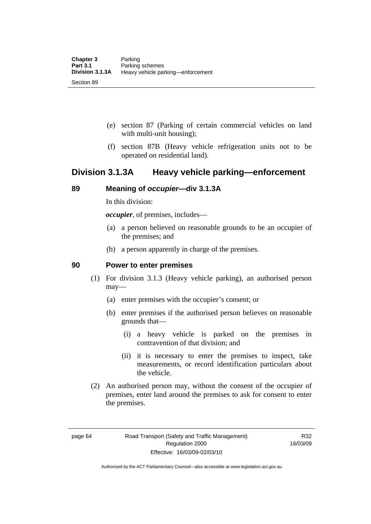- (e) section 87 (Parking of certain commercial vehicles on land with multi-unit housing);
- (f) section 87B (Heavy vehicle refrigeration units not to be operated on residential land).

## **Division 3.1.3A Heavy vehicle parking—enforcement**

## **89 Meaning of** *occupier***—div 3.1.3A**

In this division:

*occupier*, of premises, includes—

- (a) a person believed on reasonable grounds to be an occupier of the premises; and
- (b) a person apparently in charge of the premises.

## **90 Power to enter premises**

- (1) For division 3.1.3 (Heavy vehicle parking), an authorised person may—
	- (a) enter premises with the occupier's consent; or
	- (b) enter premises if the authorised person believes on reasonable grounds that—
		- (i) a heavy vehicle is parked on the premises in contravention of that division; and
		- (ii) it is necessary to enter the premises to inspect, take measurements, or record identification particulars about the vehicle.
- (2) An authorised person may, without the consent of the occupier of premises, enter land around the premises to ask for consent to enter the premises.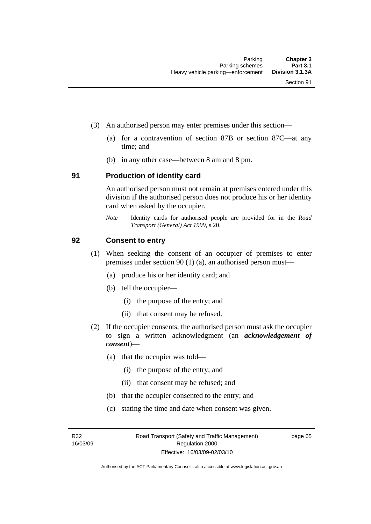- (3) An authorised person may enter premises under this section––
	- (a) for a contravention of section 87B or section 87C––at any time; and
	- (b) in any other case––between 8 am and 8 pm.

### **91 Production of identity card**

An authorised person must not remain at premises entered under this division if the authorised person does not produce his or her identity card when asked by the occupier.

*Note* Identity cards for authorised people are provided for in the *Road Transport (General) Act 1999*, s 20.

## **92 Consent to entry**

- (1) When seeking the consent of an occupier of premises to enter premises under section 90 (1) (a), an authorised person must—
	- (a) produce his or her identity card; and
	- (b) tell the occupier—
		- (i) the purpose of the entry; and
		- (ii) that consent may be refused.
- (2) If the occupier consents, the authorised person must ask the occupier to sign a written acknowledgment (an *acknowledgement of consent*)—
	- (a) that the occupier was told—
		- (i) the purpose of the entry; and
		- (ii) that consent may be refused; and
	- (b) that the occupier consented to the entry; and
	- (c) stating the time and date when consent was given.

R32 16/03/09 page 65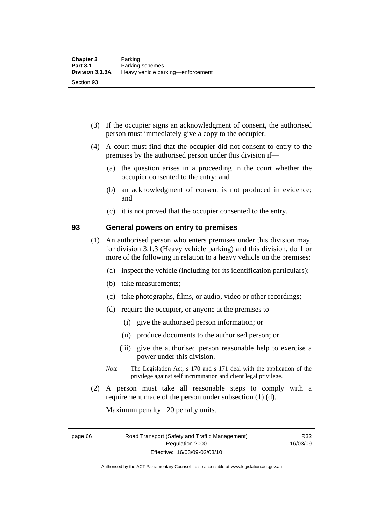- (3) If the occupier signs an acknowledgment of consent, the authorised person must immediately give a copy to the occupier.
- (4) A court must find that the occupier did not consent to entry to the premises by the authorised person under this division if—
	- (a) the question arises in a proceeding in the court whether the occupier consented to the entry; and
	- (b) an acknowledgment of consent is not produced in evidence; and
	- (c) it is not proved that the occupier consented to the entry.

## **93 General powers on entry to premises**

- (1) An authorised person who enters premises under this division may, for division 3.1.3 (Heavy vehicle parking) and this division, do 1 or more of the following in relation to a heavy vehicle on the premises:
	- (a) inspect the vehicle (including for its identification particulars);
	- (b) take measurements;
	- (c) take photographs, films, or audio, video or other recordings;
	- (d) require the occupier, or anyone at the premises to—
		- (i) give the authorised person information; or
		- (ii) produce documents to the authorised person; or
		- (iii) give the authorised person reasonable help to exercise a power under this division.
	- *Note* The Legislation Act, s 170 and s 171 deal with the application of the privilege against self incrimination and client legal privilege.
- (2) A person must take all reasonable steps to comply with a requirement made of the person under subsection (1) (d).

Maximum penalty: 20 penalty units.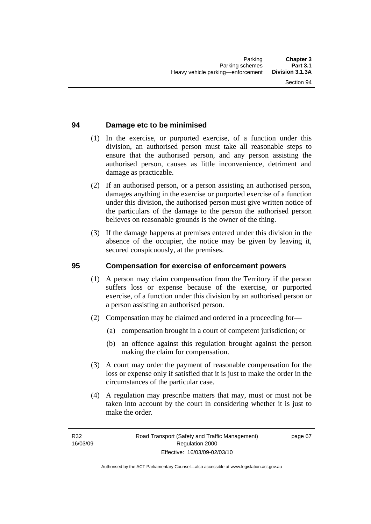## **94 Damage etc to be minimised**

- (1) In the exercise, or purported exercise, of a function under this division, an authorised person must take all reasonable steps to ensure that the authorised person, and any person assisting the authorised person, causes as little inconvenience, detriment and damage as practicable.
- (2) If an authorised person, or a person assisting an authorised person, damages anything in the exercise or purported exercise of a function under this division, the authorised person must give written notice of the particulars of the damage to the person the authorised person believes on reasonable grounds is the owner of the thing.
- (3) If the damage happens at premises entered under this division in the absence of the occupier, the notice may be given by leaving it, secured conspicuously, at the premises.

## **95 Compensation for exercise of enforcement powers**

- (1) A person may claim compensation from the Territory if the person suffers loss or expense because of the exercise, or purported exercise, of a function under this division by an authorised person or a person assisting an authorised person.
- (2) Compensation may be claimed and ordered in a proceeding for—
	- (a) compensation brought in a court of competent jurisdiction; or
	- (b) an offence against this regulation brought against the person making the claim for compensation.
- (3) A court may order the payment of reasonable compensation for the loss or expense only if satisfied that it is just to make the order in the circumstances of the particular case.
- (4) A regulation may prescribe matters that may, must or must not be taken into account by the court in considering whether it is just to make the order.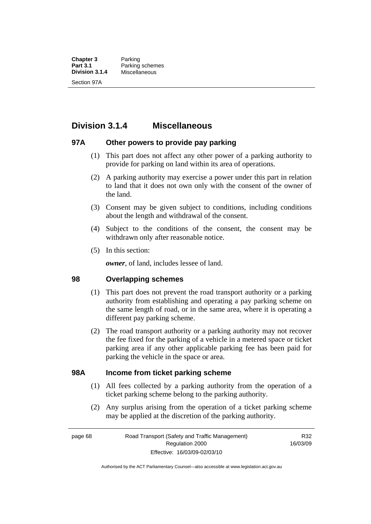**Chapter 3** Parking<br>**Part 3.1** Parking **Part 3.1** Parking schemes<br>**Division 3.1.4** Miscellaneous **Division 3.1.4** Miscellaneous Section 97A

## **Division 3.1.4 Miscellaneous**

## **97A Other powers to provide pay parking**

- (1) This part does not affect any other power of a parking authority to provide for parking on land within its area of operations.
- (2) A parking authority may exercise a power under this part in relation to land that it does not own only with the consent of the owner of the land.
- (3) Consent may be given subject to conditions, including conditions about the length and withdrawal of the consent.
- (4) Subject to the conditions of the consent, the consent may be withdrawn only after reasonable notice.
- (5) In this section:

*owner*, of land, includes lessee of land.

## **98 Overlapping schemes**

- (1) This part does not prevent the road transport authority or a parking authority from establishing and operating a pay parking scheme on the same length of road, or in the same area, where it is operating a different pay parking scheme.
- (2) The road transport authority or a parking authority may not recover the fee fixed for the parking of a vehicle in a metered space or ticket parking area if any other applicable parking fee has been paid for parking the vehicle in the space or area.

## **98A Income from ticket parking scheme**

- (1) All fees collected by a parking authority from the operation of a ticket parking scheme belong to the parking authority.
- (2) Any surplus arising from the operation of a ticket parking scheme may be applied at the discretion of the parking authority.

page 68 Road Transport (Safety and Traffic Management) Regulation 2000 Effective: 16/03/09-02/03/10

R32 16/03/09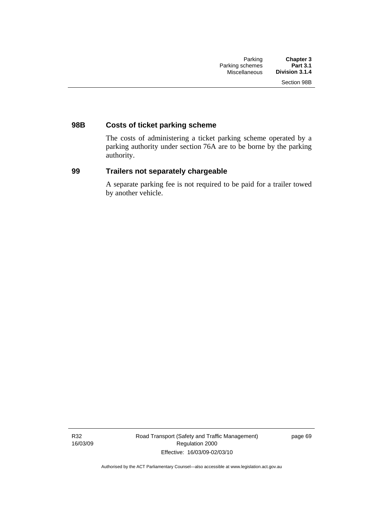## **98B Costs of ticket parking scheme**

The costs of administering a ticket parking scheme operated by a parking authority under section 76A are to be borne by the parking authority.

## **99 Trailers not separately chargeable**

A separate parking fee is not required to be paid for a trailer towed by another vehicle.

R32 16/03/09 Road Transport (Safety and Traffic Management) Regulation 2000 Effective: 16/03/09-02/03/10

page 69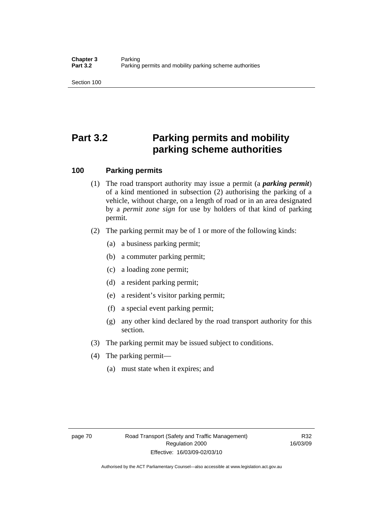Section 100

# **Part 3.2 Parking permits and mobility parking scheme authorities**

## **100 Parking permits**

- (1) The road transport authority may issue a permit (a *parking permit*) of a kind mentioned in subsection (2) authorising the parking of a vehicle, without charge, on a length of road or in an area designated by a *permit zone sign* for use by holders of that kind of parking permit.
- (2) The parking permit may be of 1 or more of the following kinds:
	- (a) a business parking permit;
	- (b) a commuter parking permit;
	- (c) a loading zone permit;
	- (d) a resident parking permit;
	- (e) a resident's visitor parking permit;
	- (f) a special event parking permit;
	- (g) any other kind declared by the road transport authority for this section.
- (3) The parking permit may be issued subject to conditions.
- (4) The parking permit—
	- (a) must state when it expires; and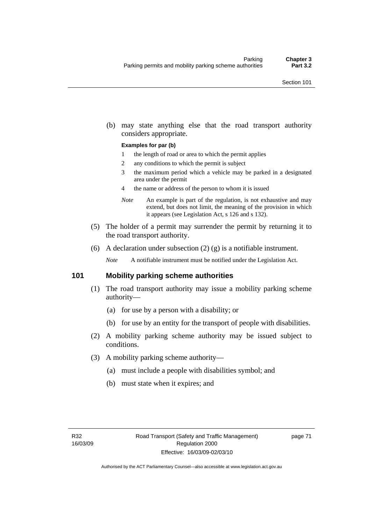(b) may state anything else that the road transport authority considers appropriate.

#### **Examples for par (b)**

- 1 the length of road or area to which the permit applies
- 2 any conditions to which the permit is subject
- 3 the maximum period which a vehicle may be parked in a designated area under the permit
- 4 the name or address of the person to whom it is issued
- *Note* An example is part of the regulation, is not exhaustive and may extend, but does not limit, the meaning of the provision in which it appears (see Legislation Act, s 126 and s 132).
- (5) The holder of a permit may surrender the permit by returning it to the road transport authority.
- (6) A declaration under subsection  $(2)$   $(g)$  is a notifiable instrument.

*Note* A notifiable instrument must be notified under the Legislation Act.

## **101 Mobility parking scheme authorities**

- (1) The road transport authority may issue a mobility parking scheme authority—
	- (a) for use by a person with a disability; or
	- (b) for use by an entity for the transport of people with disabilities.
- (2) A mobility parking scheme authority may be issued subject to conditions.
- (3) A mobility parking scheme authority—
	- (a) must include a people with disabilities symbol; and
	- (b) must state when it expires; and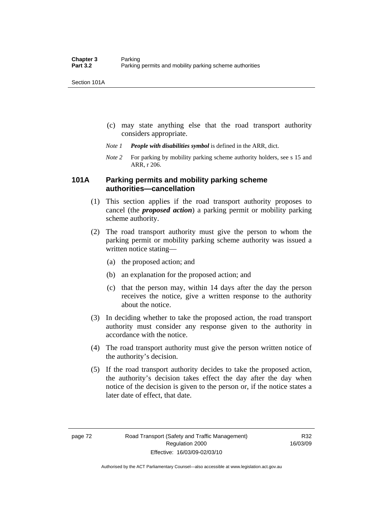Section 101A

- (c) may state anything else that the road transport authority considers appropriate.
- *Note 1 People with disabilities symbol* is defined in the ARR, dict.
- *Note 2* For parking by mobility parking scheme authority holders, see s 15 and ARR, r 206.

## **101A Parking permits and mobility parking scheme authorities—cancellation**

- (1) This section applies if the road transport authority proposes to cancel (the *proposed action*) a parking permit or mobility parking scheme authority.
- (2) The road transport authority must give the person to whom the parking permit or mobility parking scheme authority was issued a written notice stating—
	- (a) the proposed action; and
	- (b) an explanation for the proposed action; and
	- (c) that the person may, within 14 days after the day the person receives the notice, give a written response to the authority about the notice.
- (3) In deciding whether to take the proposed action, the road transport authority must consider any response given to the authority in accordance with the notice.
- (4) The road transport authority must give the person written notice of the authority's decision.
- (5) If the road transport authority decides to take the proposed action, the authority's decision takes effect the day after the day when notice of the decision is given to the person or, if the notice states a later date of effect, that date.

Authorised by the ACT Parliamentary Counsel—also accessible at www.legislation.act.gov.au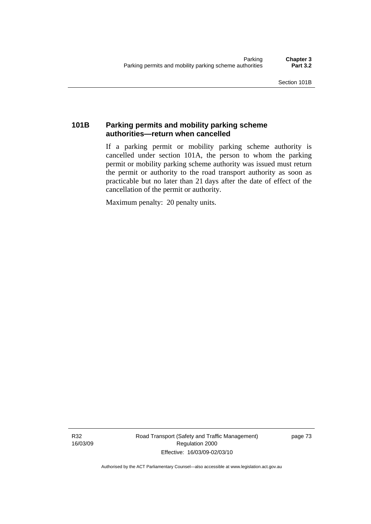## **101B Parking permits and mobility parking scheme authorities—return when cancelled**

If a parking permit or mobility parking scheme authority is cancelled under section 101A, the person to whom the parking permit or mobility parking scheme authority was issued must return the permit or authority to the road transport authority as soon as practicable but no later than 21 days after the date of effect of the cancellation of the permit or authority.

Maximum penalty: 20 penalty units.

R32 16/03/09 Road Transport (Safety and Traffic Management) Regulation 2000 Effective: 16/03/09-02/03/10

page 73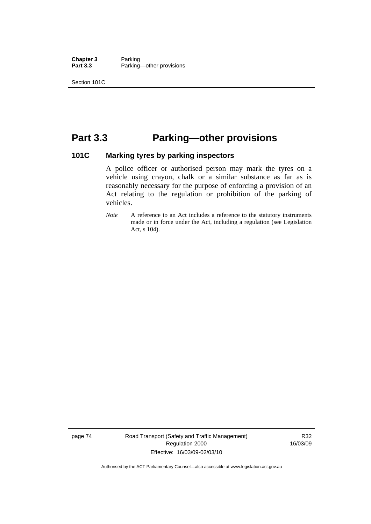**Chapter 3** Parking<br>**Part 3.3** Parking Parking—other provisions

Section 101C

## **Part 3.3 Parking—other provisions**

## **101C Marking tyres by parking inspectors**

A police officer or authorised person may mark the tyres on a vehicle using crayon, chalk or a similar substance as far as is reasonably necessary for the purpose of enforcing a provision of an Act relating to the regulation or prohibition of the parking of vehicles.

*Note* A reference to an Act includes a reference to the statutory instruments made or in force under the Act, including a regulation (see Legislation Act, s 104).

page 74 Road Transport (Safety and Traffic Management) Regulation 2000 Effective: 16/03/09-02/03/10

R32 16/03/09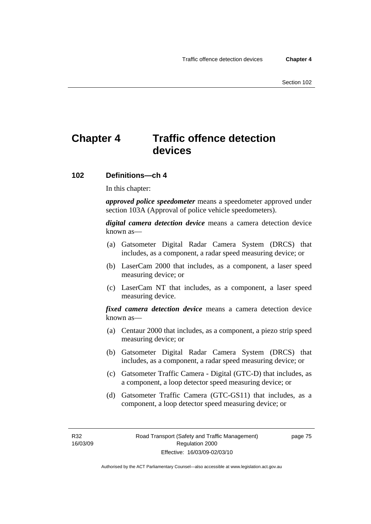## **Chapter 4 Traffic offence detection devices**

### **102 Definitions—ch 4**

In this chapter:

*approved police speedometer* means a speedometer approved under section 103A (Approval of police vehicle speedometers).

*digital camera detection device* means a camera detection device known as—

- (a) Gatsometer Digital Radar Camera System (DRCS) that includes, as a component, a radar speed measuring device; or
- (b) LaserCam 2000 that includes, as a component, a laser speed measuring device; or
- (c) LaserCam NT that includes, as a component, a laser speed measuring device.

*fixed camera detection device* means a camera detection device known as—

- (a) Centaur 2000 that includes, as a component, a piezo strip speed measuring device; or
- (b) Gatsometer Digital Radar Camera System (DRCS) that includes, as a component, a radar speed measuring device; or
- (c) Gatsometer Traffic Camera Digital (GTC-D) that includes, as a component, a loop detector speed measuring device; or
- (d) Gatsometer Traffic Camera (GTC-GS11) that includes, as a component, a loop detector speed measuring device; or

R32 16/03/09 page 75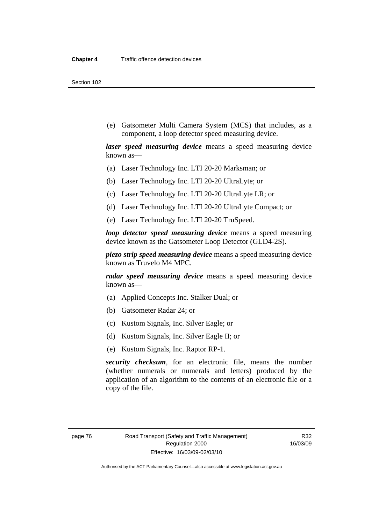Section 102

 (e) Gatsometer Multi Camera System (MCS) that includes, as a component, a loop detector speed measuring device.

*laser speed measuring device* means a speed measuring device known as—

- (a) Laser Technology Inc. LTI 20-20 Marksman; or
- (b) Laser Technology Inc. LTI 20-20 UltraLyte; or
- (c) Laser Technology Inc. LTI 20-20 UltraLyte LR; or
- (d) Laser Technology Inc. LTI 20-20 UltraLyte Compact; or
- (e) Laser Technology Inc. LTI 20-20 TruSpeed.

*loop detector speed measuring device* means a speed measuring device known as the Gatsometer Loop Detector (GLD4-2S).

*piezo strip speed measuring device* means a speed measuring device known as Truvelo M4 MPC.

*radar speed measuring device* means a speed measuring device known as—

- (a) Applied Concepts Inc. Stalker Dual; or
- (b) Gatsometer Radar 24; or
- (c) Kustom Signals, Inc. Silver Eagle; or
- (d) Kustom Signals, Inc. Silver Eagle II; or
- (e) Kustom Signals, Inc. Raptor RP-1.

*security checksum*, for an electronic file, means the number (whether numerals or numerals and letters) produced by the application of an algorithm to the contents of an electronic file or a copy of the file.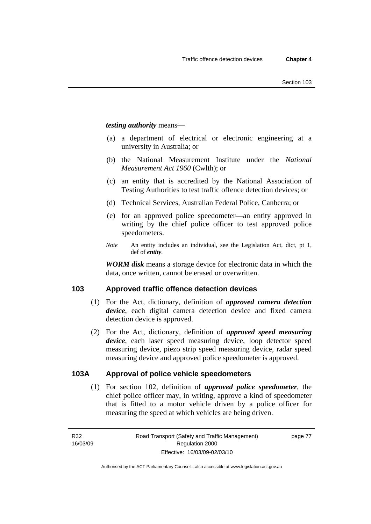*testing authority* means—

- (a) a department of electrical or electronic engineering at a university in Australia; or
- (b) the National Measurement Institute under the *National Measurement Act 1960* (Cwlth); or
- (c) an entity that is accredited by the National Association of Testing Authorities to test traffic offence detection devices; or
- (d) Technical Services, Australian Federal Police, Canberra; or
- (e) for an approved police speedometer—an entity approved in writing by the chief police officer to test approved police speedometers.
- *Note* An entity includes an individual, see the Legislation Act, dict, pt 1, def of *entity*.

*WORM disk* means a storage device for electronic data in which the data, once written, cannot be erased or overwritten.

## **103 Approved traffic offence detection devices**

- (1) For the Act, dictionary, definition of *approved camera detection device*, each digital camera detection device and fixed camera detection device is approved.
- (2) For the Act, dictionary, definition of *approved speed measuring device*, each laser speed measuring device, loop detector speed measuring device, piezo strip speed measuring device, radar speed measuring device and approved police speedometer is approved.

## **103A Approval of police vehicle speedometers**

 (1) For section 102, definition of *approved police speedometer*, the chief police officer may, in writing, approve a kind of speedometer that is fitted to a motor vehicle driven by a police officer for measuring the speed at which vehicles are being driven.

page 77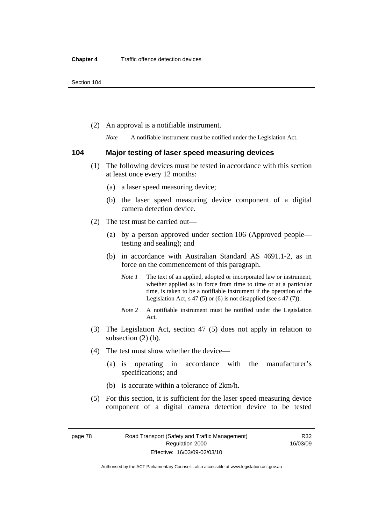(2) An approval is a notifiable instrument.

*Note* A notifiable instrument must be notified under the Legislation Act.

### **104 Major testing of laser speed measuring devices**

- (1) The following devices must be tested in accordance with this section at least once every 12 months:
	- (a) a laser speed measuring device;
	- (b) the laser speed measuring device component of a digital camera detection device.
- (2) The test must be carried out—
	- (a) by a person approved under section 106 (Approved people testing and sealing); and
	- (b) in accordance with Australian Standard AS 4691.1-2, as in force on the commencement of this paragraph.
		- *Note 1* The text of an applied, adopted or incorporated law or instrument, whether applied as in force from time to time or at a particular time, is taken to be a notifiable instrument if the operation of the Legislation Act,  $s$  47 (5) or (6) is not disapplied (see s 47 (7)).
		- *Note 2* A notifiable instrument must be notified under the Legislation Act.
- (3) The Legislation Act, section 47 (5) does not apply in relation to subsection (2) (b).
- (4) The test must show whether the device—
	- (a) is operating in accordance with the manufacturer's specifications; and
	- (b) is accurate within a tolerance of 2km/h.
- (5) For this section, it is sufficient for the laser speed measuring device component of a digital camera detection device to be tested

Authorised by the ACT Parliamentary Counsel—also accessible at www.legislation.act.gov.au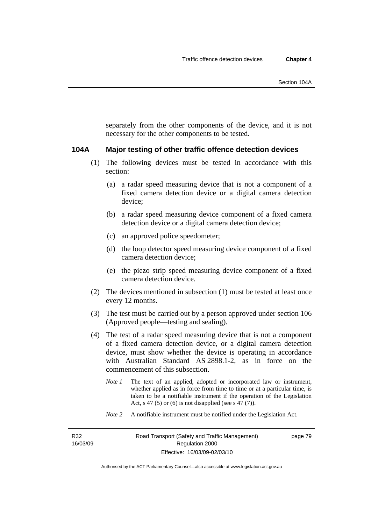separately from the other components of the device, and it is not necessary for the other components to be tested.

#### **104A Major testing of other traffic offence detection devices**

- (1) The following devices must be tested in accordance with this section:
	- (a) a radar speed measuring device that is not a component of a fixed camera detection device or a digital camera detection device;
	- (b) a radar speed measuring device component of a fixed camera detection device or a digital camera detection device;
	- (c) an approved police speedometer;
	- (d) the loop detector speed measuring device component of a fixed camera detection device;
	- (e) the piezo strip speed measuring device component of a fixed camera detection device.
- (2) The devices mentioned in subsection (1) must be tested at least once every 12 months.
- (3) The test must be carried out by a person approved under section 106 (Approved people—testing and sealing).
- (4) The test of a radar speed measuring device that is not a component of a fixed camera detection device, or a digital camera detection device, must show whether the device is operating in accordance with Australian Standard AS 2898.1-2, as in force on the commencement of this subsection.
	- *Note 1* The text of an applied, adopted or incorporated law or instrument, whether applied as in force from time to time or at a particular time, is taken to be a notifiable instrument if the operation of the Legislation Act, s 47 (5) or (6) is not disapplied (see s 47 (7)).
	- *Note 2* A notifiable instrument must be notified under the Legislation Act.

R32 16/03/09 page 79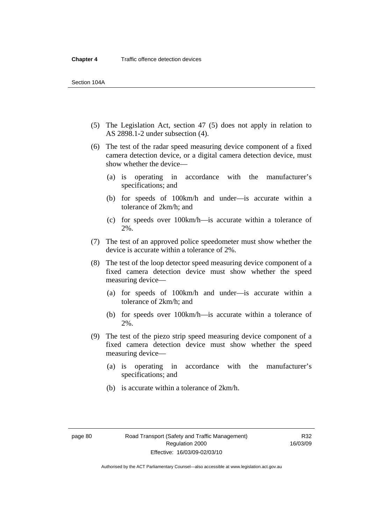- (5) The Legislation Act, section 47 (5) does not apply in relation to AS 2898.1-2 under subsection (4).
- (6) The test of the radar speed measuring device component of a fixed camera detection device, or a digital camera detection device, must show whether the device—
	- (a) is operating in accordance with the manufacturer's specifications; and
	- (b) for speeds of 100km/h and under—is accurate within a tolerance of 2km/h; and
	- (c) for speeds over 100km/h—is accurate within a tolerance of 2%.
- (7) The test of an approved police speedometer must show whether the device is accurate within a tolerance of 2%.
- (8) The test of the loop detector speed measuring device component of a fixed camera detection device must show whether the speed measuring device—
	- (a) for speeds of 100km/h and under—is accurate within a tolerance of 2km/h; and
	- (b) for speeds over 100km/h—is accurate within a tolerance of 2%.
- (9) The test of the piezo strip speed measuring device component of a fixed camera detection device must show whether the speed measuring device—
	- (a) is operating in accordance with the manufacturer's specifications; and
	- (b) is accurate within a tolerance of 2km/h.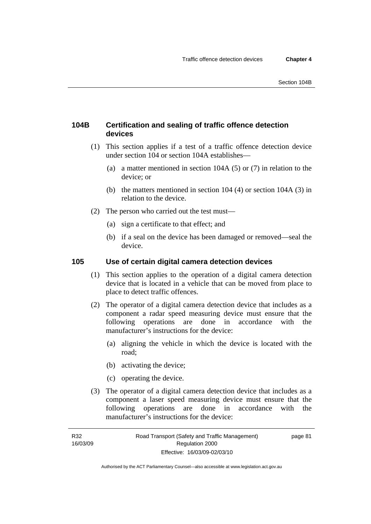## **104B Certification and sealing of traffic offence detection devices**

- (1) This section applies if a test of a traffic offence detection device under section 104 or section 104A establishes—
	- (a) a matter mentioned in section 104A (5) or (7) in relation to the device; or
	- (b) the matters mentioned in section 104 (4) or section 104A (3) in relation to the device.
- (2) The person who carried out the test must—
	- (a) sign a certificate to that effect; and
	- (b) if a seal on the device has been damaged or removed—seal the device.

## **105 Use of certain digital camera detection devices**

- (1) This section applies to the operation of a digital camera detection device that is located in a vehicle that can be moved from place to place to detect traffic offences.
- (2) The operator of a digital camera detection device that includes as a component a radar speed measuring device must ensure that the following operations are done in accordance with the manufacturer's instructions for the device:
	- (a) aligning the vehicle in which the device is located with the road;
	- (b) activating the device;
	- (c) operating the device.
- (3) The operator of a digital camera detection device that includes as a component a laser speed measuring device must ensure that the following operations are done in accordance with the manufacturer's instructions for the device: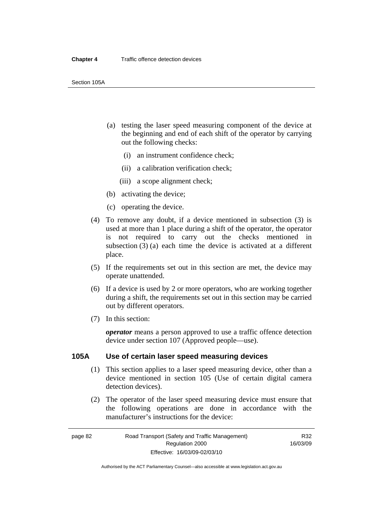- (a) testing the laser speed measuring component of the device at the beginning and end of each shift of the operator by carrying out the following checks:
	- (i) an instrument confidence check;
	- (ii) a calibration verification check;
	- (iii) a scope alignment check;
- (b) activating the device;
- (c) operating the device.
- (4) To remove any doubt, if a device mentioned in subsection (3) is used at more than 1 place during a shift of the operator, the operator is not required to carry out the checks mentioned in subsection (3) (a) each time the device is activated at a different place.
- (5) If the requirements set out in this section are met, the device may operate unattended.
- (6) If a device is used by 2 or more operators, who are working together during a shift, the requirements set out in this section may be carried out by different operators.
- (7) In this section:

*operator* means a person approved to use a traffic offence detection device under section 107 (Approved people—use).

## **105A Use of certain laser speed measuring devices**

- (1) This section applies to a laser speed measuring device, other than a device mentioned in section 105 (Use of certain digital camera detection devices).
- (2) The operator of the laser speed measuring device must ensure that the following operations are done in accordance with the manufacturer's instructions for the device: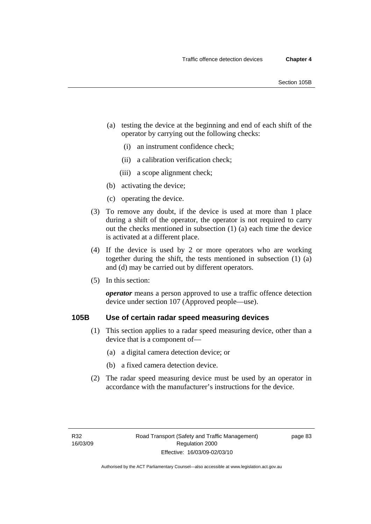- (a) testing the device at the beginning and end of each shift of the operator by carrying out the following checks:
	- (i) an instrument confidence check;
	- (ii) a calibration verification check;
	- (iii) a scope alignment check;
- (b) activating the device;
- (c) operating the device.
- (3) To remove any doubt, if the device is used at more than 1 place during a shift of the operator, the operator is not required to carry out the checks mentioned in subsection (1) (a) each time the device is activated at a different place.
- (4) If the device is used by 2 or more operators who are working together during the shift, the tests mentioned in subsection (1) (a) and (d) may be carried out by different operators.
- (5) In this section:

*operator* means a person approved to use a traffic offence detection device under section 107 (Approved people—use).

## **105B Use of certain radar speed measuring devices**

- (1) This section applies to a radar speed measuring device, other than a device that is a component of—
	- (a) a digital camera detection device; or
	- (b) a fixed camera detection device.
- (2) The radar speed measuring device must be used by an operator in accordance with the manufacturer's instructions for the device.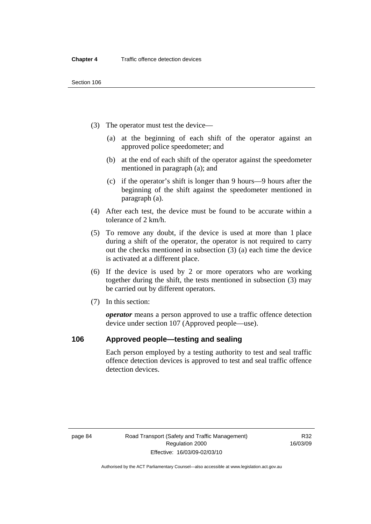- (3) The operator must test the device—
	- (a) at the beginning of each shift of the operator against an approved police speedometer; and
	- (b) at the end of each shift of the operator against the speedometer mentioned in paragraph (a); and
	- (c) if the operator's shift is longer than 9 hours—9 hours after the beginning of the shift against the speedometer mentioned in paragraph (a).
- (4) After each test, the device must be found to be accurate within a tolerance of 2 km/h.
- (5) To remove any doubt, if the device is used at more than 1 place during a shift of the operator, the operator is not required to carry out the checks mentioned in subsection (3) (a) each time the device is activated at a different place.
- (6) If the device is used by 2 or more operators who are working together during the shift, the tests mentioned in subsection (3) may be carried out by different operators.
- (7) In this section:

*operator* means a person approved to use a traffic offence detection device under section 107 (Approved people—use).

## **106 Approved people—testing and sealing**

Each person employed by a testing authority to test and seal traffic offence detection devices is approved to test and seal traffic offence detection devices.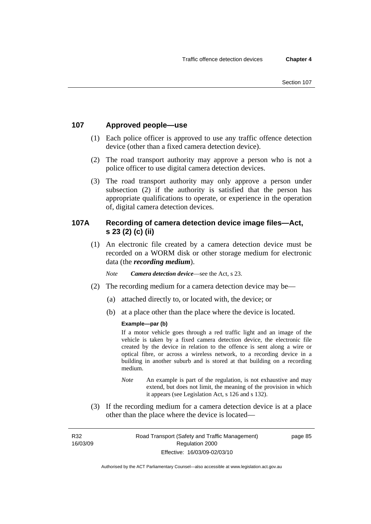## **107 Approved people—use**

- (1) Each police officer is approved to use any traffic offence detection device (other than a fixed camera detection device).
- (2) The road transport authority may approve a person who is not a police officer to use digital camera detection devices.
- (3) The road transport authority may only approve a person under subsection (2) if the authority is satisfied that the person has appropriate qualifications to operate, or experience in the operation of, digital camera detection devices.

## **107A Recording of camera detection device image files—Act, s 23 (2) (c) (ii)**

 (1) An electronic file created by a camera detection device must be recorded on a WORM disk or other storage medium for electronic data (the *recording medium*).

*Note Camera detection device*—see the Act, s 23.

- (2) The recording medium for a camera detection device may be—
	- (a) attached directly to, or located with, the device; or
	- (b) at a place other than the place where the device is located.

### **Example—par (b)**

If a motor vehicle goes through a red traffic light and an image of the vehicle is taken by a fixed camera detection device, the electronic file created by the device in relation to the offence is sent along a wire or optical fibre, or across a wireless network, to a recording device in a building in another suburb and is stored at that building on a recording medium.

- *Note* An example is part of the regulation, is not exhaustive and may extend, but does not limit, the meaning of the provision in which it appears (see Legislation Act, s 126 and s 132).
- (3) If the recording medium for a camera detection device is at a place other than the place where the device is located—

R32 16/03/09 page 85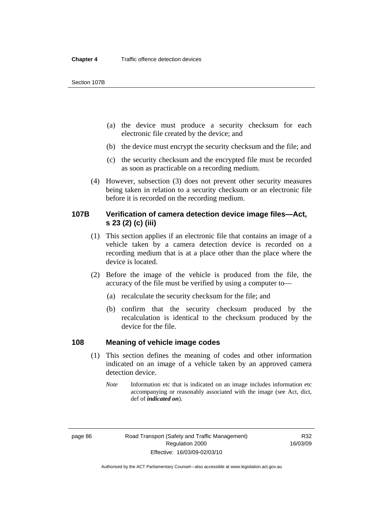Section 107B

- (a) the device must produce a security checksum for each electronic file created by the device; and
- (b) the device must encrypt the security checksum and the file; and
- (c) the security checksum and the encrypted file must be recorded as soon as practicable on a recording medium.
- (4) However, subsection (3) does not prevent other security measures being taken in relation to a security checksum or an electronic file before it is recorded on the recording medium.

## **107B Verification of camera detection device image files—Act, s 23 (2) (c) (iii)**

- (1) This section applies if an electronic file that contains an image of a vehicle taken by a camera detection device is recorded on a recording medium that is at a place other than the place where the device is located.
- (2) Before the image of the vehicle is produced from the file, the accuracy of the file must be verified by using a computer to—
	- (a) recalculate the security checksum for the file; and
	- (b) confirm that the security checksum produced by the recalculation is identical to the checksum produced by the device for the file.

## **108 Meaning of vehicle image codes**

- (1) This section defines the meaning of codes and other information indicated on an image of a vehicle taken by an approved camera detection device.
	- *Note* Information etc that is indicated on an image includes information etc accompanying or reasonably associated with the image (see Act, dict, def of *indicated on*).

Authorised by the ACT Parliamentary Counsel—also accessible at www.legislation.act.gov.au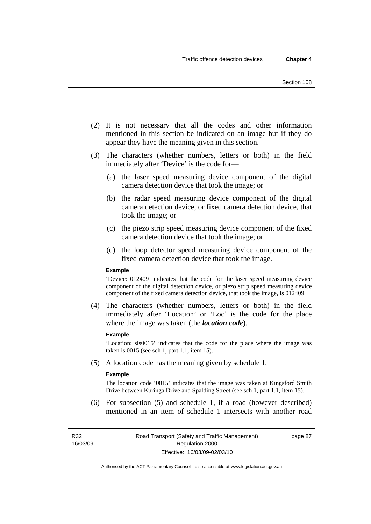- (2) It is not necessary that all the codes and other information mentioned in this section be indicated on an image but if they do appear they have the meaning given in this section.
- (3) The characters (whether numbers, letters or both) in the field immediately after 'Device' is the code for—
	- (a) the laser speed measuring device component of the digital camera detection device that took the image; or
	- (b) the radar speed measuring device component of the digital camera detection device, or fixed camera detection device, that took the image; or
	- (c) the piezo strip speed measuring device component of the fixed camera detection device that took the image; or
	- (d) the loop detector speed measuring device component of the fixed camera detection device that took the image.

#### **Example**

'Device: 012409' indicates that the code for the laser speed measuring device component of the digital detection device, or piezo strip speed measuring device component of the fixed camera detection device, that took the image, is 012409.

 (4) The characters (whether numbers, letters or both) in the field immediately after 'Location' or 'Loc' is the code for the place where the image was taken (the *location code*).

#### **Example**

'Location: sls0015' indicates that the code for the place where the image was taken is 0015 (see sch 1, part 1.1, item 15).

(5) A location code has the meaning given by schedule 1.

#### **Example**

The location code '0015' indicates that the image was taken at Kingsford Smith Drive between Kuringa Drive and Spalding Street (see sch 1, part 1.1, item 15).

 (6) For subsection (5) and schedule 1, if a road (however described) mentioned in an item of schedule 1 intersects with another road

R32 16/03/09 page 87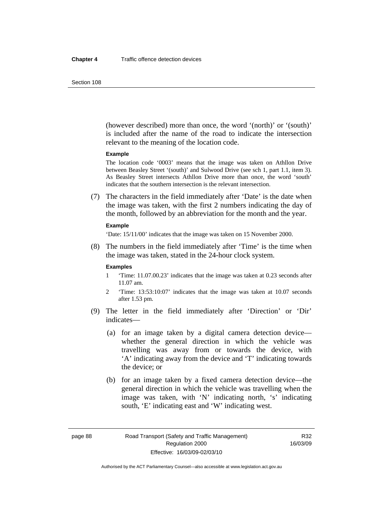(however described) more than once, the word '(north)' or '(south)' is included after the name of the road to indicate the intersection relevant to the meaning of the location code.

#### **Example**

The location code '0003' means that the image was taken on Athllon Drive between Beasley Street '(south)' and Sulwood Drive (see sch 1, part 1.1, item 3). As Beasley Street intersects Athllon Drive more than once, the word 'south' indicates that the southern intersection is the relevant intersection.

 (7) The characters in the field immediately after 'Date' is the date when the image was taken, with the first 2 numbers indicating the day of the month, followed by an abbreviation for the month and the year.

#### **Example**

'Date: 15/11/00' indicates that the image was taken on 15 November 2000.

 (8) The numbers in the field immediately after 'Time' is the time when the image was taken, stated in the 24-hour clock system.

#### **Examples**

- 1 'Time: 11.07.00.23' indicates that the image was taken at 0.23 seconds after 11.07 am.
- 2 'Time: 13:53:10:07' indicates that the image was taken at 10.07 seconds after 1.53 pm.
- (9) The letter in the field immediately after 'Direction' or 'Dir' indicates—
	- (a) for an image taken by a digital camera detection device whether the general direction in which the vehicle was travelling was away from or towards the device, with 'A' indicating away from the device and 'T' indicating towards the device; or
	- (b) for an image taken by a fixed camera detection device—the general direction in which the vehicle was travelling when the image was taken, with 'N' indicating north, 's' indicating south, 'E' indicating east and 'W' indicating west.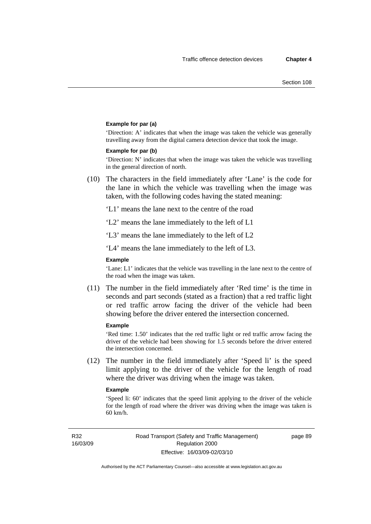#### **Example for par (a)**

'Direction: A' indicates that when the image was taken the vehicle was generally travelling away from the digital camera detection device that took the image.

#### **Example for par (b)**

'Direction: N' indicates that when the image was taken the vehicle was travelling in the general direction of north.

 (10) The characters in the field immediately after 'Lane' is the code for the lane in which the vehicle was travelling when the image was taken, with the following codes having the stated meaning:

'L1' means the lane next to the centre of the road

'L2' means the lane immediately to the left of L1

'L3' means the lane immediately to the left of L2

'L4' means the lane immediately to the left of L3.

#### **Example**

'Lane: L1' indicates that the vehicle was travelling in the lane next to the centre of the road when the image was taken.

 (11) The number in the field immediately after 'Red time' is the time in seconds and part seconds (stated as a fraction) that a red traffic light or red traffic arrow facing the driver of the vehicle had been showing before the driver entered the intersection concerned.

#### **Example**

'Red time: 1.50' indicates that the red traffic light or red traffic arrow facing the driver of the vehicle had been showing for 1.5 seconds before the driver entered the intersection concerned.

 (12) The number in the field immediately after 'Speed li' is the speed limit applying to the driver of the vehicle for the length of road where the driver was driving when the image was taken.

#### **Example**

'Speed li: 60' indicates that the speed limit applying to the driver of the vehicle for the length of road where the driver was driving when the image was taken is 60 km/h.

R32 16/03/09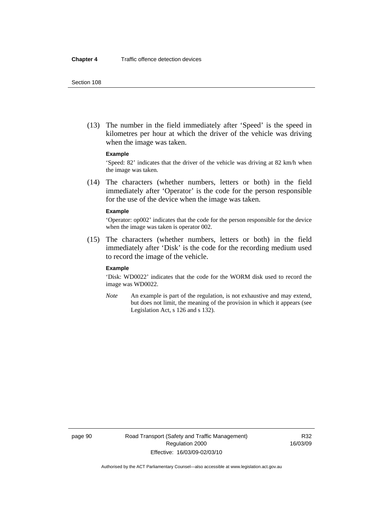(13) The number in the field immediately after 'Speed' is the speed in kilometres per hour at which the driver of the vehicle was driving when the image was taken.

#### **Example**

'Speed: 82' indicates that the driver of the vehicle was driving at 82 km/h when the image was taken.

 (14) The characters (whether numbers, letters or both) in the field immediately after 'Operator' is the code for the person responsible for the use of the device when the image was taken.

#### **Example**

'Operator: op002' indicates that the code for the person responsible for the device when the image was taken is operator 002.

 (15) The characters (whether numbers, letters or both) in the field immediately after 'Disk' is the code for the recording medium used to record the image of the vehicle.

#### **Example**

'Disk: WD0022' indicates that the code for the WORM disk used to record the image was WD0022.

*Note* An example is part of the regulation, is not exhaustive and may extend, but does not limit, the meaning of the provision in which it appears (see Legislation Act, s 126 and s 132).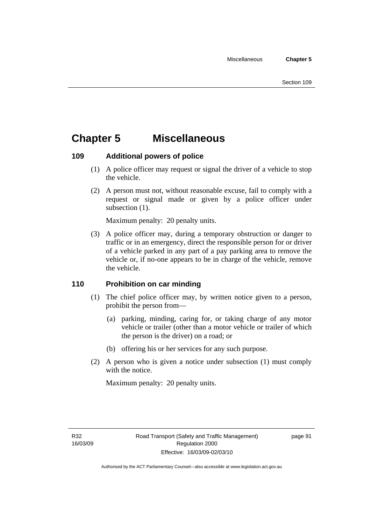## **Chapter 5 Miscellaneous**

## **109 Additional powers of police**

- (1) A police officer may request or signal the driver of a vehicle to stop the vehicle.
- (2) A person must not, without reasonable excuse, fail to comply with a request or signal made or given by a police officer under subsection  $(1)$ .

Maximum penalty: 20 penalty units.

 (3) A police officer may, during a temporary obstruction or danger to traffic or in an emergency, direct the responsible person for or driver of a vehicle parked in any part of a pay parking area to remove the vehicle or, if no-one appears to be in charge of the vehicle, remove the vehicle.

## **110 Prohibition on car minding**

- (1) The chief police officer may, by written notice given to a person, prohibit the person from—
	- (a) parking, minding, caring for, or taking charge of any motor vehicle or trailer (other than a motor vehicle or trailer of which the person is the driver) on a road; or
	- (b) offering his or her services for any such purpose.
- (2) A person who is given a notice under subsection (1) must comply with the notice.

Maximum penalty: 20 penalty units.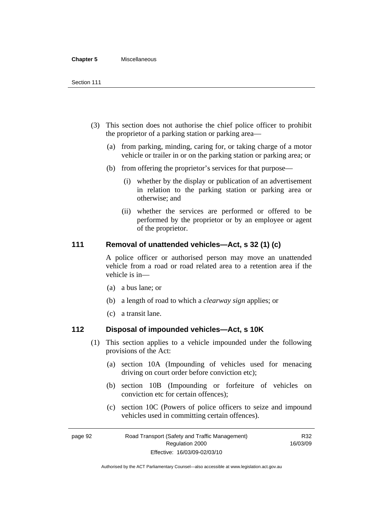#### **Chapter 5** Miscellaneous

- (3) This section does not authorise the chief police officer to prohibit the proprietor of a parking station or parking area—
	- (a) from parking, minding, caring for, or taking charge of a motor vehicle or trailer in or on the parking station or parking area; or
	- (b) from offering the proprietor's services for that purpose—
		- (i) whether by the display or publication of an advertisement in relation to the parking station or parking area or otherwise; and
		- (ii) whether the services are performed or offered to be performed by the proprietor or by an employee or agent of the proprietor.

## **111 Removal of unattended vehicles—Act, s 32 (1) (c)**

A police officer or authorised person may move an unattended vehicle from a road or road related area to a retention area if the vehicle is in—

- (a) a bus lane; or
- (b) a length of road to which a *clearway sign* applies; or
- (c) a transit lane.

## **112 Disposal of impounded vehicles—Act, s 10K**

- (1) This section applies to a vehicle impounded under the following provisions of the Act:
	- (a) section 10A (Impounding of vehicles used for menacing driving on court order before conviction etc);
	- (b) section 10B (Impounding or forfeiture of vehicles on conviction etc for certain offences);
	- (c) section 10C (Powers of police officers to seize and impound vehicles used in committing certain offences).

page 92 Road Transport (Safety and Traffic Management) Regulation 2000 Effective: 16/03/09-02/03/10

R32 16/03/09

Authorised by the ACT Parliamentary Counsel—also accessible at www.legislation.act.gov.au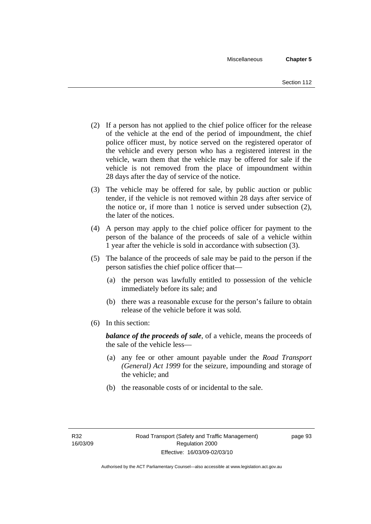- (2) If a person has not applied to the chief police officer for the release of the vehicle at the end of the period of impoundment, the chief police officer must, by notice served on the registered operator of the vehicle and every person who has a registered interest in the vehicle, warn them that the vehicle may be offered for sale if the vehicle is not removed from the place of impoundment within 28 days after the day of service of the notice.
- (3) The vehicle may be offered for sale, by public auction or public tender, if the vehicle is not removed within 28 days after service of the notice or, if more than 1 notice is served under subsection (2), the later of the notices.
- (4) A person may apply to the chief police officer for payment to the person of the balance of the proceeds of sale of a vehicle within 1 year after the vehicle is sold in accordance with subsection (3).
- (5) The balance of the proceeds of sale may be paid to the person if the person satisfies the chief police officer that—
	- (a) the person was lawfully entitled to possession of the vehicle immediately before its sale; and
	- (b) there was a reasonable excuse for the person's failure to obtain release of the vehicle before it was sold.
- (6) In this section:

*balance of the proceeds of sale*, of a vehicle, means the proceeds of the sale of the vehicle less—

- (a) any fee or other amount payable under the *Road Transport (General) Act 1999* for the seizure, impounding and storage of the vehicle; and
- (b) the reasonable costs of or incidental to the sale.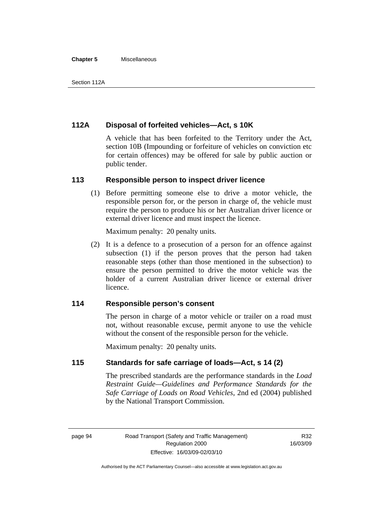#### **Chapter 5** Miscellaneous

## **112A Disposal of forfeited vehicles—Act, s 10K**

A vehicle that has been forfeited to the Territory under the Act, section 10B (Impounding or forfeiture of vehicles on conviction etc for certain offences) may be offered for sale by public auction or public tender.

## **113 Responsible person to inspect driver licence**

 (1) Before permitting someone else to drive a motor vehicle, the responsible person for, or the person in charge of, the vehicle must require the person to produce his or her Australian driver licence or external driver licence and must inspect the licence.

Maximum penalty: 20 penalty units.

 (2) It is a defence to a prosecution of a person for an offence against subsection (1) if the person proves that the person had taken reasonable steps (other than those mentioned in the subsection) to ensure the person permitted to drive the motor vehicle was the holder of a current Australian driver licence or external driver licence.

## **114 Responsible person's consent**

The person in charge of a motor vehicle or trailer on a road must not, without reasonable excuse, permit anyone to use the vehicle without the consent of the responsible person for the vehicle.

Maximum penalty: 20 penalty units.

## **115 Standards for safe carriage of loads—Act, s 14 (2)**

The prescribed standards are the performance standards in the *Load Restraint Guide—Guidelines and Performance Standards for the Safe Carriage of Loads on Road Vehicles*, 2nd ed (2004) published by the National Transport Commission.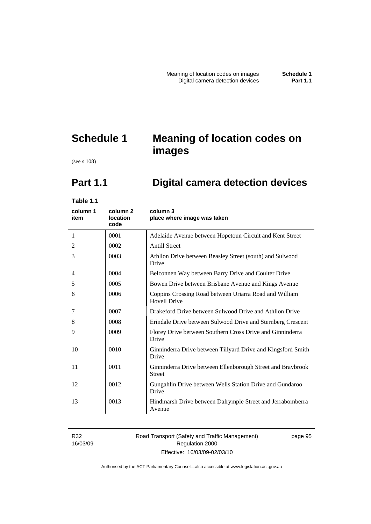# **Schedule 1 Meaning of location codes on images**

(see s 108)

# **Part 1.1 Digital camera detection devices**

**Table 1.1** 

| column 1<br>item | column <sub>2</sub><br>location<br>code | column 3<br>place where image was taken                                       |
|------------------|-----------------------------------------|-------------------------------------------------------------------------------|
| 1                | 0001                                    | Adelaide Avenue between Hopetoun Circuit and Kent Street                      |
| 2                | 0002                                    | <b>Antill Street</b>                                                          |
| 3                | 0003                                    | Athllon Drive between Beasley Street (south) and Sulwood<br>Drive             |
| 4                | 0004                                    | Belconnen Way between Barry Drive and Coulter Drive                           |
| 5                | 0005                                    | Bowen Drive between Brisbane Avenue and Kings Avenue                          |
| 6                | 0006                                    | Coppins Crossing Road between Uriarra Road and William<br><b>Hovell Drive</b> |
| 7                | 0007                                    | Drakeford Drive between Sulwood Drive and Athllon Drive                       |
| 8                | 0008                                    | Erindale Drive between Sulwood Drive and Sternberg Crescent                   |
| 9                | 0009                                    | Florey Drive between Southern Cross Drive and Ginninderra<br>Drive            |
| 10               | 0010                                    | Ginninderra Drive between Tillyard Drive and Kingsford Smith<br>Drive         |
| 11               | 0011                                    | Ginninderra Drive between Ellenborough Street and Braybrook<br><b>Street</b>  |
| 12               | 0012                                    | Gungahlin Drive between Wells Station Drive and Gundaroo<br>Drive             |
| 13               | 0013                                    | Hindmarsh Drive between Dalrymple Street and Jerrabomberra<br>Avenue          |

R32 16/03/09 Road Transport (Safety and Traffic Management) Regulation 2000 Effective: 16/03/09-02/03/10

page 95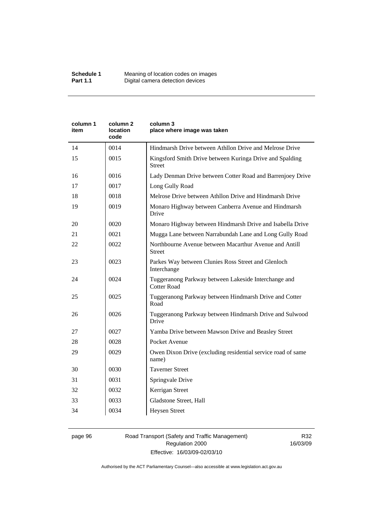| Kingsford Smith Drive between Kuringa Drive and Spalding<br>Lady Denman Drive between Cotter Road and Barrenjoey Drive |
|------------------------------------------------------------------------------------------------------------------------|
|                                                                                                                        |
|                                                                                                                        |
|                                                                                                                        |
|                                                                                                                        |
|                                                                                                                        |
| Monaro Highway between Canberra Avenue and Hindmarsh                                                                   |
| Monaro Highway between Hindmarsh Drive and Isabella Drive                                                              |
| Mugga Lane between Narrabundah Lane and Long Gully Road                                                                |
|                                                                                                                        |
|                                                                                                                        |
|                                                                                                                        |
| Tuggeranong Parkway between Hindmarsh Drive and Cotter                                                                 |
| Tuggeranong Parkway between Hindmarsh Drive and Sulwood                                                                |
|                                                                                                                        |
|                                                                                                                        |
| Owen Dixon Drive (excluding residential service road of same                                                           |
|                                                                                                                        |
|                                                                                                                        |
|                                                                                                                        |
|                                                                                                                        |
|                                                                                                                        |
|                                                                                                                        |

### page 96 Road Transport (Safety and Traffic Management) Regulation 2000 Effective: 16/03/09-02/03/10

R32 16/03/09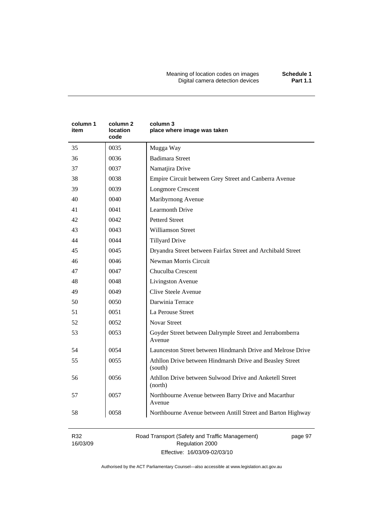Meaning of location codes on images **Schedule 1**  Digital camera detection devices **Part 1.1** 

| column 1<br>item | column 2<br>location<br>code | column 3<br>place where image was taken                             |
|------------------|------------------------------|---------------------------------------------------------------------|
| 35               | 0035                         | Mugga Way                                                           |
| 36               | 0036                         | <b>Badimara Street</b>                                              |
| 37               | 0037                         | Namatjira Drive                                                     |
| 38               | 0038                         | Empire Circuit between Grey Street and Canberra Avenue              |
| 39               | 0039                         | <b>Longmore Crescent</b>                                            |
| 40               | 0040                         | Maribyrnong Avenue                                                  |
| 41               | 0041                         | <b>Learmonth Drive</b>                                              |
| 42               | 0042                         | <b>Petterd Street</b>                                               |
| 43               | 0043                         | <b>Williamson Street</b>                                            |
| 44               | 0044                         | <b>Tillyard Drive</b>                                               |
| 45               | 0045                         | Dryandra Street between Fairfax Street and Archibald Street         |
| 46               | 0046                         | Newman Morris Circuit                                               |
| 47               | 0047                         | Chuculba Crescent                                                   |
| 48               | 0048                         | Livingston Avenue                                                   |
| 49               | 0049                         | Clive Steele Avenue                                                 |
| 50               | 0050                         | Darwinia Terrace                                                    |
| 51               | 0051                         | La Perouse Street                                                   |
| 52               | 0052                         | <b>Novar Street</b>                                                 |
| 53               | 0053                         | Goyder Street between Dalrymple Street and Jerrabomberra<br>Avenue  |
| 54               | 0054                         | Launceston Street between Hindmarsh Drive and Melrose Drive         |
| 55               | 0055                         | Athllon Drive between Hindmarsh Drive and Beasley Street<br>(south) |
| 56               | 0056                         | Athllon Drive between Sulwood Drive and Anketell Street<br>(north)  |
| 57               | 0057                         | Northbourne Avenue between Barry Drive and Macarthur<br>Avenue      |
| 58               | 0058                         | Northbourne Avenue between Antill Street and Barton Highway         |

R32 16/03/09 Road Transport (Safety and Traffic Management) Regulation 2000 Effective: 16/03/09-02/03/10

page 97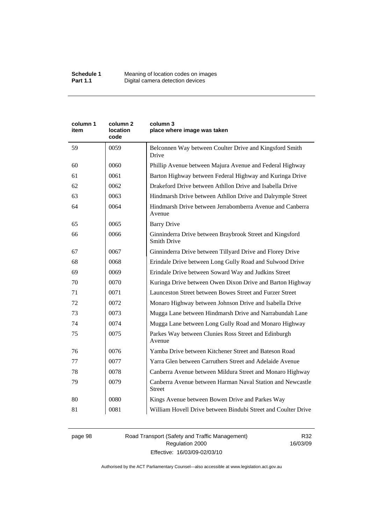| column 1<br>item | column <sub>2</sub><br>location<br>code | column 3<br>place where image was taken                                        |
|------------------|-----------------------------------------|--------------------------------------------------------------------------------|
| 59               | 0059                                    | Belconnen Way between Coulter Drive and Kingsford Smith<br>Drive               |
| 60               | 0060                                    | Phillip Avenue between Majura Avenue and Federal Highway                       |
| 61               | 0061                                    | Barton Highway between Federal Highway and Kuringa Drive                       |
| 62               | 0062                                    | Drakeford Drive between Athllon Drive and Isabella Drive                       |
| 63               | 0063                                    | Hindmarsh Drive between Athllon Drive and Dalrymple Street                     |
| 64               | 0064                                    | Hindmarsh Drive between Jerrabomberra Avenue and Canberra<br>Avenue            |
| 65               | 0065                                    | <b>Barry Drive</b>                                                             |
| 66               | 0066                                    | Ginninderra Drive between Braybrook Street and Kingsford<br><b>Smith Drive</b> |
| 67               | 0067                                    | Ginninderra Drive between Tillyard Drive and Florey Drive                      |
| 68               | 0068                                    | Erindale Drive between Long Gully Road and Sulwood Drive                       |
| 69               | 0069                                    | Erindale Drive between Soward Way and Judkins Street                           |
| 70               | 0070                                    | Kuringa Drive between Owen Dixon Drive and Barton Highway                      |
| 71               | 0071                                    | Launceston Street between Bowes Street and Furzer Street                       |
| 72               | 0072                                    | Monaro Highway between Johnson Drive and Isabella Drive                        |
| 73               | 0073                                    | Mugga Lane between Hindmarsh Drive and Narrabundah Lane                        |
| 74               | 0074                                    | Mugga Lane between Long Gully Road and Monaro Highway                          |
| 75               | 0075                                    | Parkes Way between Clunies Ross Street and Edinburgh<br>Avenue                 |
| 76               | 0076                                    | Yamba Drive between Kitchener Street and Bateson Road                          |
| 77               | 0077                                    | Yarra Glen between Carruthers Street and Adelaide Avenue                       |
| 78               | 0078                                    | Canberra Avenue between Mildura Street and Monaro Highway                      |
| 79               | 0079                                    | Canberra Avenue between Harman Naval Station and Newcastle<br><b>Street</b>    |
| 80               | 0080                                    | Kings Avenue between Bowen Drive and Parkes Way                                |
| 81               | 0081                                    | William Hovell Drive between Bindubi Street and Coulter Drive                  |

page 98 Road Transport (Safety and Traffic Management) Regulation 2000 Effective: 16/03/09-02/03/10

R32 16/03/09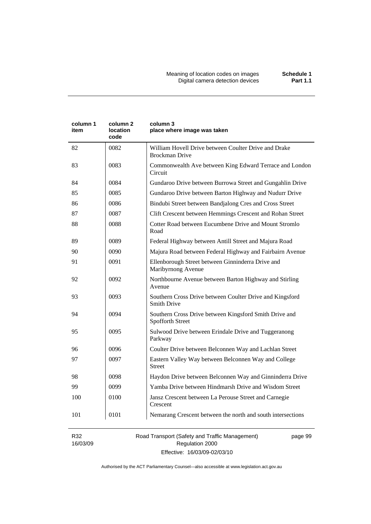| column 1<br>item | column <sub>2</sub><br>location<br>code | column 3<br>place where image was taken                                        |
|------------------|-----------------------------------------|--------------------------------------------------------------------------------|
| 82               | 0082                                    | William Hovell Drive between Coulter Drive and Drake<br><b>Brockman Drive</b>  |
| 83               | 0083                                    | Commonwealth Ave between King Edward Terrace and London<br>Circuit             |
| 84               | 0084                                    | Gundaroo Drive between Burrowa Street and Gungahlin Drive                      |
| 85               | 0085                                    | Gundaroo Drive between Barton Highway and Nudurr Drive                         |
| 86               | 0086                                    | Bindubi Street between Bandjalong Cres and Cross Street                        |
| 87               | 0087                                    | Clift Crescent between Hemmings Crescent and Rohan Street                      |
| 88               | 0088                                    | Cotter Road between Eucumbene Drive and Mount Stromlo<br>Road                  |
| 89               | 0089                                    | Federal Highway between Antill Street and Majura Road                          |
| 90               | 0090                                    | Majura Road between Federal Highway and Fairbairn Avenue                       |
| 91               | 0091                                    | Ellenborough Street between Ginninderra Drive and<br>Maribyrnong Avenue        |
| 92               | 0092                                    | Northbourne Avenue between Barton Highway and Stirling<br>Avenue               |
| 93               | 0093                                    | Southern Cross Drive between Coulter Drive and Kingsford<br><b>Smith Drive</b> |
| 94               | 0094                                    | Southern Cross Drive between Kingsford Smith Drive and<br>Spofforth Street     |
| 95               | 0095                                    | Sulwood Drive between Erindale Drive and Tuggeranong<br>Parkway                |
| 96               | 0096                                    | Coulter Drive between Belconnen Way and Lachlan Street                         |
| 97               | 0097                                    | Eastern Valley Way between Belconnen Way and College<br><b>Street</b>          |
| 98               | 0098                                    | Haydon Drive between Belconnen Way and Ginninderra Drive                       |
| 99               | 0099                                    | Yamba Drive between Hindmarsh Drive and Wisdom Street                          |
| 100              | 0100                                    | Jansz Crescent between La Perouse Street and Carnegie<br>Crescent              |
| 101              | 0101                                    | Nemarang Crescent between the north and south intersections                    |

R32 16/03/09 Road Transport (Safety and Traffic Management) Regulation 2000 Effective: 16/03/09-02/03/10

page 99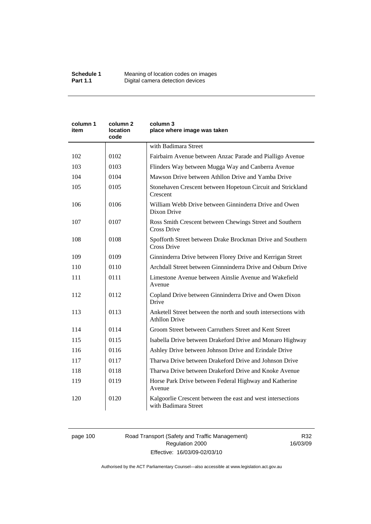| column 1<br>item | column 2<br>location<br>code | column 3<br>place where image was taken                                                |
|------------------|------------------------------|----------------------------------------------------------------------------------------|
|                  |                              | with Badimara Street                                                                   |
| 102              | 0102                         | Fairbairn Avenue between Anzac Parade and Pialligo Avenue                              |
| 103              | 0103                         | Flinders Way between Mugga Way and Canberra Avenue                                     |
| 104              | 0104                         | Mawson Drive between Athllon Drive and Yamba Drive                                     |
| 105              | 0105                         | Stonehaven Crescent between Hopetoun Circuit and Strickland<br>Crescent                |
| 106              | 0106                         | William Webb Drive between Ginninderra Drive and Owen<br>Dixon Drive                   |
| 107              | 0107                         | Ross Smith Crescent between Chewings Street and Southern<br>Cross Drive                |
| 108              | 0108                         | Spofforth Street between Drake Brockman Drive and Southern<br><b>Cross Drive</b>       |
| 109              | 0109                         | Ginninderra Drive between Florey Drive and Kerrigan Street                             |
| 110              | 0110                         | Archdall Street between Ginnninderra Drive and Osburn Drive                            |
| 111              | 0111                         | Limestone Avenue between Ainslie Avenue and Wakefield<br>Avenue                        |
| 112              | 0112                         | Copland Drive between Ginninderra Drive and Owen Dixon<br>Drive                        |
| 113              | 0113                         | Anketell Street between the north and south intersections with<br><b>Athllon Drive</b> |
| 114              | 0114                         | Groom Street between Carruthers Street and Kent Street                                 |
| 115              | 0115                         | Isabella Drive between Drakeford Drive and Monaro Highway                              |
| 116              | 0116                         | Ashley Drive between Johnson Drive and Erindale Drive                                  |
| 117              | 0117                         | Tharwa Drive between Drakeford Drive and Johnson Drive                                 |
| 118              | 0118                         | Tharwa Drive between Drakeford Drive and Knoke Avenue                                  |
| 119              | 0119                         | Horse Park Drive between Federal Highway and Katherine<br>Avenue                       |
| 120              | 0120                         | Kalgoorlie Crescent between the east and west intersections<br>with Badimara Street    |

# page 100 Road Transport (Safety and Traffic Management) Regulation 2000 Effective: 16/03/09-02/03/10

R32 16/03/09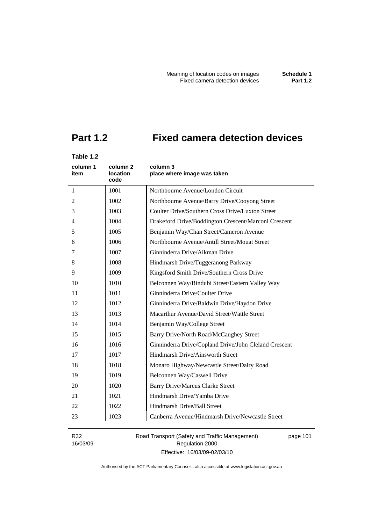# **Part 1.2 Fixed camera detection devices**

# **Table 1.2**

| column 1<br>item | column 2<br>location<br>code | column 3<br>place where image was taken               |
|------------------|------------------------------|-------------------------------------------------------|
| $\mathbf{1}$     | 1001                         | Northbourne Avenue/London Circuit                     |
| 2                | 1002                         | Northbourne Avenue/Barry Drive/Cooyong Street         |
| 3                | 1003                         | Coulter Drive/Southern Cross Drive/Luxton Street      |
| 4                | 1004                         | Drakeford Drive/Boddington Crescent/Marconi Crescent  |
| 5                | 1005                         | Benjamin Way/Chan Street/Cameron Avenue               |
| 6                | 1006                         | Northbourne Avenue/Antill Street/Mouat Street         |
| 7                | 1007                         | Ginninderra Drive/Aikman Drive                        |
| 8                | 1008                         | Hindmarsh Drive/Tuggeranong Parkway                   |
| 9                | 1009                         | Kingsford Smith Drive/Southern Cross Drive            |
| 10               | 1010                         | Belconnen Way/Bindubi Street/Eastern Valley Way       |
| 11               | 1011                         | Ginninderra Drive/Coulter Drive                       |
| 12               | 1012                         | Ginninderra Drive/Baldwin Drive/Haydon Drive          |
| 13               | 1013                         | Macarthur Avenue/David Street/Wattle Street           |
| 14               | 1014                         | Benjamin Way/College Street                           |
| 15               | 1015                         | Barry Drive/North Road/McCaughey Street               |
| 16               | 1016                         | Ginninderra Drive/Copland Drive/John Cleland Crescent |
| 17               | 1017                         | Hindmarsh Drive/Ainsworth Street                      |
| 18               | 1018                         | Monaro Highway/Newcastle Street/Dairy Road            |
| 19               | 1019                         | Belconnen Way/Caswell Drive                           |
| 20               | 1020                         | <b>Barry Drive/Marcus Clarke Street</b>               |
| 21               | 1021                         | Hindmarsh Drive/Yamba Drive                           |
| 22               | 1022                         | Hindmarsh Drive/Ball Street                           |
| 23               | 1023                         | Canberra Avenue/Hindmarsh Drive/Newcastle Street      |

R32 16/03/09 Road Transport (Safety and Traffic Management) Regulation 2000 Effective: 16/03/09-02/03/10

page 101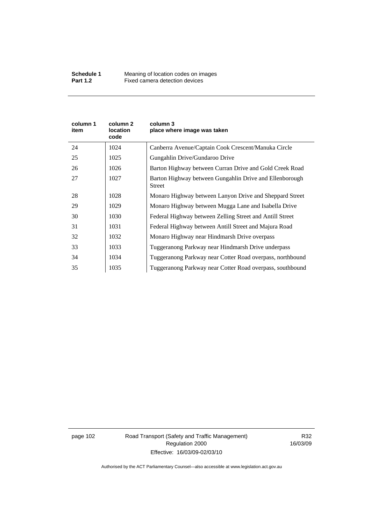| column 1<br>item | column 2<br><b>location</b><br>code | column 3<br>place where image was taken                                  |
|------------------|-------------------------------------|--------------------------------------------------------------------------|
| 24               | 1024                                | Canberra Avenue/Captain Cook Crescent/Manuka Circle                      |
| 25               | 1025                                | Gungahlin Drive/Gundaroo Drive                                           |
| 26               | 1026                                | Barton Highway between Curran Drive and Gold Creek Road                  |
| 27               | 1027                                | Barton Highway between Gungahlin Drive and Ellenborough<br><b>Street</b> |
| 28               | 1028                                | Monaro Highway between Lanyon Drive and Sheppard Street                  |
| 29               | 1029                                | Monaro Highway between Mugga Lane and Isabella Drive                     |
| 30               | 1030                                | Federal Highway between Zelling Street and Antill Street                 |
| 31               | 1031                                | Federal Highway between Antill Street and Majura Road                    |
| 32               | 1032                                | Monaro Highway near Hindmarsh Drive overpass                             |
| 33               | 1033                                | Tuggeranong Parkway near Hindmarsh Drive underpass                       |
| 34               | 1034                                | Tuggeranong Parkway near Cotter Road overpass, northbound                |
| 35               | 1035                                | Tuggeranong Parkway near Cotter Road overpass, southbound                |

page 102 Road Transport (Safety and Traffic Management) Regulation 2000 Effective: 16/03/09-02/03/10

R32 16/03/09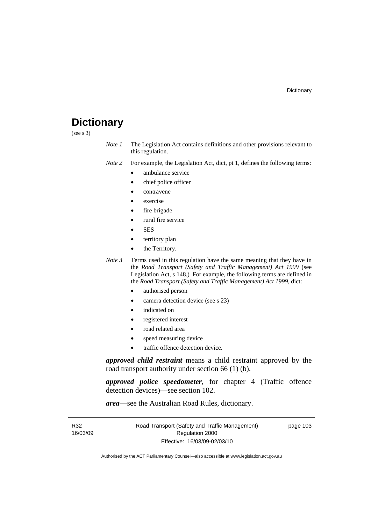# **Dictionary**

(see s 3)

*Note 1* The Legislation Act contains definitions and other provisions relevant to this regulation.

*Note 2* For example, the Legislation Act, dict, pt 1, defines the following terms:

- ambulance service
	- chief police officer
- contravene
- exercise
- fire brigade
- rural fire service
- SES
- territory plan
- the Territory.
- *Note 3* Terms used in this regulation have the same meaning that they have in the *Road Transport (Safety and Traffic Management) Act 1999* (see Legislation Act, s 148.) For example, the following terms are defined in the *Road Transport (Safety and Traffic Management) Act 1999*, dict:
	- authorised person
	- camera detection device (see s 23)
	- indicated on
	- registered interest
	- road related area
	- speed measuring device
	- traffic offence detection device.

*approved child restraint* means a child restraint approved by the road transport authority under section 66 (1) (b).

*approved police speedometer*, for chapter 4 (Traffic offence detection devices)—see section 102.

*area*—see the Australian Road Rules, dictionary.

| R32      | Road Transport (Safety and Traffic Management) | page 103 |
|----------|------------------------------------------------|----------|
| 16/03/09 | Regulation 2000                                |          |
|          | Effective: 16/03/09-02/03/10                   |          |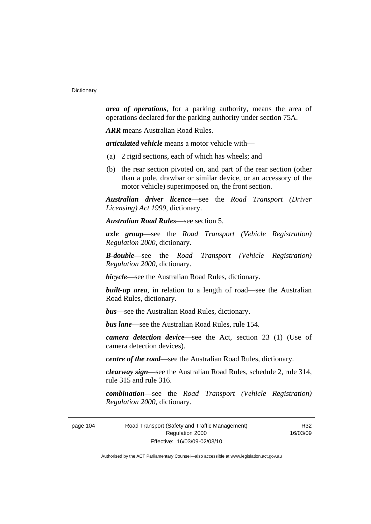*area of operations*, for a parking authority, means the area of operations declared for the parking authority under section 75A.

*ARR* means Australian Road Rules.

*articulated vehicle* means a motor vehicle with—

- (a) 2 rigid sections, each of which has wheels; and
- (b) the rear section pivoted on, and part of the rear section (other than a pole, drawbar or similar device, or an accessory of the motor vehicle) superimposed on, the front section.

*Australian driver licence*—see the *Road Transport (Driver Licensing) Act 1999*, dictionary.

*Australian Road Rules*—see section 5.

*axle group*—see the *Road Transport (Vehicle Registration) Regulation 2000*, dictionary.

*B-double*—see the *Road Transport (Vehicle Registration) Regulation 2000*, dictionary.

*bicycle*—see the Australian Road Rules, dictionary.

**built-up area**, in relation to a length of road—see the Australian Road Rules, dictionary.

*bus*—see the Australian Road Rules, dictionary.

*bus lane*—see the Australian Road Rules, rule 154.

*camera detection device*—see the Act, section 23 (1) (Use of camera detection devices).

*centre of the road*—see the Australian Road Rules, dictionary.

*clearway sign*—see the Australian Road Rules, schedule 2, rule 314, rule 315 and rule 316.

*combination*—see the *Road Transport (Vehicle Registration) Regulation 2000*, dictionary.

page 104 Road Transport (Safety and Traffic Management) Regulation 2000 Effective: 16/03/09-02/03/10

R32 16/03/09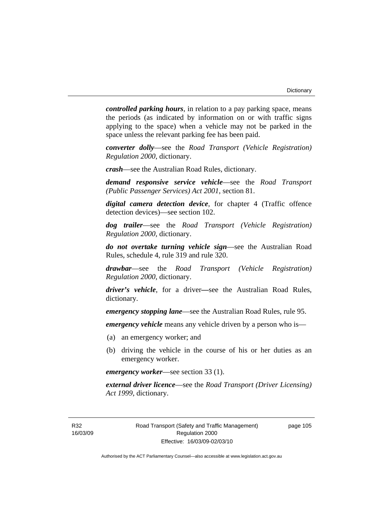*controlled parking hours*, in relation to a pay parking space, means the periods (as indicated by information on or with traffic signs applying to the space) when a vehicle may not be parked in the space unless the relevant parking fee has been paid.

*converter dolly*—see the *Road Transport (Vehicle Registration) Regulation 2000*, dictionary.

*crash*—see the Australian Road Rules, dictionary.

*demand responsive service vehicle*—see the *Road Transport (Public Passenger Services) Act 2001*, section 81.

*digital camera detection device*, for chapter 4 (Traffic offence detection devices)—see section 102.

*dog trailer*—see the *Road Transport (Vehicle Registration) Regulation 2000*, dictionary.

*do not overtake turning vehicle sign*—see the Australian Road Rules, schedule 4, rule 319 and rule 320.

*drawbar*—see the *Road Transport (Vehicle Registration) Regulation 2000*, dictionary.

*driver's vehicle*, for a driver*—*see the Australian Road Rules, dictionary.

*emergency stopping lane*—see the Australian Road Rules, rule 95.

*emergency vehicle* means any vehicle driven by a person who is—

- (a) an emergency worker; and
- (b) driving the vehicle in the course of his or her duties as an emergency worker.

*emergency worker*—see section 33 (1).

*external driver licence*—see the *Road Transport (Driver Licensing) Act 1999*, dictionary.

R32 16/03/09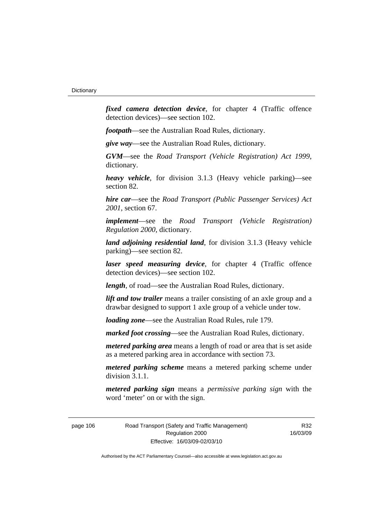*fixed camera detection device*, for chapter 4 (Traffic offence detection devices)—see section 102.

*footpath*—see the Australian Road Rules, dictionary.

*give way*—see the Australian Road Rules, dictionary.

*GVM*—see the *Road Transport (Vehicle Registration) Act 1999*, dictionary.

*heavy vehicle*, for division 3.1.3 (Heavy vehicle parking)—see section 82.

*hire car*—see the *Road Transport (Public Passenger Services) Act 2001*, section 67.

*implement*—see the *Road Transport (Vehicle Registration) Regulation 2000*, dictionary.

*land adjoining residential land*, for division 3.1.3 (Heavy vehicle parking)—see section 82.

*laser speed measuring device*, for chapter 4 (Traffic offence detection devices)—see section 102.

*length*, of road—see the Australian Road Rules, dictionary.

*lift and tow trailer* means a trailer consisting of an axle group and a drawbar designed to support 1 axle group of a vehicle under tow.

*loading zone*—see the Australian Road Rules, rule 179.

*marked foot crossing*—see the Australian Road Rules, dictionary.

*metered parking area* means a length of road or area that is set aside as a metered parking area in accordance with section 73.

*metered parking scheme* means a metered parking scheme under division 3.1.1.

*metered parking sign* means a *permissive parking sign* with the word 'meter' on or with the sign.

page 106 Road Transport (Safety and Traffic Management) Regulation 2000 Effective: 16/03/09-02/03/10

R32 16/03/09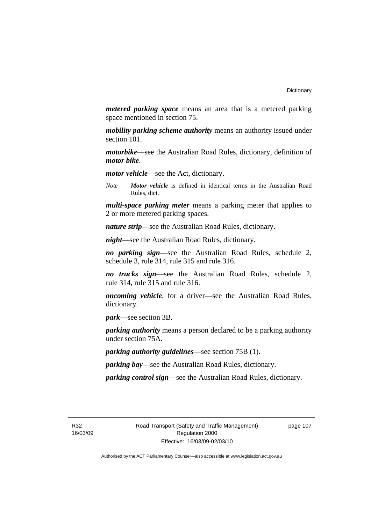*metered parking space* means an area that is a metered parking space mentioned in section 75.

*mobility parking scheme authority* means an authority issued under section 101.

*motorbike*—see the Australian Road Rules, dictionary, definition of *motor bike*.

*motor vehicle*—see the Act, dictionary.

*Note Motor vehicle* is defined in identical terms in the Australian Road Rules, dict.

*multi-space parking meter* means a parking meter that applies to 2 or more metered parking spaces.

*nature strip*—see the Australian Road Rules, dictionary.

*night*—see the Australian Road Rules, dictionary.

*no parking sign*—see the Australian Road Rules, schedule 2, schedule 3, rule 314, rule 315 and rule 316.

*no trucks sign*—see the Australian Road Rules, schedule 2, rule 314, rule 315 and rule 316.

*oncoming vehicle*, for a driver—see the Australian Road Rules, dictionary.

*park*—see section 3B.

*parking authority* means a person declared to be a parking authority under section 75A.

*parking authority guidelines*—see section 75B (1).

*parking bay*—see the Australian Road Rules, dictionary.

*parking control sign*—see the Australian Road Rules, dictionary.

R32 16/03/09 page 107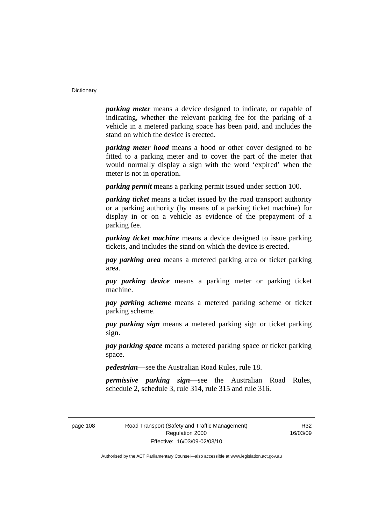*parking meter* means a device designed to indicate, or capable of indicating, whether the relevant parking fee for the parking of a vehicle in a metered parking space has been paid, and includes the stand on which the device is erected.

*parking meter hood* means a hood or other cover designed to be fitted to a parking meter and to cover the part of the meter that would normally display a sign with the word 'expired' when the meter is not in operation.

*parking permit* means a parking permit issued under section 100.

*parking ticket* means a ticket issued by the road transport authority or a parking authority (by means of a parking ticket machine) for display in or on a vehicle as evidence of the prepayment of a parking fee.

*parking ticket machine* means a device designed to issue parking tickets, and includes the stand on which the device is erected.

*pay parking area* means a metered parking area or ticket parking area.

*pay parking device* means a parking meter or parking ticket machine.

*pay parking scheme* means a metered parking scheme or ticket parking scheme.

*pay parking sign* means a metered parking sign or ticket parking sign.

*pay parking space* means a metered parking space or ticket parking space.

*pedestrian*—see the Australian Road Rules, rule 18.

*permissive parking sign*—see the Australian Road Rules, schedule 2, schedule 3, rule 314, rule 315 and rule 316.

R32 16/03/09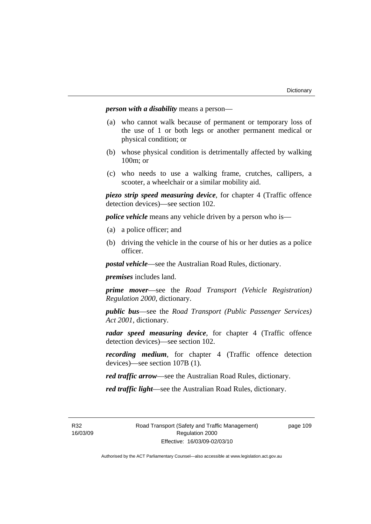*person with a disability* means a person—

- (a) who cannot walk because of permanent or temporary loss of the use of 1 or both legs or another permanent medical or physical condition; or
- (b) whose physical condition is detrimentally affected by walking 100m; or
- (c) who needs to use a walking frame, crutches, callipers, a scooter, a wheelchair or a similar mobility aid.

*piezo strip speed measuring device*, for chapter 4 (Traffic offence detection devices)—see section 102.

*police vehicle* means any vehicle driven by a person who is—

- (a) a police officer; and
- (b) driving the vehicle in the course of his or her duties as a police officer.

*postal vehicle*—see the Australian Road Rules, dictionary.

*premises* includes land.

*prime mover*—see the *Road Transport (Vehicle Registration) Regulation 2000*, dictionary.

*public bus*—see the *Road Transport (Public Passenger Services) Act 2001*, dictionary.

*radar speed measuring device*, for chapter 4 (Traffic offence detection devices)—see section 102.

*recording medium*, for chapter 4 (Traffic offence detection devices)—see section 107B (1).

*red traffic arrow*—see the Australian Road Rules, dictionary.

*red traffic light*—see the Australian Road Rules, dictionary.

R32 16/03/09 page 109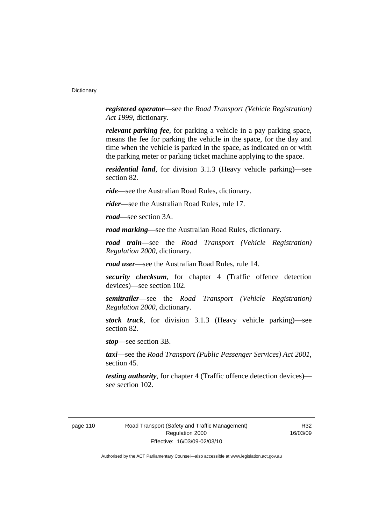*registered operator*—see the *Road Transport (Vehicle Registration) Act 1999*, dictionary.

*relevant parking fee*, for parking a vehicle in a pay parking space, means the fee for parking the vehicle in the space, for the day and time when the vehicle is parked in the space, as indicated on or with the parking meter or parking ticket machine applying to the space.

*residential land*, for division 3.1.3 (Heavy vehicle parking)—see section 82.

*ride*—see the Australian Road Rules, dictionary.

*rider*—see the Australian Road Rules, rule 17.

*road*—see section 3A.

*road marking*—see the Australian Road Rules, dictionary.

*road train*—see the *Road Transport (Vehicle Registration) Regulation 2000*, dictionary.

*road user*—see the Australian Road Rules, rule 14.

*security checksum*, for chapter 4 (Traffic offence detection devices)—see section 102.

*semitrailer*—see the *Road Transport (Vehicle Registration) Regulation 2000*, dictionary.

*stock truck*, for division 3.1.3 (Heavy vehicle parking)—see section 82.

*stop*—see section 3B.

*taxi*—see the *Road Transport (Public Passenger Services) Act 2001*, section 45.

*testing authority*, for chapter 4 (Traffic offence detection devices) see section 102.

R32 16/03/09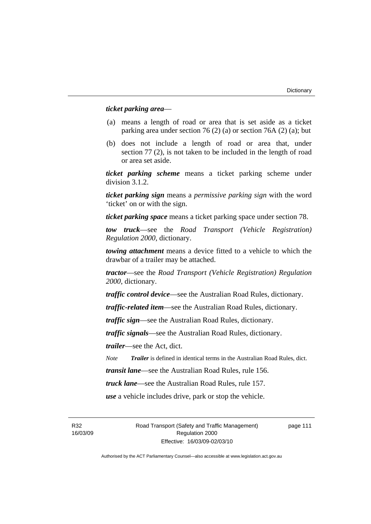#### *ticket parking area*—

- (a) means a length of road or area that is set aside as a ticket parking area under section 76 (2) (a) or section 76A (2) (a); but
- (b) does not include a length of road or area that, under section 77 (2), is not taken to be included in the length of road or area set aside.

*ticket parking scheme* means a ticket parking scheme under division 3.1.2.

*ticket parking sign* means a *permissive parking sign* with the word 'ticket' on or with the sign.

*ticket parking space* means a ticket parking space under section 78.

*tow truck*—see the *Road Transport (Vehicle Registration) Regulation 2000*, dictionary.

*towing attachment* means a device fitted to a vehicle to which the drawbar of a trailer may be attached.

*tractor*—see the *Road Transport (Vehicle Registration) Regulation 2000*, dictionary.

*traffic control device*—see the Australian Road Rules, dictionary.

*traffic-related item*—see the Australian Road Rules, dictionary.

*traffic sign*—see the Australian Road Rules, dictionary.

*traffic signals*—see the Australian Road Rules, dictionary.

*trailer*—see the Act, dict.

*Note Trailer* is defined in identical terms in the Australian Road Rules, dict.

*transit lane*—see the Australian Road Rules, rule 156.

*truck lane*—see the Australian Road Rules, rule 157.

*use* a vehicle includes drive, park or stop the vehicle.

R32 16/03/09 Road Transport (Safety and Traffic Management) Regulation 2000 Effective: 16/03/09-02/03/10

page 111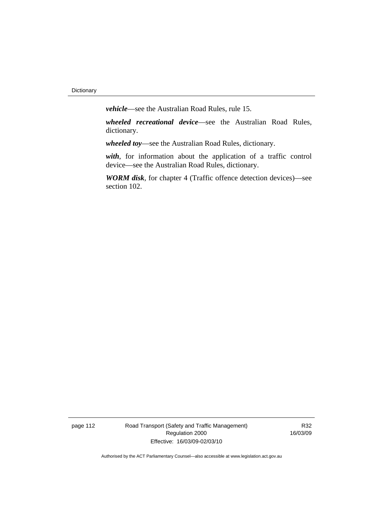*vehicle*—see the Australian Road Rules, rule 15.

*wheeled recreational device*—see the Australian Road Rules, dictionary.

*wheeled toy*—see the Australian Road Rules, dictionary.

*with*, for information about the application of a traffic control device—see the Australian Road Rules, dictionary.

*WORM disk*, for chapter 4 (Traffic offence detection devices)—see section 102.

page 112 Road Transport (Safety and Traffic Management) Regulation 2000 Effective: 16/03/09-02/03/10

R32 16/03/09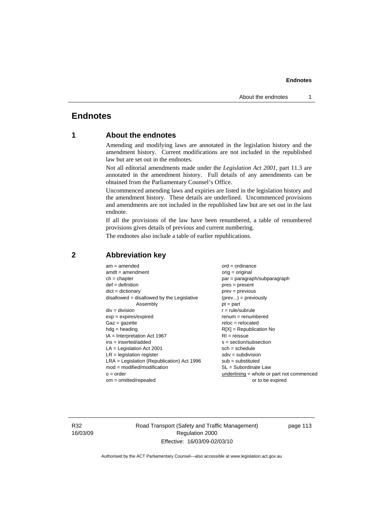# **Endnotes**

# **1 About the endnotes**

Amending and modifying laws are annotated in the legislation history and the amendment history. Current modifications are not included in the republished law but are set out in the endnotes.

Not all editorial amendments made under the *Legislation Act 2001*, part 11.3 are annotated in the amendment history. Full details of any amendments can be obtained from the Parliamentary Counsel's Office.

Uncommenced amending laws and expiries are listed in the legislation history and the amendment history. These details are underlined. Uncommenced provisions and amendments are not included in the republished law but are set out in the last endnote.

If all the provisions of the law have been renumbered, a table of renumbered provisions gives details of previous and current numbering.

The endnotes also include a table of earlier republications.

| $am = amended$                               | $ord = ordinance$                         |
|----------------------------------------------|-------------------------------------------|
| $amdt = amendment$                           | $orig = original$                         |
| $ch = chapter$                               | par = paragraph/subparagraph              |
| $def = definition$                           | $pres = present$                          |
| $dict = dictionary$                          | $prev = previous$                         |
| $disallowed = disallowed by the Legislative$ | $(\text{prev}) = \text{previously}$       |
| Assembly                                     | $pt = part$                               |
| $div = division$                             | $r = rule/subrule$                        |
| $exp = expires/expired$                      | $remum = renumbered$                      |
| $Gaz = gazette$                              | $reloc = relocated$                       |
| $hdg =$ heading                              | $R[X]$ = Republication No                 |
| $IA = Interpretation Act 1967$               | $RI = reissue$                            |
| $ins = inserted/added$                       | $s = section/subsection$                  |
| $LA =$ Legislation Act 2001                  | $sch = schedule$                          |
| $LR =$ legislation register                  | $sdiv = subdivision$                      |
| $LRA =$ Legislation (Republication) Act 1996 | $sub = substituted$                       |
| $mod = modified/modification$                | $SL = Subordinate$ Law                    |
| $o = order$                                  | underlining = whole or part not commenced |
| $om = omitted/repealed$                      | or to be expired                          |
|                                              |                                           |

# **2 Abbreviation key**

R32 16/03/09 Road Transport (Safety and Traffic Management) Regulation 2000 Effective: 16/03/09-02/03/10

page 113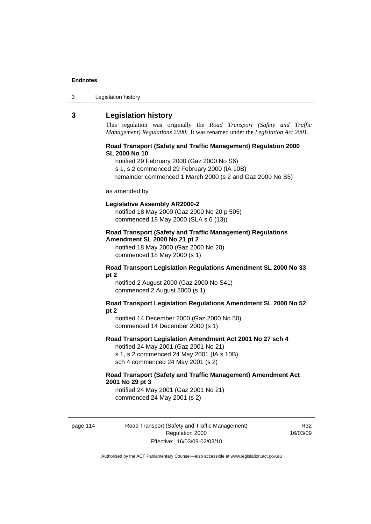| Legislation history<br>3 |
|--------------------------|
|--------------------------|

# **3 Legislation history**

This regulation was originally the *Road Transport (Safety and Traffic Management) Regulations 2000*. It was renamed under the *Legislation Act 2001*.

#### **Road Transport (Safety and Traffic Management) Regulation 2000 SL 2000 No 10**

notified 29 February 2000 (Gaz 2000 No S6)

s 1, s 2 commenced 29 February 2000 (IA 10B)

remainder commenced 1 March 2000 (s 2 and Gaz 2000 No S5)

#### as amended by

#### **Legislative Assembly AR2000-2**

notified 18 May 2000 (Gaz 2000 No 20 p 505) commenced 18 May 2000 (SLA s 6 (13))

### **Road Transport (Safety and Traffic Management) Regulations Amendment SL 2000 No 21 pt 2**

notified 18 May 2000 (Gaz 2000 No 20) commenced 18 May 2000 (s 1)

#### **Road Transport Legislation Regulations Amendment SL 2000 No 33 pt 2**

notified 2 August 2000 (Gaz 2000 No S41) commenced 2 August 2000 (s 1)

#### **Road Transport Legislation Regulations Amendment SL 2000 No 52 pt 2**

notified 14 December 2000 (Gaz 2000 No 50) commenced 14 December 2000 (s 1)

#### **Road Transport Legislation Amendment Act 2001 No 27 sch 4**

notified 24 May 2001 (Gaz 2001 No 21) s 1, s 2 commenced 24 May 2001 (IA s 10B) sch 4 commenced 24 May 2001 (s 2)

#### **Road Transport (Safety and Traffic Management) Amendment Act 2001 No 29 pt 3**

notified 24 May 2001 (Gaz 2001 No 21) commenced 24 May 2001 (s 2)

page 114 Road Transport (Safety and Traffic Management) Regulation 2000 Effective: 16/03/09-02/03/10

R32 16/03/09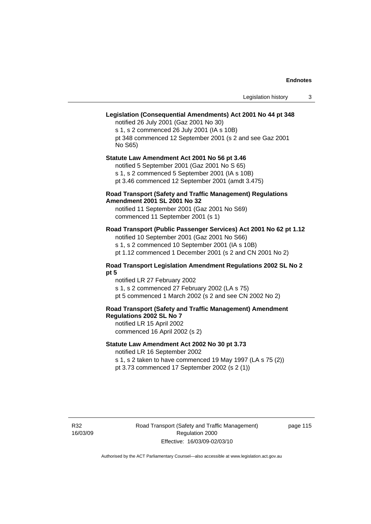# **Legislation (Consequential Amendments) Act 2001 No 44 pt 348**

notified 26 July 2001 (Gaz 2001 No 30) s 1, s 2 commenced 26 July 2001 (IA s 10B) pt 348 commenced 12 September 2001 (s 2 and see Gaz 2001 No S65)

# **Statute Law Amendment Act 2001 No 56 pt 3.46**

notified 5 September 2001 (Gaz 2001 No S 65) s 1, s 2 commenced 5 September 2001 (IA s 10B)

pt 3.46 commenced 12 September 2001 (amdt 3.475)

#### **Road Transport (Safety and Traffic Management) Regulations Amendment 2001 SL 2001 No 32**

notified 11 September 2001 (Gaz 2001 No S69) commenced 11 September 2001 (s 1)

## **Road Transport (Public Passenger Services) Act 2001 No 62 pt 1.12**

notified 10 September 2001 (Gaz 2001 No S66) s 1, s 2 commenced 10 September 2001 (IA s 10B)

pt 1.12 commenced 1 December 2001 (s 2 and CN 2001 No 2)

### **Road Transport Legislation Amendment Regulations 2002 SL No 2 pt 5**

notified LR 27 February 2002 s 1, s 2 commenced 27 February 2002 (LA s 75) pt 5 commenced 1 March 2002 (s 2 and see CN 2002 No 2)

# **Road Transport (Safety and Traffic Management) Amendment Regulations 2002 SL No 7**

notified LR 15 April 2002 commenced 16 April 2002 (s 2)

#### **Statute Law Amendment Act 2002 No 30 pt 3.73**

notified LR 16 September 2002

s 1, s 2 taken to have commenced 19 May 1997 (LA s 75 (2)) pt 3.73 commenced 17 September 2002 (s 2 (1))

R32 16/03/09 page 115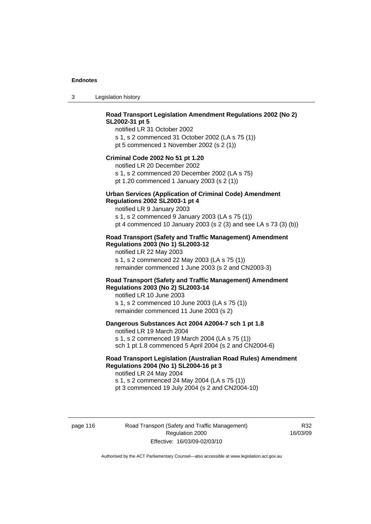3 Legislation history

# **Road Transport Legislation Amendment Regulations 2002 (No 2) SL2002-31 pt 5**

notified LR 31 October 2002 s 1, s 2 commenced 31 October 2002 (LA s 75 (1)) pt 5 commenced 1 November 2002 (s 2 (1))

#### **Criminal Code 2002 No 51 pt 1.20**

notified LR 20 December 2002 s 1, s 2 commenced 20 December 2002 (LA s 75) pt 1.20 commenced 1 January 2003 (s 2 (1))

# **Urban Services (Application of Criminal Code) Amendment**

# **Regulations 2002 SL2003-1 pt 4**

notified LR 9 January 2003 s 1, s 2 commenced 9 January 2003 (LA s 75 (1)) pt 4 commenced 10 January 2003 (s 2 (3) and see LA s 73 (3) (b))

#### **Road Transport (Safety and Traffic Management) Amendment Regulations 2003 (No 1) SL2003-12**

notified LR 22 May 2003 s 1, s 2 commenced 22 May 2003 (LA s 75 (1)) remainder commenced 1 June 2003 (s 2 and CN2003-3)

#### **Road Transport (Safety and Traffic Management) Amendment Regulations 2003 (No 2) SL2003-14**

notified LR 10 June 2003 s 1, s 2 commenced 10 June 2003 (LA s 75 (1)) remainder commenced 11 June 2003 (s 2)

#### **Dangerous Substances Act 2004 A2004-7 sch 1 pt 1.8**

notified LR 19 March 2004 s 1, s 2 commenced 19 March 2004 (LA s 75 (1)) sch 1 pt 1.8 commenced 5 April 2004 (s 2 and CN2004-6)

# **Road Transport Legislation (Australian Road Rules) Amendment Regulations 2004 (No 1) SL2004-16 pt 3**

notified LR 24 May 2004 s 1, s 2 commenced 24 May 2004 (LA s 75 (1)) pt 3 commenced 19 July 2004 (s 2 and CN2004-10)

page 116 Road Transport (Safety and Traffic Management) Regulation 2000 Effective: 16/03/09-02/03/10

R32 16/03/09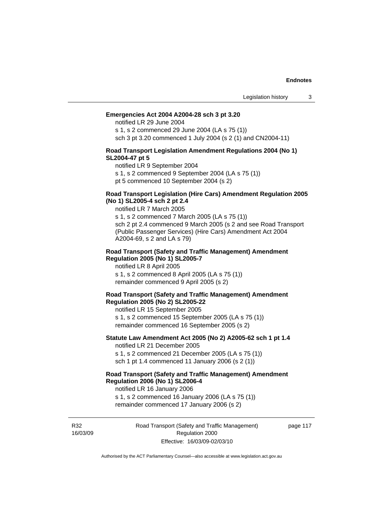#### **Emergencies Act 2004 A2004-28 sch 3 pt 3.20**

notified LR 29 June 2004

s 1, s 2 commenced 29 June 2004 (LA s 75 (1)) sch 3 pt 3.20 commenced 1 July 2004 (s 2 (1) and CN2004-11)

#### **Road Transport Legislation Amendment Regulations 2004 (No 1) SL2004-47 pt 5**

notified LR 9 September 2004

s 1, s 2 commenced 9 September 2004 (LA s 75 (1))

pt 5 commenced 10 September 2004 (s 2)

#### **Road Transport Legislation (Hire Cars) Amendment Regulation 2005 (No 1) SL2005-4 sch 2 pt 2.4**

notified LR 7 March 2005

s 1, s 2 commenced 7 March 2005 (LA s 75 (1)) sch 2 pt 2.4 commenced 9 March 2005 (s 2 and see Road Transport (Public Passenger Services) (Hire Cars) Amendment Act 2004 A2004-69, s 2 and LA s 79)

#### **Road Transport (Safety and Traffic Management) Amendment Regulation 2005 (No 1) SL2005-7**

notified LR 8 April 2005 s 1, s 2 commenced 8 April 2005 (LA s 75 (1)) remainder commenced 9 April 2005 (s 2)

#### **Road Transport (Safety and Traffic Management) Amendment Regulation 2005 (No 2) SL2005-22**

notified LR 15 September 2005 s 1, s 2 commenced 15 September 2005 (LA s 75 (1)) remainder commenced 16 September 2005 (s 2)

#### **Statute Law Amendment Act 2005 (No 2) A2005-62 sch 1 pt 1.4**  notified LR 21 December 2005

s 1, s 2 commenced 21 December 2005 (LA s 75 (1)) sch 1 pt 1.4 commenced 11 January 2006 (s 2 (1))

# **Road Transport (Safety and Traffic Management) Amendment Regulation 2006 (No 1) SL2006-4**

notified LR 16 January 2006 s 1, s 2 commenced 16 January 2006 (LA s 75 (1))

remainder commenced 17 January 2006 (s 2)

R32 16/03/09 Road Transport (Safety and Traffic Management) Regulation 2000 Effective: 16/03/09-02/03/10

page 117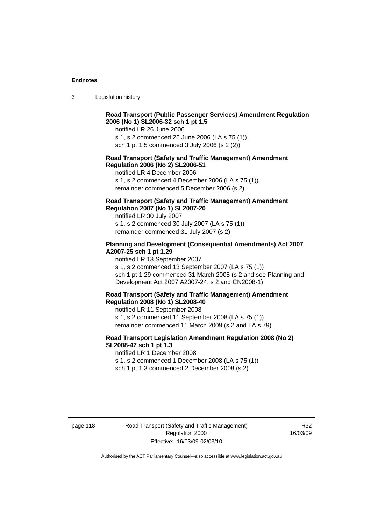3 Legislation history

## **Road Transport (Public Passenger Services) Amendment Regulation 2006 (No 1) SL2006-32 sch 1 pt 1.5**

notified LR 26 June 2006

s 1, s 2 commenced 26 June 2006 (LA s 75 (1)) sch 1 pt 1.5 commenced 3 July 2006 (s 2 (2))

#### **Road Transport (Safety and Traffic Management) Amendment Regulation 2006 (No 2) SL2006-51**

notified LR 4 December 2006

s 1, s 2 commenced 4 December 2006 (LA s 75 (1)) remainder commenced 5 December 2006 (s 2)

### **Road Transport (Safety and Traffic Management) Amendment Regulation 2007 (No 1) SL2007-20**

notified LR 30 July 2007 s 1, s 2 commenced 30 July 2007 (LA s 75 (1)) remainder commenced 31 July 2007 (s 2)

#### **Planning and Development (Consequential Amendments) Act 2007 A2007-25 sch 1 pt 1.29**

notified LR 13 September 2007

s 1, s 2 commenced 13 September 2007 (LA s 75 (1)) sch 1 pt 1.29 commenced 31 March 2008 (s 2 and see Planning and Development Act 2007 A2007-24, s 2 and CN2008-1)

#### **Road Transport (Safety and Traffic Management) Amendment Regulation 2008 (No 1) SL2008-40**

notified LR 11 September 2008 s 1, s 2 commenced 11 September 2008 (LA s 75 (1)) remainder commenced 11 March 2009 (s 2 and LA s 79)

#### **Road Transport Legislation Amendment Regulation 2008 (No 2) SL2008-47 sch 1 pt 1.3**

notified LR 1 December 2008 s 1, s 2 commenced 1 December 2008 (LA s 75 (1)) sch 1 pt 1.3 commenced 2 December 2008 (s 2)

page 118 Road Transport (Safety and Traffic Management) Regulation 2000 Effective: 16/03/09-02/03/10

R32 16/03/09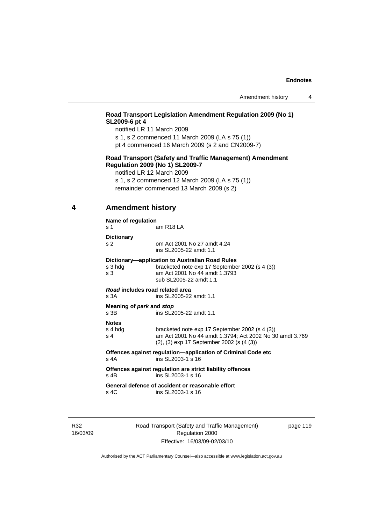# **Road Transport Legislation Amendment Regulation 2009 (No 1) SL2009-6 pt 4**

notified LR 11 March 2009

s 1, s 2 commenced 11 March 2009 (LA s 75 (1))

pt 4 commenced 16 March 2009 (s 2 and CN2009-7)

#### **Road Transport (Safety and Traffic Management) Amendment Regulation 2009 (No 1) SL2009-7**

notified LR 12 March 2009

s 1, s 2 commenced 12 March 2009 (LA s 75 (1))

remainder commenced 13 March 2009 (s 2)

# **4 Amendment history**

#### **Name of regulation**

s 1 am R18 LA

**Dictionary** 

| s <sub>2</sub> | om Act 2001 No 27 amdt 4.24   |
|----------------|-------------------------------|
|                | ing $\Omega$ 2005-22 amdt 1.1 |

 ins SL2005-22 amdt 1.1 **Dictionary—application to Australian Road Rules** 

|                                                                   | Dictional I-application to Australian Road Rules |  |
|-------------------------------------------------------------------|--------------------------------------------------|--|
| s 3 hdg                                                           | bracketed note exp 17 September 2002 (s 4 (3))   |  |
| s 3                                                               | am Act 2001 No 44 amdt 1.3793                    |  |
|                                                                   | sub SL2005-22 amdt 1.1                           |  |
| Road includes road related area<br>s 3A<br>ins SL2005-22 amdt 1.1 |                                                  |  |
| Meaning of <i>park</i> and <i>stop</i>                            |                                                  |  |
|                                                                   |                                                  |  |

s 3B ins SL2005-22 amdt 1.1

#### **Notes**

| s 4 hda | bracketed note exp 17 September 2002 (s 4 (3))           |
|---------|----------------------------------------------------------|
| s 4     | am Act 2001 No 44 amdt 1.3794; Act 2002 No 30 amdt 3.769 |
|         | $(2)$ , $(3)$ exp 17 September 2002 (s $(4 \, (3))$      |

**Offences against regulation—application of Criminal Code etc**  s 4A ins SL2003-1 s 16

**Offences against regulation are strict liability offences**  s 4B ins SL2003-1 s 16

**General defence of accident or reasonable effort**  ins SL2003-1 s 16

R32 16/03/09 Road Transport (Safety and Traffic Management) Regulation 2000 Effective: 16/03/09-02/03/10

page 119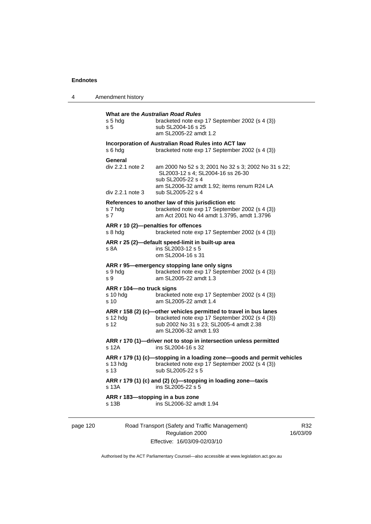4 Amendment history

| s 5 hda<br>s <sub>5</sub>                               | What are the Australian Road Rules<br>bracketed note exp 17 September 2002 (s 4 (3))<br>sub SL2004-16 s 25<br>am SL2005-22 amdt 1.2                                                      |
|---------------------------------------------------------|------------------------------------------------------------------------------------------------------------------------------------------------------------------------------------------|
| s 6 hda                                                 | Incorporation of Australian Road Rules into ACT law<br>bracketed note exp 17 September 2002 (s 4 (3))                                                                                    |
| General<br>div 2.2.1 note 2<br>$div 2.2.1$ note 3       | am 2000 No 52 s 3; 2001 No 32 s 3; 2002 No 31 s 22;<br>SL2003-12 s 4: SL2004-16 ss 26-30<br>sub SL2005-22 s 4<br>am SL2006-32 amdt 1.92; items renum R24 LA<br>sub SL2005-22 s 4         |
| s 7 hdg<br>s 7                                          | References to another law of this jurisdiction etc<br>bracketed note exp 17 September 2002 (s 4 (3))<br>am Act 2001 No 44 amdt 1.3795, amdt 1.3796                                       |
| s 8 hda                                                 | ARR r 10 (2)-penalties for offences<br>bracketed note exp 17 September 2002 (s 4 (3))                                                                                                    |
| s 8A                                                    | ARR r 25 (2)-default speed-limit in built-up area<br>ins SL2003-12 s 5<br>om SL2004-16 s 31                                                                                              |
| s 9 hdg<br>s 9                                          | ARR r 95-emergency stopping lane only signs<br>bracketed note exp 17 September 2002 (s 4 (3))<br>am SL2005-22 amdt 1.3                                                                   |
| ARR r 104-no truck signs<br>s 10 hda<br>s <sub>10</sub> | bracketed note exp 17 September 2002 (s 4 (3))<br>am SL2005-22 amdt 1.4                                                                                                                  |
| s 12 hdg<br>s 12                                        | ARR r 158 (2) (c)-other vehicles permitted to travel in bus lanes<br>bracketed note exp 17 September 2002 (s 4 (3))<br>sub 2002 No 31 s 23; SL2005-4 amdt 2.38<br>am SL2006-32 amdt 1.93 |
| s 12A                                                   | ARR r 170 (1)-driver not to stop in intersection unless permitted<br>ins SL2004-16 s 32                                                                                                  |
| s 13 hdg<br>s 13                                        | ARR r 179 (1) (c)-stopping in a loading zone-goods and permit vehicles<br>bracketed note exp 17 September 2002 (s 4 (3))<br>sub SL2005-22 s 5                                            |
| s 13A                                                   | ARR r 179 (1) (c) and (2) (c)-stopping in loading zone-taxis<br>ins SL2005-22 s 5                                                                                                        |
| ARR r 183-stopping in a bus zone<br>s 13B               | ins SL2006-32 amdt 1.94                                                                                                                                                                  |

page 120 Road Transport (Safety and Traffic Management) Regulation 2000 Effective: 16/03/09-02/03/10

R32 16/03/09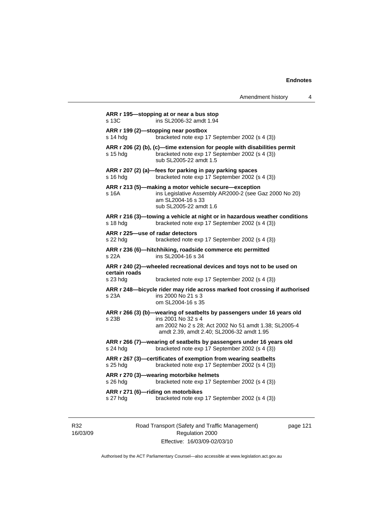|               | Amendment history                                                                                                                                              | 4 |
|---------------|----------------------------------------------------------------------------------------------------------------------------------------------------------------|---|
| s 13C         | ARR r 195—stopping at or near a bus stop<br>ins SL2006-32 amdt 1.94                                                                                            |   |
| s 14 hda      | ARR r 199 (2)—stopping near postbox<br>bracketed note exp 17 September 2002 (s 4 (3))                                                                          |   |
| $s$ 15 hdg    | ARR r 206 (2) (b), (c)-time extension for people with disabilities permit<br>bracketed note exp 17 September 2002 (s 4 (3))<br>sub SL2005-22 amdt 1.5          |   |
| s 16 hdg      | ARR r 207 (2) (a)-fees for parking in pay parking spaces<br>bracketed note exp 17 September 2002 (s 4 (3))                                                     |   |
| s 16A         | ARR r 213 (5)-making a motor vehicle secure-exception<br>ins Legislative Assembly AR2000-2 (see Gaz 2000 No 20)<br>am SL2004-16 s 33<br>sub SL2005-22 amdt 1.6 |   |
| s 18 hdg      | ARR r 216 (3)—towing a vehicle at night or in hazardous weather conditions<br>bracketed note exp 17 September 2002 (s 4 (3))                                   |   |
| s 22 hdg      | ARR r 225-use of radar detectors<br>bracketed note exp 17 September 2002 (s 4 (3))                                                                             |   |
| s 22A         | ARR r 236 (6)—hitchhiking, roadside commerce etc permitted<br>ins SL2004-16 s 34                                                                               |   |
| certain roads | ARR r 240 (2)—wheeled recreational devices and toys not to be used on                                                                                          |   |
| s 23 hdg      | bracketed note exp 17 September 2002 (s 4 (3))                                                                                                                 |   |
| s 23A         | ARR r 248-bicycle rider may ride across marked foot crossing if authorised<br>ins 2000 No 21 s 3<br>om SL2004-16 s 35                                          |   |
|               | ARR r 266 (3) (b)-wearing of seatbelts by passengers under 16 years old                                                                                        |   |
| s 23B         | ins 2001 No 32 s 4<br>am 2002 No 2 s 28; Act 2002 No 51 amdt 1.38; SL2005-4<br>amdt 2.39, amdt 2.40; SL2006-32 amdt 1.95                                       |   |
| $s$ 24 hdg    | ARR r 266 (7)-wearing of seatbelts by passengers under 16 years old<br>bracketed note exp 17 September 2002 (s 4 (3))                                          |   |
| s 25 hdg      | ARR r 267 (3)-certificates of exemption from wearing seatbelts<br>bracketed note exp 17 September 2002 (s 4 (3))                                               |   |
| s 26 hdg      | ARR r 270 (3)-wearing motorbike helmets<br>bracketed note exp 17 September 2002 (s 4 (3))                                                                      |   |
| s 27 hdg      | ARR r 271 (6)-riding on motorbikes<br>bracketed note exp 17 September 2002 (s 4 (3))                                                                           |   |

R32 16/03/09 Road Transport (Safety and Traffic Management) Regulation 2000 Effective: 16/03/09-02/03/10

page 121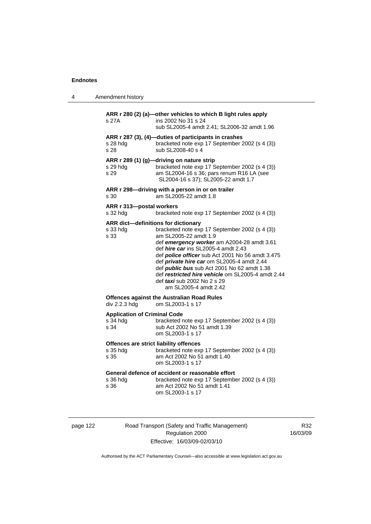| 4 | Amendment history                                                  |                                                                                                                                                                                                                                                                                                                                                                                                                                                 |
|---|--------------------------------------------------------------------|-------------------------------------------------------------------------------------------------------------------------------------------------------------------------------------------------------------------------------------------------------------------------------------------------------------------------------------------------------------------------------------------------------------------------------------------------|
|   | s 27A                                                              | ARR r 280 (2) (a)-other vehicles to which B light rules apply<br>ins 2002 No 31 s 24<br>sub SL2005-4 amdt 2.41; SL2006-32 amdt 1.96                                                                                                                                                                                                                                                                                                             |
|   | s 28 hdg<br>s 28                                                   | ARR r 287 (3), (4)-duties of participants in crashes<br>bracketed note exp 17 September 2002 (s 4 (3))<br>sub SL2008-40 s 4                                                                                                                                                                                                                                                                                                                     |
|   | ARR r 289 (1) (g)-driving on nature strip<br>s 29 hdg<br>s 29      | bracketed note exp 17 September 2002 (s 4 (3))<br>am SL2004-16 s 36; pars renum R16 LA (see<br>SL2004-16 s 37); SL2005-22 amdt 1.7                                                                                                                                                                                                                                                                                                              |
|   | s 30                                                               | ARR r 298-driving with a person in or on trailer<br>am SL2005-22 amdt 1.8                                                                                                                                                                                                                                                                                                                                                                       |
|   | ARR r 313-postal workers<br>s 32 hdg                               | bracketed note exp 17 September 2002 (s 4 (3))                                                                                                                                                                                                                                                                                                                                                                                                  |
|   | ARR dict-definitions for dictionary<br>s 33 hdg<br>s 33            | bracketed note exp 17 September 2002 (s 4 (3))<br>am SL2005-22 amdt 1.9<br>def emergency worker am A2004-28 amdt 3.61<br>def <i>hire car</i> ins SL2005-4 amdt 2.43<br>def police officer sub Act 2001 No 56 amdt 3.475<br>def private hire car om SL2005-4 amdt 2.44<br>def <i>public bus</i> sub Act 2001 No 62 amdt 1.38<br>def restricted hire vehicle om SL2005-4 amdt 2.44<br>def <i>taxi</i> sub 2002 No 2 s 29<br>am SL2005-4 amdt 2.42 |
|   | <b>Offences against the Australian Road Rules</b><br>div 2.2.3 hdg | om SL2003-1 s 17                                                                                                                                                                                                                                                                                                                                                                                                                                |
|   | <b>Application of Criminal Code</b><br>s 34 hdg<br>s 34            | bracketed note exp 17 September 2002 (s 4 (3))<br>sub Act 2002 No 51 amdt 1.39<br>om SL2003-1 s 17                                                                                                                                                                                                                                                                                                                                              |
|   | Offences are strict liability offences<br>s 35 hdg<br>s 35         | bracketed note exp 17 September 2002 (s 4 (3))<br>am Act 2002 No 51 amdt 1.40<br>om SL2003-1 s 17                                                                                                                                                                                                                                                                                                                                               |
|   | s 36 hda<br>s 36                                                   | General defence of accident or reasonable effort<br>bracketed note exp 17 September 2002 (s 4 (3))<br>am Act 2002 No 51 amdt 1.41<br>om SL2003-1 s 17                                                                                                                                                                                                                                                                                           |

| page |  |  |
|------|--|--|
|------|--|--|

122 Road Transport (Safety and Traffic Management) Regulation 2000 Effective: 16/03/09-02/03/10

R32 16/03/09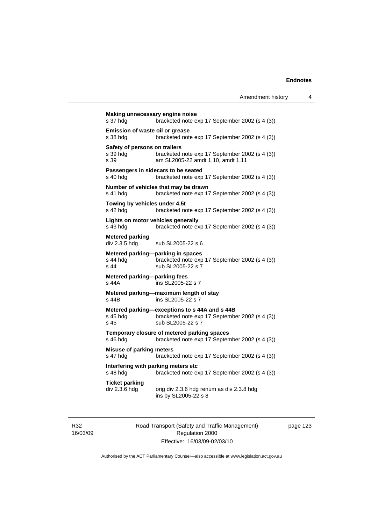| s 37 hdg                                          | bracketed note exp 17 September 2002 (s 4 (3))                                                                       |
|---------------------------------------------------|----------------------------------------------------------------------------------------------------------------------|
| Emission of waste oil or grease<br>s 38 hdg       | bracketed note exp 17 September 2002 (s 4 (3))                                                                       |
| Safety of persons on trailers<br>s 39 hda<br>s 39 | bracketed note exp 17 September 2002 (s 4 (3))<br>am SL2005-22 amdt 1.10, amdt 1.11                                  |
| s 40 hdg                                          | Passengers in sidecars to be seated<br>bracketed note exp 17 September 2002 (s 4 (3))                                |
| s 41 hdg                                          | Number of vehicles that may be drawn<br>bracketed note exp 17 September 2002 (s 4 (3))                               |
| Towing by vehicles under 4.5t<br>s 42 hdg         | bracketed note exp 17 September 2002 (s 4 (3))                                                                       |
| s 43 hdg                                          | Lights on motor vehicles generally<br>bracketed note exp 17 September 2002 (s 4 (3))                                 |
| <b>Metered parking</b><br>div 2.3.5 hdg           | sub SL2005-22 s 6                                                                                                    |
| s 44 hdg<br>s 44                                  | Metered parking-parking in spaces<br>bracketed note exp 17 September 2002 (s 4 (3))<br>sub SL2005-22 s 7             |
| Metered parking-parking fees<br>s 44A             | ins SL2005-22 s 7                                                                                                    |
| s 44B                                             | Metered parking-maximum length of stay<br>ins SL2005-22 s 7                                                          |
| s 45 hdg<br>s 45                                  | Metered parking-exceptions to s 44A and s 44B<br>bracketed note exp 17 September 2002 (s 4 (3))<br>sub SL2005-22 s 7 |
| s 46 hdg                                          | Temporary closure of metered parking spaces<br>bracketed note exp 17 September 2002 (s 4 (3))                        |
| <b>Misuse of parking meters</b><br>s 47 hdg       | bracketed note exp 17 September 2002 (s 4 (3))                                                                       |
| s 48 hdg                                          | Interfering with parking meters etc<br>bracketed note exp 17 September 2002 (s 4 (3))                                |
| <b>Ticket parking</b><br>div 2.3.6 hdg            | orig div 2.3.6 hdg renum as div 2.3.8 hdg<br>ins by SL2005-22 s 8                                                    |

R32 16/03/09 Road Transport (Safety and Traffic Management) Regulation 2000 Effective: 16/03/09-02/03/10

page 123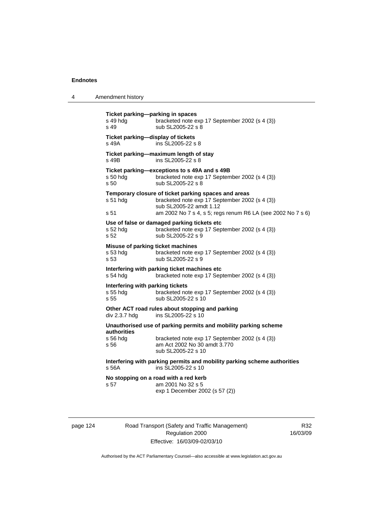| 4 | Amendment history |
|---|-------------------|
|---|-------------------|

**Ticket parking—parking in spaces**  s 49 hdg bracketed note exp 17 September 2002 (s 4 (3)) s 49 sub SL2005-22 s 8 **Ticket parking—display of tickets**  s 49A ins SL2005-22 s 8 **Ticket parking—maximum length of stay**  s 49B ins SL2005-22 s 8 **Ticket parking—exceptions to s 49A and s 49B**  s 50 hdg bracketed note exp 17 September 2002 (s 4 (3)) s 50 sub SL2005-22 s 8 **Temporary closure of ticket parking spaces and areas**  s 51 hdg bracketed note exp 17 September 2002 (s 4 (3)) sub SL2005-22 amdt 1.12 s 51 am 2002 No 7 s 4, s 5; regs renum R6 LA (see 2002 No 7 s 6) **Use of false or damaged parking tickets etc**  s 52 hdg bracketed note exp 17 September 2002 (s 4 (3)) s 52 sub SL2005-22 s 9 **Misuse of parking ticket machines**  s 53 hdg bracketed note exp 17 September 2002 (s 4 (3)) s 53 sub SL2005-22 s 9 **Interfering with parking ticket machines etc**  s 54 hdg bracketed note exp 17 September 2002 (s 4 (3)) **Interfering with parking tickets**<br>s 55 hda<br>bracketed no bracketed note exp 17 September 2002 (s 4 (3)) s 55 sub SL2005-22 s 10 **Other ACT road rules about stopping and parking**  div 2.3.7 hdg ins SL2005-22 s 10 **Unauthorised use of parking permits and mobility parking scheme authorities**  s 56 hdg bracketed note exp 17 September 2002 (s 4 (3))<br>s 56 **by** am Act 2002 No 30 amdt 3.770 am Act 2002 No 30 amdt 3.770 sub SL2005-22 s 10 **Interfering with parking permits and mobility parking scheme authorities**  s 56A ins SL2005-22 s 10 **No stopping on a road with a red kerb**  s 57 am 2001 No 32 s 5 exp 1 December 2002 (s 57 (2))

page 124 Road Transport (Safety and Traffic Management) Regulation 2000 Effective: 16/03/09-02/03/10

R32 16/03/09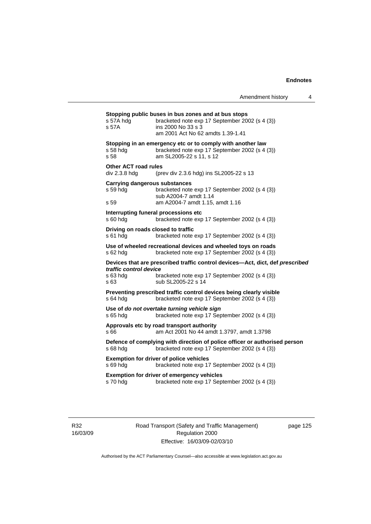| s 57A hdg<br>s 57A                           | bracketed note exp 17 September 2002 (s 4 (3))<br>ins 2000 No 33 s 3<br>am 2001 Act No 62 amdts 1.39-1.41                                             |
|----------------------------------------------|-------------------------------------------------------------------------------------------------------------------------------------------------------|
| s 58 hdg<br>s 58                             | Stopping in an emergency etc or to comply with another law<br>bracketed note exp 17 September 2002 (s 4 (3))<br>am SL2005-22 s 11, s 12               |
| <b>Other ACT road rules</b><br>div 2.3.8 hdg | (prev div 2.3.6 hdg) ins SL2005-22 s 13                                                                                                               |
| s 59 hdg<br>s 59                             | <b>Carrying dangerous substances</b><br>bracketed note exp 17 September 2002 (s 4 (3))<br>sub A2004-7 amdt 1.14<br>am A2004-7 amdt 1.15, amdt 1.16    |
| s 60 hdg                                     | Interrupting funeral processions etc<br>bracketed note exp 17 September 2002 (s 4 (3))                                                                |
| s 61 hdg                                     | Driving on roads closed to traffic<br>bracketed note exp 17 September 2002 (s 4 (3))                                                                  |
| s 62 hdg                                     | Use of wheeled recreational devices and wheeled toys on roads<br>bracketed note exp 17 September 2002 (s 4 (3))                                       |
| traffic control device<br>s 63 hdg<br>s 63   | Devices that are prescribed traffic control devices-Act, dict, def prescribed<br>bracketed note exp 17 September 2002 (s 4 (3))<br>sub SL2005-22 s 14 |
| s 64 hdg                                     | Preventing prescribed traffic control devices being clearly visible<br>bracketed note exp 17 September 2002 (s 4 (3))                                 |
| s 65 hdg                                     | Use of do not overtake turning vehicle sign<br>bracketed note exp 17 September 2002 (s 4 (3))                                                         |
| s 66                                         | Approvals etc by road transport authority<br>am Act 2001 No 44 amdt 1.3797, amdt 1.3798                                                               |
| s 68 hdg                                     | Defence of complying with direction of police officer or authorised person<br>bracketed note exp 17 September 2002 (s 4 (3))                          |
|                                              | <b>Exemption for driver of police vehicles</b><br>bracketed note exp 17 September 2002 (s 4 (3))                                                      |
| s 69 hdg                                     |                                                                                                                                                       |

R32 16/03/09 Road Transport (Safety and Traffic Management) Regulation 2000 Effective: 16/03/09-02/03/10

page 125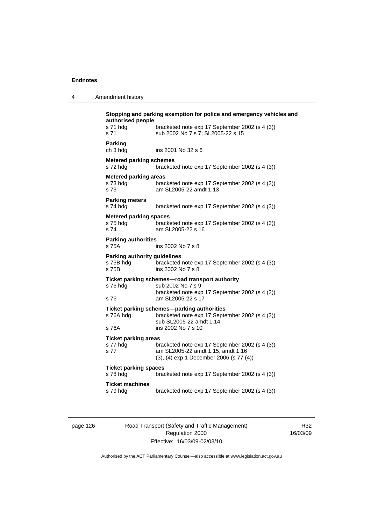4 Amendment history

| Parking<br>ch 3 hdg                                       |                                                                                                                                               |
|-----------------------------------------------------------|-----------------------------------------------------------------------------------------------------------------------------------------------|
|                                                           | ins 2001 No 32 s 6                                                                                                                            |
| <b>Metered parking schemes</b><br>s 72 hda                | bracketed note exp 17 September 2002 (s 4 (3))                                                                                                |
| <b>Metered parking areas</b><br>s 73 hda<br>s 73          | bracketed note exp 17 September 2002 (s 4 (3))<br>am SL2005-22 amdt 1.13                                                                      |
| <b>Parking meters</b><br>s 74 hdg                         | bracketed note exp 17 September 2002 (s 4 (3))                                                                                                |
| <b>Metered parking spaces</b><br>s 75 hda<br>s 74         | bracketed note exp 17 September 2002 (s 4 (3))<br>am SL2005-22 s 16                                                                           |
| <b>Parking authorities</b><br>s 75A                       | ins 2002 No 7 s 8                                                                                                                             |
| <b>Parking authority guidelines</b><br>s 75B hda<br>s 75B | bracketed note exp 17 September 2002 (s 4 (3))<br>ins 2002 No 7 s 8                                                                           |
| s 76 hdg<br>s 76                                          | Ticket parking schemes-road transport authority<br>sub 2002 No 7 s 9<br>bracketed note exp 17 September 2002 (s 4 (3))<br>am SL2005-22 s 17   |
| s 76A hdg<br>s 76A                                        | Ticket parking schemes—parking authorities<br>bracketed note exp 17 September 2002 (s 4 (3))<br>sub SL2005-22 amdt 1.14<br>ins 2002 No 7 s 10 |
| <b>Ticket parking areas</b><br>s 77 hdg<br>s 77           | bracketed note exp 17 September 2002 (s 4 (3))<br>am SL2005-22 amdt 1.15, amdt 1.16<br>(3), (4) exp 1 December 2006 (s 77 (4))                |
| <b>Ticket parking spaces</b><br>s 78 hdg                  | bracketed note exp 17 September 2002 (s 4 (3))                                                                                                |
| <b>Ticket machines</b><br>s 79 hdg                        | bracketed note exp 17 September 2002 (s 4 (3))                                                                                                |

page 126 Road Transport (Safety and Traffic Management) Regulation 2000 Effective: 16/03/09-02/03/10

R32 16/03/09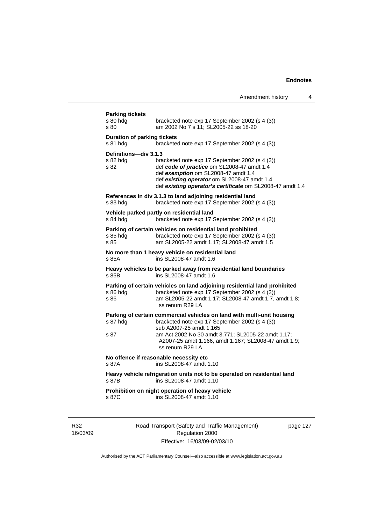| <b>Parking tickets</b><br>s 80 hdg<br>s 80     | bracketed note exp 17 September 2002 (s 4 (3))<br>am 2002 No 7 s 11; SL2005-22 ss 18-20                                                                                                                                                                                              |
|------------------------------------------------|--------------------------------------------------------------------------------------------------------------------------------------------------------------------------------------------------------------------------------------------------------------------------------------|
| <b>Duration of parking tickets</b><br>s 81 hdg | bracketed note exp 17 September 2002 (s 4 (3))                                                                                                                                                                                                                                       |
| Definitions-div 3.1.3<br>s 82 hda<br>s 82      | bracketed note exp 17 September 2002 (s 4 (3))<br>def code of practice om SL2008-47 amdt 1.4<br>def exemption om SL2008-47 amdt 1.4<br>def existing operator om SL2008-47 amdt 1.4<br>def existing operator's certificate om SL2008-47 amdt 1.4                                      |
| s 83 hdg                                       | References in div 3.1.3 to land adjoining residential land<br>bracketed note exp 17 September 2002 (s 4 (3))                                                                                                                                                                         |
| s 84 hdg                                       | Vehicle parked partly on residential land<br>bracketed note exp 17 September 2002 (s 4 (3))                                                                                                                                                                                          |
| s 85 hda<br>s 85                               | Parking of certain vehicles on residential land prohibited<br>bracketed note exp 17 September 2002 (s 4 (3))<br>am SL2005-22 amdt 1.17; SL2008-47 amdt 1.5                                                                                                                           |
| s 85A                                          | No more than 1 heavy vehicle on residential land<br>ins SL2008-47 amdt 1.6                                                                                                                                                                                                           |
| s 85B                                          | Heavy vehicles to be parked away from residential land boundaries<br>ins SL2008-47 amdt 1.6                                                                                                                                                                                          |
| s 86 hda<br>s 86                               | Parking of certain vehicles on land adjoining residential land prohibited<br>bracketed note exp 17 September 2002 (s 4 (3))<br>am SL2005-22 amdt 1.17; SL2008-47 amdt 1.7, amdt 1.8;<br>ss renum R29 LA                                                                              |
| s 87 hdg<br>s 87                               | Parking of certain commercial vehicles on land with multi-unit housing<br>bracketed note exp 17 September 2002 (s 4 (3))<br>sub A2007-25 amdt 1.165<br>am Act 2002 No 30 amdt 3.771; SL2005-22 amdt 1.17;<br>A2007-25 amdt 1.166, amdt 1.167; SL2008-47 amdt 1.9;<br>ss renum R29 LA |
| s 87A                                          | No offence if reasonable necessity etc<br>ins SL2008-47 amdt 1.10                                                                                                                                                                                                                    |
| s 87B                                          | Heavy vehicle refrigeration units not to be operated on residential land<br>ins SL2008-47 amdt 1.10                                                                                                                                                                                  |
|                                                | Prohibition on night operation of heavy vehicle                                                                                                                                                                                                                                      |

R32 16/03/09 Road Transport (Safety and Traffic Management) Regulation 2000 Effective: 16/03/09-02/03/10

page 127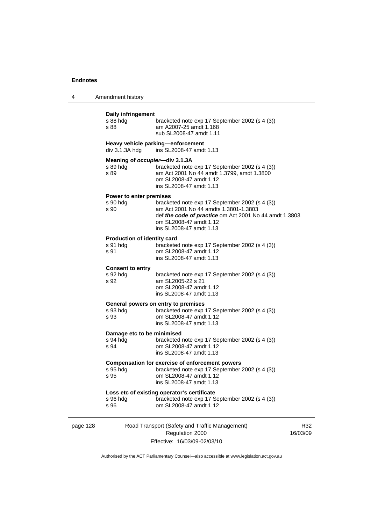| 4 | Amendment history |
|---|-------------------|
|---|-------------------|

# page 128 Road Transport (Safety and Traffic Management) Regulation 2000 **Daily infringement**  bracketed note exp 17 September 2002 (s 4 (3)) s 88 am A2007-25 amdt 1.168 sub SL2008-47 amdt 1.11 **Heavy vehicle parking—enforcement**  div 3.1.3A hdg ins SL2008-47 amdt 1.13 **Meaning of** *occupier***—div 3.1.3A**  s 89 hdg bracketed note exp 17 September 2002 (s 4 (3))<br>s 89 am Act 2001 No 44 amdt 1.3799. amdt 1.3800 am Act 2001 No 44 amdt 1.3799, amdt 1.3800 om SL2008-47 amdt 1.12 ins SL2008-47 amdt 1.13 **Power to enter premises**  bracketed note exp 17 September 2002 (s 4 (3)) s 90 am Act 2001 No 44 amdts 1.3801-1.3803 def *the code of practice* om Act 2001 No 44 amdt 1.3803 om SL2008-47 amdt 1.12 ins SL2008-47 amdt 1.13 **Production of identity card**  s 91 hdg bracketed note exp 17 September 2002 (s 4 (3)) s 91 om SL2008-47 amdt 1.12 ins SL2008-47 amdt 1.13 **Consent to entry**  bracketed note exp 17 September 2002 (s 4 (3)) s 92 am SL2005-22 s 21 om SL2008-47 amdt 1.12 ins SL2008-47 amdt 1.13 **General powers on entry to premises**  s 93 hdg<br>s 93 hdg bracketed note exp 17 September 2002 (s 4 (3))<br>s 93 hd SI 2008-47 amdt 1.12 om SL2008-47 amdt 1.12 ins SL2008-47 amdt 1.13 **Damage etc to be minimised**  s 94 hdg bracketed note exp 17 September 2002 (s 4 (3))<br>s 94 om SL2008-47 amdt 1.12 om SL2008-47 amdt 1.12 ins SL2008-47 amdt 1.13 **Compensation for exercise of enforcement powers**  s 95 hdg bracketed note exp 17 September 2002 (s 4 (3)) s 95 om SL2008-47 amdt 1.12 ins SL2008-47 amdt 1.13 **Loss etc of existing operator's certificate**  s 96 hdg bracketed note exp 17 September 2002 (s 4 (3))<br>s 96 om SL2008-47 amdt 1.12 om SL2008-47 amdt 1.12

Effective: 16/03/09-02/03/10

R32 16/03/09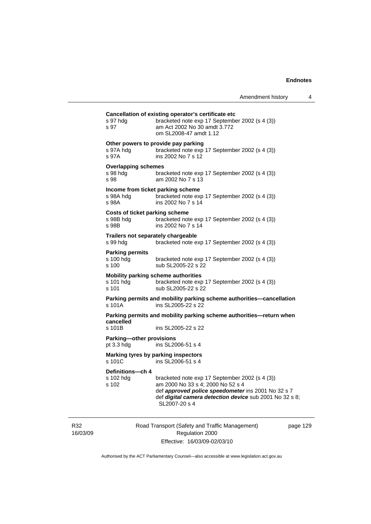| s 97 hdg<br>s 97                               | bracketed note exp 17 September 2002 (s 4 (3))<br>am Act 2002 No 30 amdt 3.772<br>om SL2008-47 amdt 1.12                                                                                                              |
|------------------------------------------------|-----------------------------------------------------------------------------------------------------------------------------------------------------------------------------------------------------------------------|
| s 97A hda<br>s 97A                             | Other powers to provide pay parking<br>bracketed note exp 17 September 2002 (s 4 (3))<br>ins 2002 No 7 s 12                                                                                                           |
| <b>Overlapping schemes</b><br>s 98 hdg<br>s 98 | bracketed note exp 17 September 2002 (s 4 (3))<br>am 2002 No 7 s 13                                                                                                                                                   |
| s 98A hdg<br>s 98A                             | Income from ticket parking scheme<br>bracketed note exp 17 September 2002 (s 4 (3))<br>ins 2002 No 7 s 14                                                                                                             |
| s 98B hdg<br>s 98B                             | <b>Costs of ticket parking scheme</b><br>bracketed note exp 17 September 2002 (s 4 (3))<br>ins 2002 No 7 s 14                                                                                                         |
| s 99 hda                                       | Trailers not separately chargeable<br>bracketed note exp 17 September 2002 (s 4 (3))                                                                                                                                  |
| <b>Parking permits</b><br>s 100 hdg<br>s 100   | bracketed note exp 17 September 2002 (s 4 (3))<br>sub SL2005-22 s 22                                                                                                                                                  |
| s 101 hda<br>s 101                             | <b>Mobility parking scheme authorities</b><br>bracketed note exp 17 September 2002 (s 4 (3))<br>sub SL2005-22 s 22                                                                                                    |
| s 101A                                         | Parking permits and mobility parking scheme authorities-cancellation<br>ins SL2005-22 s 22                                                                                                                            |
| cancelled                                      | Parking permits and mobility parking scheme authorities-return when                                                                                                                                                   |
| s 101B                                         | ins SL2005-22 s 22                                                                                                                                                                                                    |
| Parking-other provisions<br>pt 3.3 hdg         | ins SL2006-51 s 4                                                                                                                                                                                                     |
| s 101C                                         | Marking tyres by parking inspectors<br>ins SL2006-51 s 4                                                                                                                                                              |
| Definitions-ch 4<br>s 102 hdg<br>s 102         | bracketed note exp 17 September 2002 (s 4 (3))<br>am 2000 No 33 s 4; 2000 No 52 s 4<br>def approved police speedometer ins 2001 No 32 s 7<br>def digital camera detection device sub 2001 No 32 s 8;<br>SL2007-20 s 4 |

R32 16/03/09 Road Transport (Safety and Traffic Management) Regulation 2000 Effective: 16/03/09-02/03/10

page 129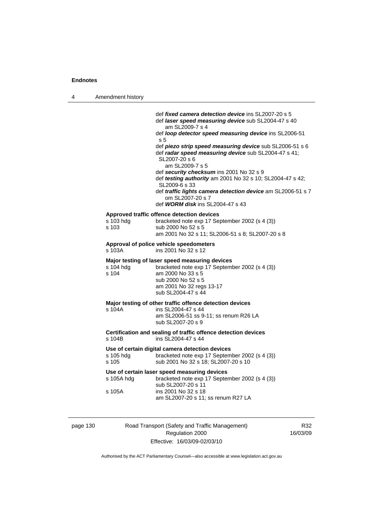| 4 | Amendment history    |                                                                                                                                                                                                                                                                                                                                                                                                                                                                                                                                                                                                                |
|---|----------------------|----------------------------------------------------------------------------------------------------------------------------------------------------------------------------------------------------------------------------------------------------------------------------------------------------------------------------------------------------------------------------------------------------------------------------------------------------------------------------------------------------------------------------------------------------------------------------------------------------------------|
|   |                      | def <i>fixed camera detection device</i> ins SL2007-20 s 5<br>def laser speed measuring device sub SL2004-47 s 40<br>am SL2009-7 s 4<br>def loop detector speed measuring device ins SL2006-51<br>s 5<br>def piezo strip speed measuring device sub SL2006-51 s 6<br>def radar speed measuring device sub SL2004-47 s 41;<br>SL2007-20 s 6<br>am SL2009-7 s 5<br>def security checksum ins 2001 No 32 s 9<br>def testing authority am 2001 No 32 s 10; SL2004-47 s 42;<br>SL2009-6 s 33<br>def traffic lights camera detection device am SL2006-51 s 7<br>om SL2007-20 s 7<br>def WORM disk ins SL2004-47 s 43 |
|   | s 103 hdg<br>s 103   | Approved traffic offence detection devices<br>bracketed note exp 17 September 2002 (s 4 (3))<br>sub 2000 No 52 s 5<br>am 2001 No 32 s 11; SL2006-51 s 8; SL2007-20 s 8                                                                                                                                                                                                                                                                                                                                                                                                                                         |
|   | s 103A               | Approval of police vehicle speedometers<br>ins 2001 No 32 s 12                                                                                                                                                                                                                                                                                                                                                                                                                                                                                                                                                 |
|   | s 104 hdg<br>s 104   | Major testing of laser speed measuring devices<br>bracketed note exp 17 September 2002 (s 4 (3))<br>am 2000 No 33 s 5<br>sub 2000 No 52 s 5<br>am 2001 No 32 regs 13-17<br>sub SL2004-47 s 44                                                                                                                                                                                                                                                                                                                                                                                                                  |
|   | s 104A               | Major testing of other traffic offence detection devices<br>ins SL2004-47 s 44<br>am SL2006-51 ss 9-11; ss renum R26 LA<br>sub SL2007-20 s 9                                                                                                                                                                                                                                                                                                                                                                                                                                                                   |
|   | s 104B               | Certification and sealing of traffic offence detection devices<br>ins SL2004-47 s 44                                                                                                                                                                                                                                                                                                                                                                                                                                                                                                                           |
|   | s 105 hdg<br>s 105   | Use of certain digital camera detection devices<br>bracketed note exp 17 September 2002 (s 4 (3))<br>sub 2001 No 32 s 18; SL2007-20 s 10                                                                                                                                                                                                                                                                                                                                                                                                                                                                       |
|   | s 105A hdg<br>s 105A | Use of certain laser speed measuring devices<br>bracketed note exp 17 September 2002 (s 4 (3))<br>sub SL2007-20 s 11<br>ins 2001 No 32 s 18<br>am SL2007-20 s 11; ss renum R27 LA                                                                                                                                                                                                                                                                                                                                                                                                                              |

page 130 Road Transport (Safety and Traffic Management) Regulation 2000 Effective: 16/03/09-02/03/10

R32 16/03/09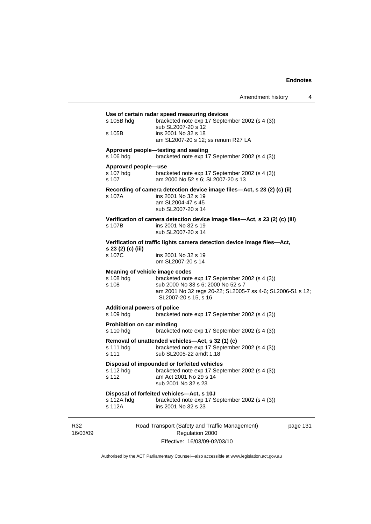|                 | s 105B hdg                                                              | Use of certain radar speed measuring devices<br>bracketed note exp 17 September 2002 (s 4 (3))<br>sub SL2007-20 s 12                                                       |          |  |
|-----------------|-------------------------------------------------------------------------|----------------------------------------------------------------------------------------------------------------------------------------------------------------------------|----------|--|
|                 | s 105B                                                                  | ins 2001 No 32 s 18<br>am SL2007-20 s 12; ss renum R27 LA                                                                                                                  |          |  |
|                 | s 106 hdg                                                               | Approved people-testing and sealing<br>bracketed note exp 17 September 2002 (s 4 (3))                                                                                      |          |  |
|                 | Approved people-use<br>s 107 hdg<br>s 107                               | bracketed note exp 17 September 2002 (s 4 (3))<br>am 2000 No 52 s 6; SL2007-20 s 13                                                                                        |          |  |
|                 | s 107A                                                                  | Recording of camera detection device image files-Act, s 23 (2) (c) (ii)<br>ins 2001 No 32 s 19<br>am SL2004-47 s 45<br>sub SL2007-20 s 14                                  |          |  |
|                 | s 107B                                                                  | Verification of camera detection device image files-Act, s 23 (2) (c) (iii)<br>ins 2001 No 32 s 19<br>sub SL2007-20 s 14                                                   |          |  |
|                 | Verification of traffic lights camera detection device image files-Act, |                                                                                                                                                                            |          |  |
|                 | s 23 (2) (c) (iii)<br>s 107C                                            | ins 2001 No 32 s 19<br>om SL2007-20 s 14                                                                                                                                   |          |  |
|                 | Meaning of vehicle image codes<br>s 108 hdg<br>s 108                    | bracketed note exp 17 September 2002 (s 4 (3))<br>sub 2000 No 33 s 6; 2000 No 52 s 7<br>am 2001 No 32 regs 20-22; SL2005-7 ss 4-6; SL2006-51 s 12;<br>SL2007-20 s 15, s 16 |          |  |
|                 | <b>Additional powers of police</b><br>s 109 hdg                         | bracketed note exp 17 September 2002 (s 4 (3))                                                                                                                             |          |  |
|                 | <b>Prohibition on car minding</b><br>s 110 hdg                          | bracketed note exp 17 September 2002 (s 4 (3))                                                                                                                             |          |  |
|                 | s 111 hdg<br>s 111                                                      | Removal of unattended vehicles—Act, s 32 (1) (c)<br>bracketed note exp 17 September 2002 (s 4 (3))<br>sub SL2005-22 amdt 1.18                                              |          |  |
|                 | s 112 hdg<br>s 112                                                      | Disposal of impounded or forfeited vehicles<br>bracketed note exp 17 September 2002 (s 4 (3))<br>am Act 2001 No 29 s 14<br>sub 2001 No 32 s 23                             |          |  |
|                 | s 112A hdg<br>s 112A                                                    | Disposal of forfeited vehicles-Act, s 10J<br>bracketed note exp 17 September 2002 (s 4 (3))<br>ins 2001 No 32 s 23                                                         |          |  |
| R32<br>16/03/09 |                                                                         | Road Transport (Safety and Traffic Management)<br>Regulation 2000                                                                                                          | page 131 |  |

Effective: 16/03/09-02/03/10

Authorised by the ACT Parliamentary Counsel—also accessible at www.legislation.act.gov.au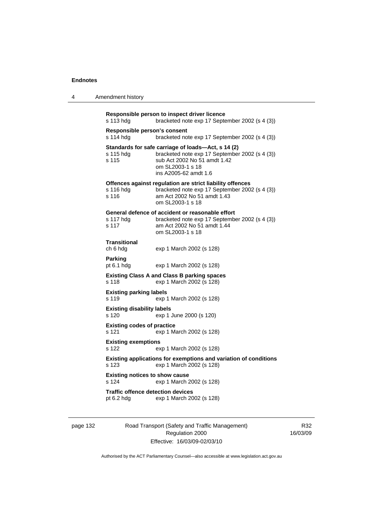| 4 | Amendment history |  |
|---|-------------------|--|
|---|-------------------|--|

```
Responsible person to inspect driver licence 
s 113 hdg bracketed note exp 17 September 2002 (s 4 (3)) 
Responsible person's consent 
s 114 hdg bracketed note exp 17 September 2002 (s 4 (3)) 
Standards for safe carriage of loads—Act, s 14 (2) 
s 115 hdg bracketed note exp 17 September 2002 (s 4 (3)) 
s 115 sub Act 2002 No 51 amdt 1.42 
                  om SL2003-1 s 18 
                  ins A2005-62 amdt 1.6 
Offences against regulation are strict liability offences 
s 116 hdg bracketed note exp 17 September 2002 (s 4 (3)) 
s 116 am Act 2002 No 51 amdt 1.43 
                  om SL2003-1 s 18 
General defence of accident or reasonable effort 
                 bracketed note exp 17 September 2002 (s 4 (3))
s 117 am Act 2002 No 51 amdt 1.44 
                  om SL2003-1 s 18 
Transitional 
ch 6 hdg exp 1 March 2002 (s 128) 
Parking 
pt 6.1 hdg exp 1 March 2002 (s 128) 
Existing Class A and Class B parking spaces 
s 118 exp 1 March 2002 (s 128) 
Existing parking labels 
s 119 exp 1 March 2002 (s 128) 
Existing disability labels 
s 120 exp 1 June 2000 (s 120) 
Existing codes of practice 
s 121 exp 1 March 2002 (s 128) 
Existing exemptions 
s 122 exp 1 March 2002 (s 128) 
Existing applications for exemptions and variation of conditions 
s 123 exp 1 March 2002 (s 128) 
Existing notices to show cause 
s 124 exp 1 March 2002 (s 128) 
Traffic offence detection devices<br>pt 6.2 hdg exp 1 March 20
                 exp 1 March 2002 (s 128)
```
page 132 Road Transport (Safety and Traffic Management) Regulation 2000 Effective: 16/03/09-02/03/10

R32 16/03/09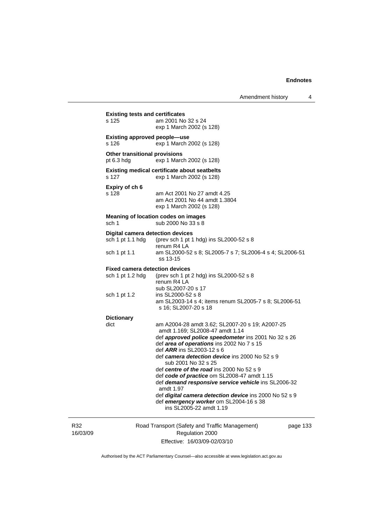|                 | <b>Existing tests and certificates</b>                                                                                                    |                                                                                                                                                                                                                                                                                                                                                                                                                                                                                                                                                                                             |        |
|-----------------|-------------------------------------------------------------------------------------------------------------------------------------------|---------------------------------------------------------------------------------------------------------------------------------------------------------------------------------------------------------------------------------------------------------------------------------------------------------------------------------------------------------------------------------------------------------------------------------------------------------------------------------------------------------------------------------------------------------------------------------------------|--------|
|                 | s 125                                                                                                                                     | am 2001 No 32 s 24<br>exp 1 March 2002 (s 128)                                                                                                                                                                                                                                                                                                                                                                                                                                                                                                                                              |        |
|                 | <b>Existing approved people-use</b><br>s 126                                                                                              | exp 1 March 2002 (s 128)                                                                                                                                                                                                                                                                                                                                                                                                                                                                                                                                                                    |        |
|                 | <b>Other transitional provisions</b><br>exp 1 March 2002 (s 128)<br>pt $6.3$ hdg                                                          |                                                                                                                                                                                                                                                                                                                                                                                                                                                                                                                                                                                             |        |
|                 | s 127                                                                                                                                     | <b>Existing medical certificate about seatbelts</b><br>exp 1 March 2002 (s 128)                                                                                                                                                                                                                                                                                                                                                                                                                                                                                                             |        |
|                 | Expiry of ch 6<br>s 128                                                                                                                   | am Act 2001 No 27 amdt 4.25<br>am Act 2001 No 44 amdt 1.3804<br>exp 1 March 2002 (s 128)                                                                                                                                                                                                                                                                                                                                                                                                                                                                                                    |        |
|                 | <b>Meaning of location codes on images</b><br>sch 1<br>sub 2000 No 33 s 8                                                                 |                                                                                                                                                                                                                                                                                                                                                                                                                                                                                                                                                                                             |        |
|                 | <b>Digital camera detection devices</b><br>sch 1 pt 1.1 hdg                                                                               | (prev sch 1 pt 1 hdg) ins SL2000-52 s 8<br>renum R4 LA                                                                                                                                                                                                                                                                                                                                                                                                                                                                                                                                      |        |
|                 | sch 1 pt 1.1                                                                                                                              | am SL2000-52 s 8; SL2005-7 s 7; SL2006-4 s 4; SL2006-51<br>ss 13-15                                                                                                                                                                                                                                                                                                                                                                                                                                                                                                                         |        |
|                 | <b>Fixed camera detection devices</b><br>sch 1 pt 1.2 hdg<br>(prev sch 1 pt 2 hdg) ins SL2000-52 s 8<br>renum R4 LA<br>sub SL2007-20 s 17 |                                                                                                                                                                                                                                                                                                                                                                                                                                                                                                                                                                                             |        |
|                 | sch 1 pt 1.2                                                                                                                              | ins SL2000-52 s 8<br>am SL2003-14 s 4; items renum SL2005-7 s 8; SL2006-51<br>s 16; SL2007-20 s 18                                                                                                                                                                                                                                                                                                                                                                                                                                                                                          |        |
|                 | <b>Dictionary</b><br>dict                                                                                                                 | am A2004-28 amdt 3.62; SL2007-20 s 19; A2007-25<br>amdt 1.169; SL2008-47 amdt 1.14<br>def approved police speedometer ins 2001 No 32 s 26<br>def area of operations ins 2002 No 7 s 15<br>def ARR ins SL2003-12 s 6<br>def camera detection device ins 2000 No 52 s 9<br>sub 2001 No 32 s 25<br>def centre of the road ins 2000 No 52 s 9<br>def code of practice om SL2008-47 amdt 1.15<br>def demand responsive service vehicle ins SL2006-32<br>amdt 1.97<br>def digital camera detection device ins 2000 No 52 s 9<br>def emergency worker om SL2004-16 s 38<br>ins SL2005-22 amdt 1.19 |        |
| R32<br>16/03/09 | Road Transport (Safety and Traffic Management)<br>Regulation 2000                                                                         |                                                                                                                                                                                                                                                                                                                                                                                                                                                                                                                                                                                             | page 1 |

Effective: 16/03/09-02/03/10

133

Authorised by the ACT Parliamentary Counsel—also accessible at www.legislation.act.gov.au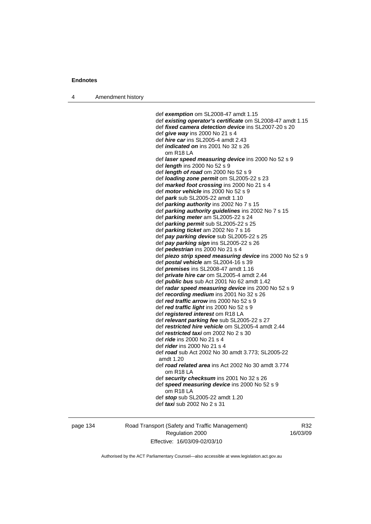4 Amendment history

 def *exemption* om SL2008-47 amdt 1.15 def *existing operator's certificate* om SL2008-47 amdt 1.15 def *fixed camera detection device* ins SL2007-20 s 20 def *give way* ins 2000 No 21 s 4 def *hire car* ins SL2005-4 amdt 2.43 def *indicated on* ins 2001 No 32 s 26 om R18 LA def *laser speed measuring device* ins 2000 No 52 s 9 def *length* ins 2000 No 52 s 9 def *length of road* om 2000 No 52 s 9 def *loading zone permit* om SL2005-22 s 23 def *marked foot crossing* ins 2000 No 21 s 4 def *motor vehicle* ins 2000 No 52 s 9 def *park* sub SL2005-22 amdt 1.10 def *parking authority* ins 2002 No 7 s 15 def *parking authority guidelines* ins 2002 No 7 s 15 def *parking meter* am SL2005-22 s 24 def *parking permit* sub SL2005-22 s 25 def *parking ticket* am 2002 No 7 s 16 def *pay parking device* sub SL2005-22 s 25 def *pay parking sign* ins SL2005-22 s 26 def *pedestrian* ins 2000 No 21 s 4 def *piezo strip speed measuring device* ins 2000 No 52 s 9 def *postal vehicle* am SL2004-16 s 39 def *premises* ins SL2008-47 amdt 1.16 def *private hire car* om SL2005-4 amdt 2.44 def *public bus* sub Act 2001 No 62 amdt 1.42 def *radar speed measuring device* ins 2000 No 52 s 9 def *recording medium* ins 2001 No 32 s 26 def *red traffic arrow* ins 2000 No 52 s 9 def *red traffic light* ins 2000 No 52 s 9 def *registered interest* om R18 LA def *relevant parking fee* sub SL2005-22 s 27 def *restricted hire vehicle* om SL2005-4 amdt 2.44 def *restricted taxi* om 2002 No 2 s 30 def *ride* ins 2000 No 21 s 4 def *rider* ins 2000 No 21 s 4 def *road* sub Act 2002 No 30 amdt 3.773; SL2005-22 amdt 1.20 def *road related area* ins Act 2002 No 30 amdt 3.774 om R18 LA def *security checksum* ins 2001 No 32 s 26 def *speed measuring device* ins 2000 No 52 s 9 om R18 LA def *stop* sub SL2005-22 amdt 1.20 def *taxi* sub 2002 No 2 s 31

page 134 Road Transport (Safety and Traffic Management) Regulation 2000 Effective: 16/03/09-02/03/10

R32 16/03/09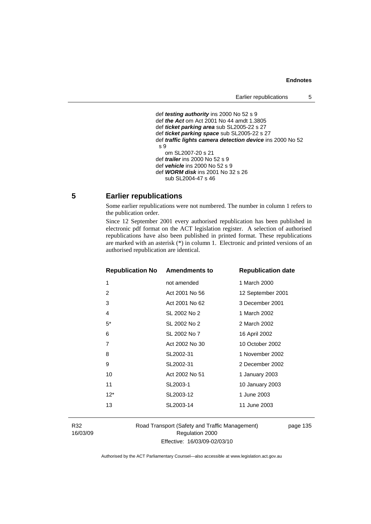## **Endnotes**

```
 def testing authority ins 2000 No 52 s 9 
def the Act om Act 2001 No 44 amdt 1.3805 
def ticket parking area sub SL2005-22 s 27 
def ticket parking space sub SL2005-22 s 27 
def traffic lights camera detection device ins 2000 No 52 
s 9 
   om SL2007-20 s 21 
def trailer ins 2000 No 52 s 9 
def vehicle ins 2000 No 52 s 9 
def WORM disk ins 2001 No 32 s 26 
   sub SL2004-47 s 46
```
## **5 Earlier republications**

Some earlier republications were not numbered. The number in column 1 refers to the publication order.

Since 12 September 2001 every authorised republication has been published in electronic pdf format on the ACT legislation register. A selection of authorised republications have also been published in printed format. These republications are marked with an asterisk (\*) in column 1. Electronic and printed versions of an authorised republication are identical.

| <b>Republication No Amendments to</b> |                | <b>Republication date</b> |
|---------------------------------------|----------------|---------------------------|
| 1                                     | not amended    | 1 March 2000              |
| 2                                     | Act 2001 No 56 | 12 September 2001         |
| 3                                     | Act 2001 No 62 | 3 December 2001           |
| 4                                     | SL 2002 No 2   | 1 March 2002              |
| $5^*$                                 | SL 2002 No 2   | 2 March 2002              |
| 6                                     | SL 2002 No 7   | 16 April 2002             |
| 7                                     | Act 2002 No 30 | 10 October 2002           |
| 8                                     | SL2002-31      | 1 November 2002           |
| 9                                     | SL2002-31      | 2 December 2002           |
| 10                                    | Act 2002 No 51 | 1 January 2003            |
| 11                                    | SL2003-1       | 10 January 2003           |
| $12*$                                 | SL2003-12      | 1 June 2003               |
| 13                                    | SL2003-14      | 11 June 2003              |
|                                       |                |                           |

R32 16/03/09 Road Transport (Safety and Traffic Management) Regulation 2000 Effective: 16/03/09-02/03/10

page 135

Authorised by the ACT Parliamentary Counsel—also accessible at www.legislation.act.gov.au